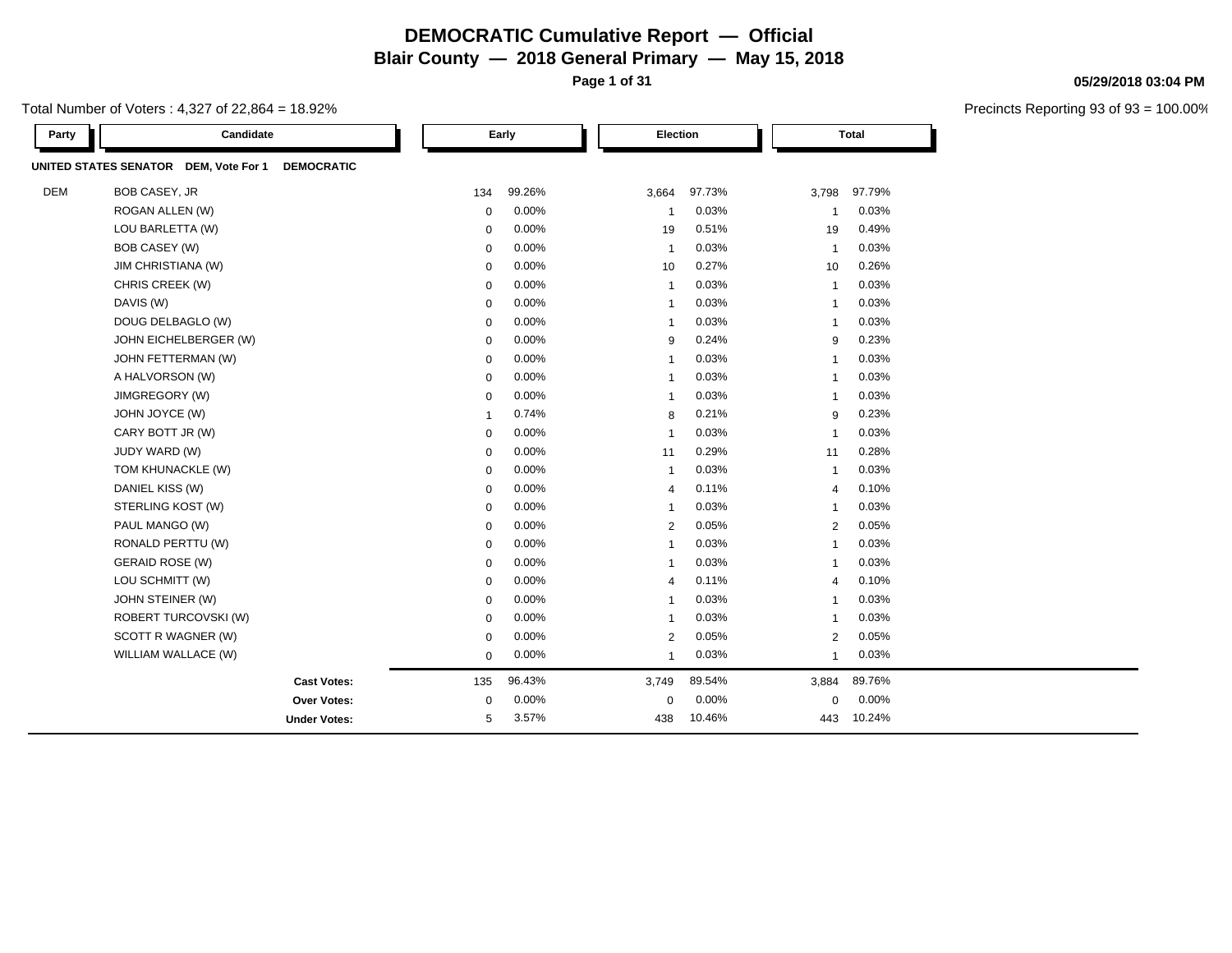**Page 1 of 31**

Total Number of Voters : 4,327 of 22,864 = 18.92%

| Party      | Candidate                                                     |              | Early  | Election                |        |                | Total  |  |
|------------|---------------------------------------------------------------|--------------|--------|-------------------------|--------|----------------|--------|--|
|            | UNITED STATES SENATOR<br>DEM, Vote For 1<br><b>DEMOCRATIC</b> |              |        |                         |        |                |        |  |
| <b>DEM</b> | BOB CASEY, JR                                                 | 134          | 99.26% | 3,664                   | 97.73% | 3,798          | 97.79% |  |
|            | ROGAN ALLEN (W)                                               | $\mathbf 0$  | 0.00%  | -1                      | 0.03%  | -1             | 0.03%  |  |
|            | LOU BARLETTA (W)                                              | $\mathbf 0$  | 0.00%  | 19                      | 0.51%  | 19             | 0.49%  |  |
|            | <b>BOB CASEY (W)</b>                                          | $\mathbf 0$  | 0.00%  | $\overline{1}$          | 0.03%  | $\overline{1}$ | 0.03%  |  |
|            | JIM CHRISTIANA (W)                                            | $\mathbf 0$  | 0.00%  | 10                      | 0.27%  | 10             | 0.26%  |  |
|            | CHRIS CREEK (W)                                               | 0            | 0.00%  | $\overline{1}$          | 0.03%  | $\mathbf{1}$   | 0.03%  |  |
|            | DAVIS (W)                                                     | $\mathbf 0$  | 0.00%  | $\overline{1}$          | 0.03%  | $\overline{1}$ | 0.03%  |  |
|            | DOUG DELBAGLO (W)                                             | 0            | 0.00%  | -1                      | 0.03%  | $\mathbf{1}$   | 0.03%  |  |
|            | JOHN EICHELBERGER (W)                                         | 0            | 0.00%  | 9                       | 0.24%  | 9              | 0.23%  |  |
|            | JOHN FETTERMAN (W)                                            | 0            | 0.00%  | $\overline{\mathbf{1}}$ | 0.03%  | $\overline{1}$ | 0.03%  |  |
|            | A HALVORSON (W)                                               | $\mathbf 0$  | 0.00%  | $\overline{1}$          | 0.03%  | $\overline{1}$ | 0.03%  |  |
|            | JIMGREGORY (W)                                                | 0            | 0.00%  | $\mathbf{1}$            | 0.03%  | $\mathbf{1}$   | 0.03%  |  |
|            | JOHN JOYCE (W)                                                | $\mathbf{1}$ | 0.74%  | 8                       | 0.21%  | 9              | 0.23%  |  |
|            | CARY BOTT JR (W)                                              | $\mathbf 0$  | 0.00%  | $\overline{\mathbf{1}}$ | 0.03%  | $\overline{1}$ | 0.03%  |  |
|            | JUDY WARD (W)                                                 | $\mathbf 0$  | 0.00%  | 11                      | 0.29%  | 11             | 0.28%  |  |
|            | TOM KHUNACKLE (W)                                             | 0            | 0.00%  | -1                      | 0.03%  | $\mathbf{1}$   | 0.03%  |  |
|            | DANIEL KISS (W)                                               | $\mathbf 0$  | 0.00%  | $\overline{4}$          | 0.11%  | $\overline{4}$ | 0.10%  |  |
|            | STERLING KOST (W)                                             | $\mathbf 0$  | 0.00%  | $\overline{\mathbf{1}}$ | 0.03%  | $\overline{1}$ | 0.03%  |  |
|            | PAUL MANGO (W)                                                | $\mathbf 0$  | 0.00%  | $\overline{2}$          | 0.05%  | 2              | 0.05%  |  |
|            | RONALD PERTTU (W)                                             | 0            | 0.00%  | $\overline{1}$          | 0.03%  | $\overline{1}$ | 0.03%  |  |
|            | <b>GERAID ROSE (W)</b>                                        | $\mathbf 0$  | 0.00%  | $\overline{\mathbf{1}}$ | 0.03%  | $\overline{1}$ | 0.03%  |  |
|            | LOU SCHMITT (W)                                               | $\mathbf 0$  | 0.00%  | $\overline{4}$          | 0.11%  | $\overline{4}$ | 0.10%  |  |
|            | JOHN STEINER (W)                                              | $\mathbf 0$  | 0.00%  | $\overline{\mathbf{1}}$ | 0.03%  | 1              | 0.03%  |  |
|            | ROBERT TURCOVSKI (W)                                          | 0            | 0.00%  | -1                      | 0.03%  | -1             | 0.03%  |  |
|            | SCOTT R WAGNER (W)                                            | $\mathbf 0$  | 0.00%  | $\overline{2}$          | 0.05%  | 2              | 0.05%  |  |
|            | WILLIAM WALLACE (W)                                           | $\mathbf 0$  | 0.00%  | $\overline{1}$          | 0.03%  | $\overline{1}$ | 0.03%  |  |
|            | <b>Cast Votes:</b>                                            | 135          | 96.43% | 3,749                   | 89.54% | 3,884          | 89.76% |  |
|            | Over Votes:                                                   | 0            | 0.00%  | 0                       | 0.00%  | $\mathbf 0$    | 0.00%  |  |
|            | <b>Under Votes:</b>                                           | 5            | 3.57%  | 438                     | 10.46% | 443            | 10.24% |  |

#### **05/29/2018 03:04 PM**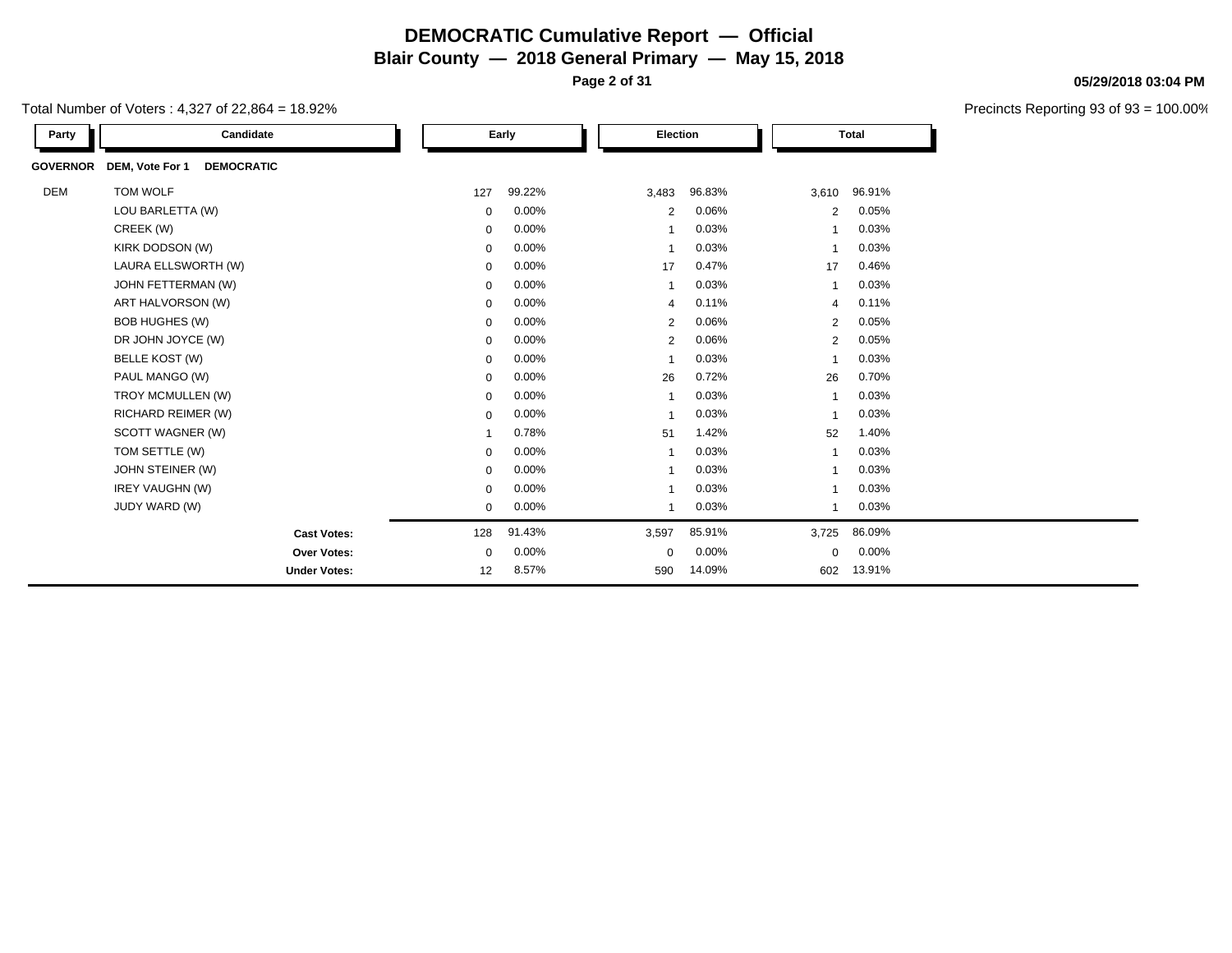**Page 2 of 31**

Total Number of Voters : 4,327 of 22,864 = 18.92%

| Party           | Candidate                            |             | Early  |                | Election |       | <b>Total</b> |  |  |
|-----------------|--------------------------------------|-------------|--------|----------------|----------|-------|--------------|--|--|
| <b>GOVERNOR</b> | DEM, Vote For 1<br><b>DEMOCRATIC</b> |             |        |                |          |       |              |  |  |
| <b>DEM</b>      | TOM WOLF                             | 127         | 99.22% | 3,483          | 96.83%   |       | 3,610 96.91% |  |  |
|                 | LOU BARLETTA (W)                     | $\mathbf 0$ | 0.00%  | 2              | 0.06%    | 2     | 0.05%        |  |  |
|                 | CREEK (W)                            | $\mathbf 0$ | 0.00%  |                | 0.03%    |       | 0.03%        |  |  |
|                 | KIRK DODSON (W)                      | $\mathbf 0$ | 0.00%  | $\overline{ }$ | 0.03%    |       | 0.03%        |  |  |
|                 | LAURA ELLSWORTH (W)                  | $\mathbf 0$ | 0.00%  | 17             | 0.47%    | 17    | 0.46%        |  |  |
|                 | JOHN FETTERMAN (W)                   | $\mathbf 0$ | 0.00%  | -1             | 0.03%    |       | 0.03%        |  |  |
|                 | ART HALVORSON (W)                    | $\mathbf 0$ | 0.00%  | $\overline{4}$ | 0.11%    | 4     | 0.11%        |  |  |
|                 | <b>BOB HUGHES (W)</b>                | 0           | 0.00%  | $\overline{2}$ | 0.06%    | 2     | 0.05%        |  |  |
|                 | DR JOHN JOYCE (W)                    | 0           | 0.00%  | $\overline{2}$ | 0.06%    | 2     | 0.05%        |  |  |
|                 | BELLE KOST (W)                       | $\mathbf 0$ | 0.00%  |                | 0.03%    |       | 0.03%        |  |  |
|                 | PAUL MANGO (W)                       | $\mathbf 0$ | 0.00%  | 26             | 0.72%    | 26    | 0.70%        |  |  |
|                 | TROY MCMULLEN (W)                    | $\mathbf 0$ | 0.00%  | -1             | 0.03%    | -1    | 0.03%        |  |  |
|                 | RICHARD REIMER (W)                   | $\mathbf 0$ | 0.00%  | $\mathbf{1}$   | 0.03%    |       | 0.03%        |  |  |
|                 | SCOTT WAGNER (W)                     | 1           | 0.78%  | 51             | 1.42%    | 52    | 1.40%        |  |  |
|                 | TOM SETTLE (W)                       | $\mathbf 0$ | 0.00%  | -1             | 0.03%    |       | 0.03%        |  |  |
|                 | JOHN STEINER (W)                     | 0           | 0.00%  | -1             | 0.03%    |       | 0.03%        |  |  |
|                 | <b>IREY VAUGHN (W)</b>               | $\mathbf 0$ | 0.00%  | 1              | 0.03%    |       | 0.03%        |  |  |
|                 | JUDY WARD (W)                        | $\mathbf 0$ | 0.00%  | -1             | 0.03%    |       | 0.03%        |  |  |
|                 | <b>Cast Votes:</b>                   | 128         | 91.43% | 3,597          | 85.91%   | 3,725 | 86.09%       |  |  |
|                 | <b>Over Votes:</b>                   | $\mathbf 0$ | 0.00%  | $\mathbf 0$    | 0.00%    | 0     | 0.00%        |  |  |
|                 | <b>Under Votes:</b>                  | 12          | 8.57%  | 590            | 14.09%   | 602   | 13.91%       |  |  |

**05/29/2018 03:04 PM**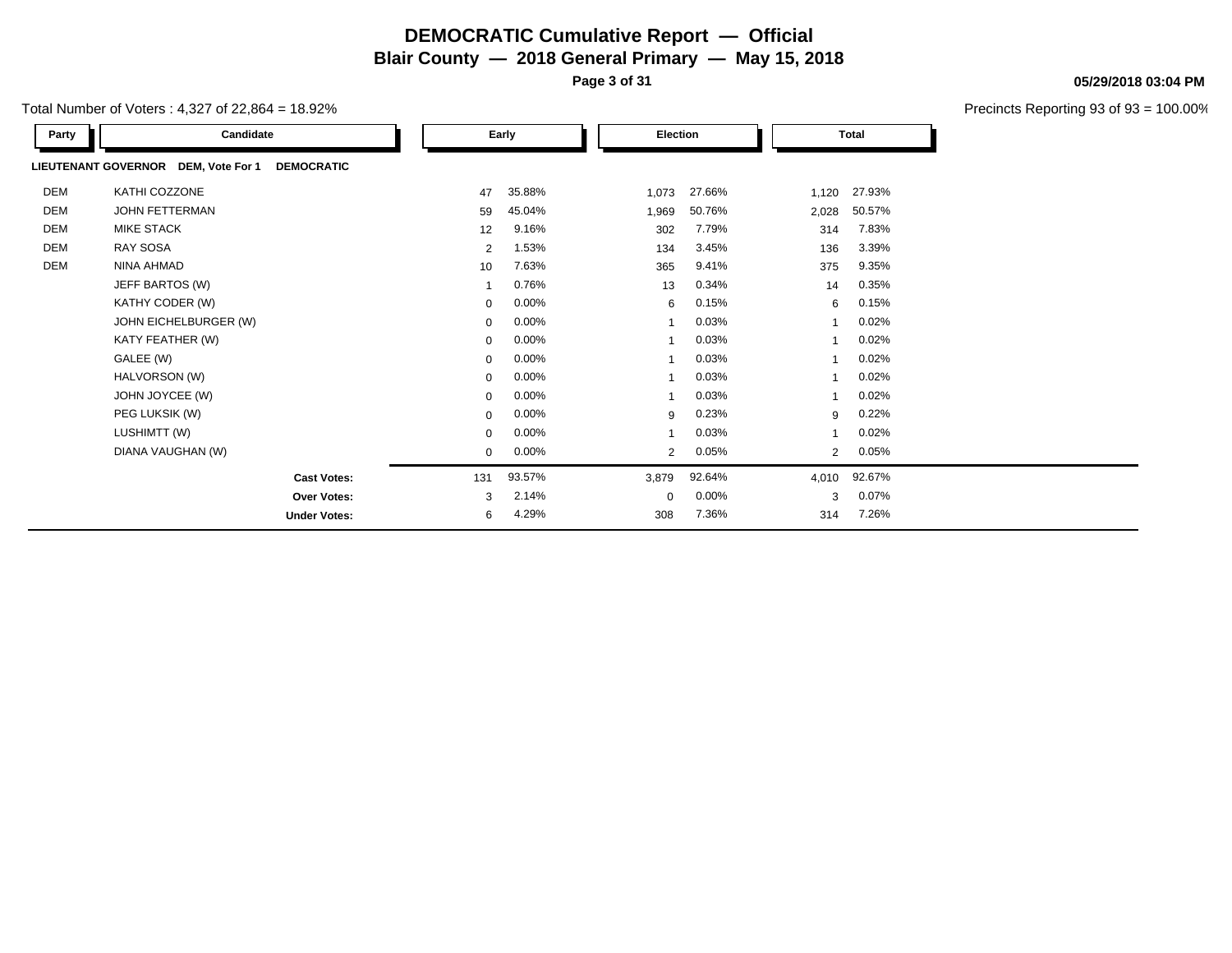**Page 3 of 31**

**05/29/2018 03:04 PM**

| Total Number of Voters : 4,327 of 22,864 = 18.92% |  |
|---------------------------------------------------|--|
|---------------------------------------------------|--|

| Party | Candidate                                                |                | Early    |             | Election |       | <b>Total</b>            |  |
|-------|----------------------------------------------------------|----------------|----------|-------------|----------|-------|-------------------------|--|
|       | LIEUTENANT GOVERNOR DEM, Vote For 1<br><b>DEMOCRATIC</b> |                |          |             |          |       |                         |  |
| DEM   | KATHI COZZONE                                            | 47             | 35.88%   | 1,073       | 27.66%   | 1,120 | 27.93%                  |  |
| DEM   | <b>JOHN FETTERMAN</b>                                    | 59             | 45.04%   | 1,969       | 50.76%   | 2,028 | 50.57%                  |  |
| DEM   | <b>MIKE STACK</b>                                        | 12             | 9.16%    | 302         | 7.79%    | 314   | 7.83%                   |  |
| DEM   | RAY SOSA                                                 | $\overline{2}$ | 1.53%    | 134         | 3.45%    | 136   | 3.39%                   |  |
| DEM   | NINA AHMAD                                               | 10             | 7.63%    | 365         | 9.41%    | 375   | 9.35%                   |  |
|       | JEFF BARTOS (W)                                          |                | 0.76%    | 13          | 0.34%    | 14    | 0.35%                   |  |
|       | KATHY CODER (W)                                          | $\mathbf{0}$   | 0.00%    | 6           | 0.15%    |       | 0.15%<br>6              |  |
|       | JOHN EICHELBURGER (W)                                    | 0              | 0.00%    |             | 0.03%    |       | 0.02%                   |  |
|       | KATY FEATHER (W)                                         | $\mathbf{0}$   | 0.00%    |             | 0.03%    |       | 0.02%                   |  |
|       | GALEE (W)                                                | $\mathbf{0}$   | $0.00\%$ |             | 0.03%    |       | 0.02%                   |  |
|       | HALVORSON (W)                                            | 0              | 0.00%    |             | 0.03%    |       | 0.02%                   |  |
|       | JOHN JOYCEE (W)                                          | $\mathbf{0}$   | 0.00%    |             | 0.03%    |       | 0.02%                   |  |
|       | PEG LUKSIK (W)                                           | $\mathbf{0}$   | 0.00%    | 9           | 0.23%    |       | 0.22%<br>9              |  |
|       | LUSHIMTT (W)                                             | 0              | $0.00\%$ |             | 0.03%    |       | 0.02%                   |  |
|       | DIANA VAUGHAN (W)                                        | $\mathbf{0}$   | $0.00\%$ | 2           | 0.05%    |       | 0.05%<br>$\overline{2}$ |  |
|       | <b>Cast Votes:</b>                                       | 131            | 93.57%   | 3,879       | 92.64%   | 4,010 | 92.67%                  |  |
|       | <b>Over Votes:</b>                                       | 3              | 2.14%    | $\mathbf 0$ | 0.00%    | 3     | 0.07%                   |  |
|       | <b>Under Votes:</b>                                      | 6              | 4.29%    | 308         | 7.36%    | 314   | 7.26%                   |  |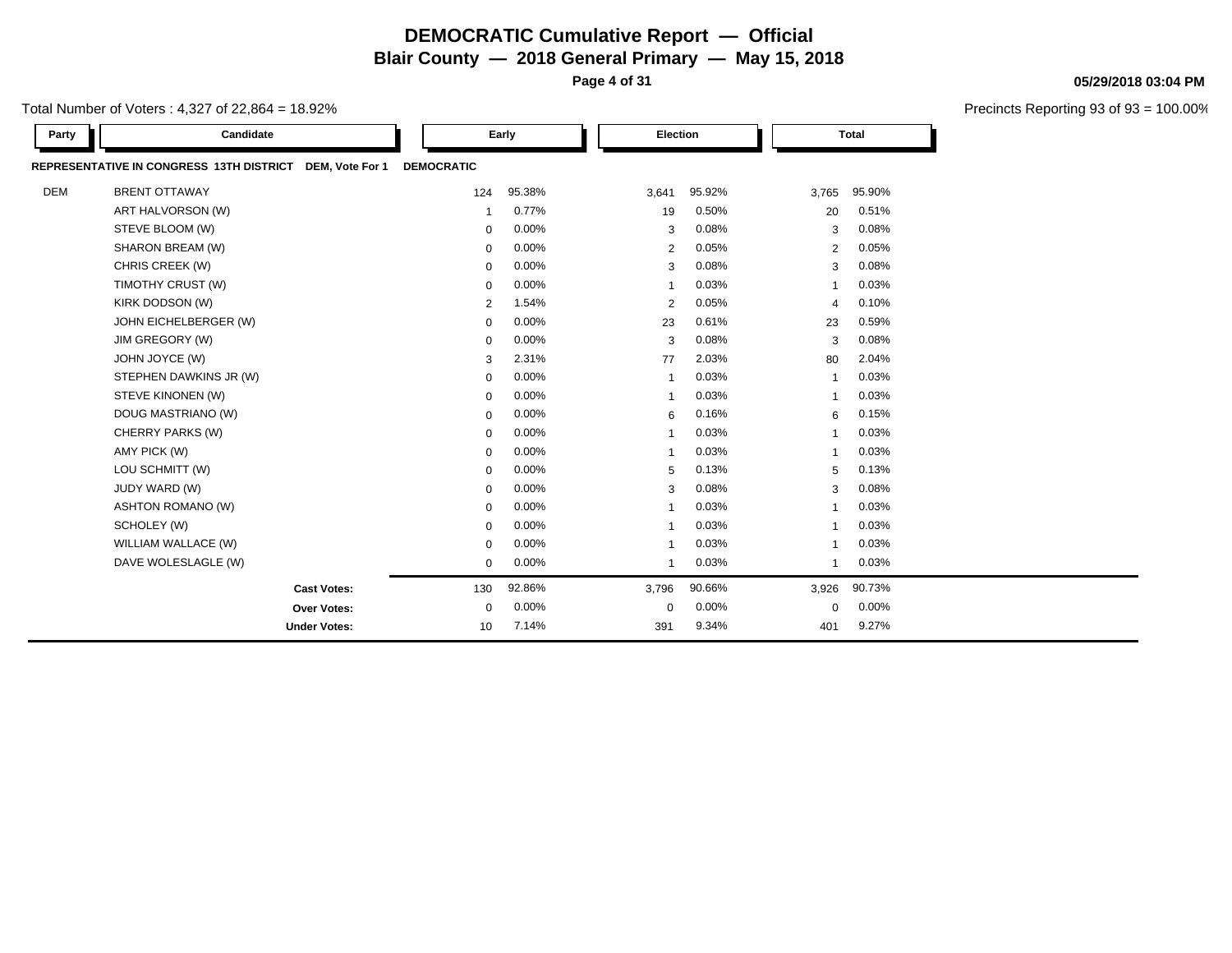**Page 4 of 31**

Precincts Reporting 93 of 93 = 100.00%

| Total Number of Voters : 4.327 of 22.864 = 18.92% |  |
|---------------------------------------------------|--|
|---------------------------------------------------|--|

| Party      | Candidate                                                   |                   | Early    | Election                |        |                         | <b>Total</b> |  |
|------------|-------------------------------------------------------------|-------------------|----------|-------------------------|--------|-------------------------|--------------|--|
|            | REPRESENTATIVE IN CONGRESS 13TH DISTRICT<br>DEM, Vote For 1 | <b>DEMOCRATIC</b> |          |                         |        |                         |              |  |
| <b>DEM</b> | <b>BRENT OTTAWAY</b>                                        | 124               | 95.38%   | 3,641                   | 95.92% | 3,765                   | 95.90%       |  |
|            | ART HALVORSON (W)                                           | -1                | 0.77%    | 19                      | 0.50%  | 20                      | 0.51%        |  |
|            | STEVE BLOOM (W)                                             | $\mathbf 0$       | 0.00%    | 3                       | 0.08%  | 3                       | 0.08%        |  |
|            | SHARON BREAM (W)                                            | $\mathbf 0$       | 0.00%    | 2                       | 0.05%  | 2                       | 0.05%        |  |
|            | CHRIS CREEK (W)                                             | $\mathbf 0$       | 0.00%    | 3                       | 0.08%  | 3                       | 0.08%        |  |
|            | TIMOTHY CRUST (W)                                           | $\mathbf 0$       | 0.00%    | $\overline{\mathbf{1}}$ | 0.03%  | $\overline{\mathbf{1}}$ | 0.03%        |  |
|            | KIRK DODSON (W)                                             | $\overline{2}$    | 1.54%    | $\overline{2}$          | 0.05%  | $\overline{4}$          | 0.10%        |  |
|            | JOHN EICHELBERGER (W)                                       | 0                 | 0.00%    | 23                      | 0.61%  | 23                      | 0.59%        |  |
|            | JIM GREGORY (W)                                             | $\mathbf 0$       | 0.00%    | 3                       | 0.08%  | 3                       | 0.08%        |  |
|            | JOHN JOYCE (W)                                              | 3                 | 2.31%    | 77                      | 2.03%  | 80                      | 2.04%        |  |
|            | STEPHEN DAWKINS JR (W)                                      | $\mathbf 0$       | 0.00%    | $\overline{1}$          | 0.03%  | $\overline{1}$          | 0.03%        |  |
|            | STEVE KINONEN (W)                                           | $\mathbf 0$       | 0.00%    | $\overline{\mathbf{1}}$ | 0.03%  | $\overline{1}$          | 0.03%        |  |
|            | DOUG MASTRIANO (W)                                          | $\mathbf 0$       | 0.00%    | 6                       | 0.16%  | 6                       | 0.15%        |  |
|            | CHERRY PARKS (W)                                            | 0                 | $0.00\%$ | $\overline{\mathbf{1}}$ | 0.03%  | $\overline{1}$          | 0.03%        |  |
|            | AMY PICK (W)                                                | $\mathbf 0$       | 0.00%    | $\overline{\mathbf{1}}$ | 0.03%  | $\overline{1}$          | 0.03%        |  |
|            | LOU SCHMITT (W)                                             | 0                 | 0.00%    | 5                       | 0.13%  | 5                       | 0.13%        |  |
|            | JUDY WARD (W)                                               | $\mathbf 0$       | 0.00%    | 3                       | 0.08%  | 3                       | 0.08%        |  |
|            | <b>ASHTON ROMANO (W)</b>                                    | $\mathbf 0$       | 0.00%    | $\overline{\mathbf{1}}$ | 0.03%  | $\overline{1}$          | 0.03%        |  |
|            | SCHOLEY (W)                                                 | $\mathbf 0$       | 0.00%    | -1                      | 0.03%  | -1                      | 0.03%        |  |
|            | WILLIAM WALLACE (W)                                         | $\mathbf 0$       | 0.00%    | $\overline{\mathbf{1}}$ | 0.03%  | 1                       | 0.03%        |  |
|            | DAVE WOLESLAGLE (W)                                         | $\mathbf 0$       | 0.00%    | -1                      | 0.03%  | -1                      | 0.03%        |  |
|            | <b>Cast Votes:</b>                                          | 130               | 92.86%   | 3,796                   | 90.66% | 3,926                   | 90.73%       |  |
|            | Over Votes:                                                 | $\mathbf 0$       | 0.00%    | $\mathbf 0$             | 0.00%  | $\mathbf 0$             | 0.00%        |  |
|            | <b>Under Votes:</b>                                         | 10                | 7.14%    | 391                     | 9.34%  | 401                     | 9.27%        |  |

**05/29/2018 03:04 PM**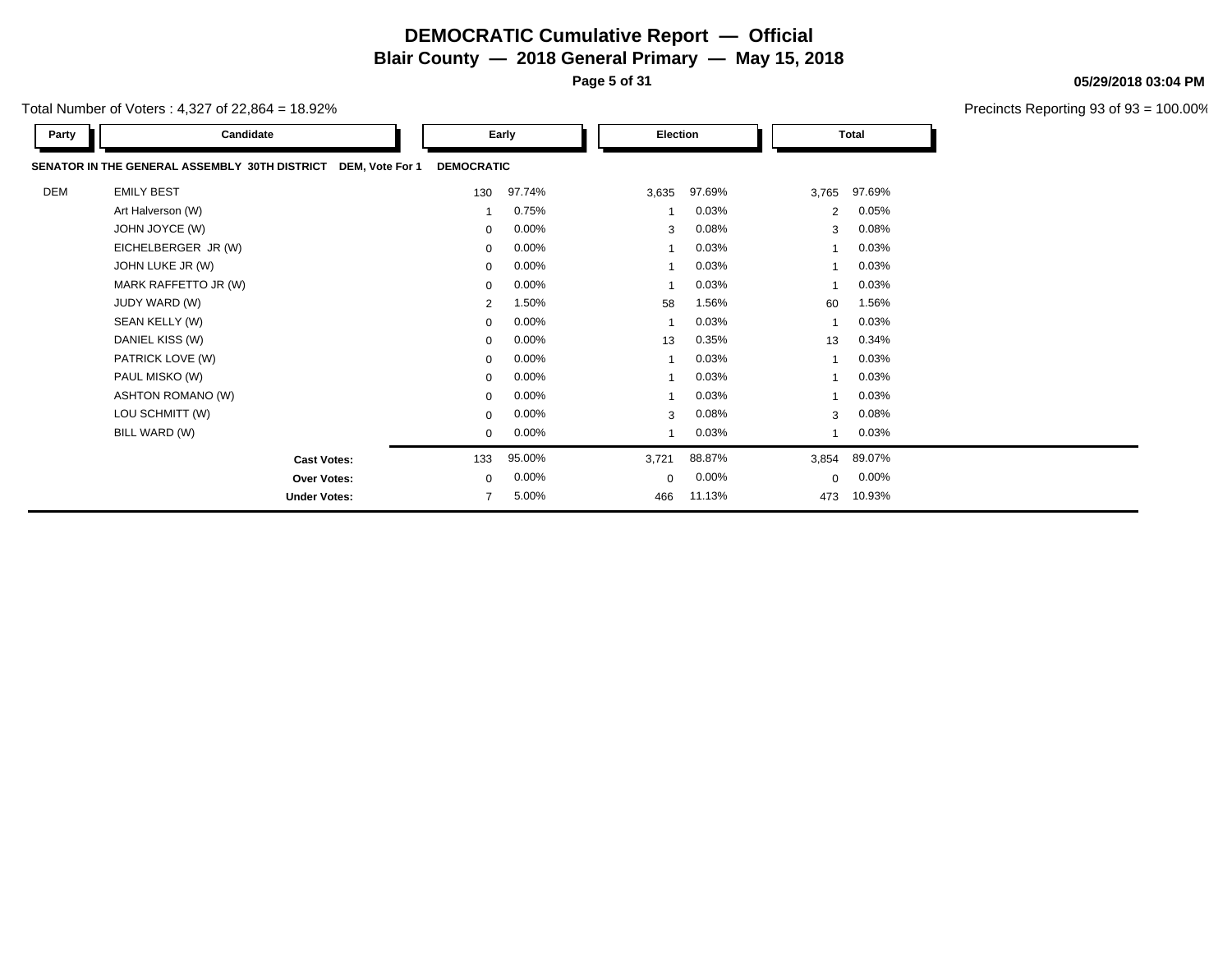**Page 5 of 31**

**05/29/2018 03:04 PM**

| Total Number of Voters : 4,327 of 22,864 = 18.92% |  |
|---------------------------------------------------|--|
|---------------------------------------------------|--|

| Party      | Candidate                                                        |                | Early             | Election                |          | <b>Total</b>   |        |
|------------|------------------------------------------------------------------|----------------|-------------------|-------------------------|----------|----------------|--------|
|            | SENATOR IN THE GENERAL ASSEMBLY 30TH DISTRICT<br>DEM, Vote For 1 |                | <b>DEMOCRATIC</b> |                         |          |                |        |
| <b>DEM</b> | <b>EMILY BEST</b>                                                | 130            | 97.74%            | 3,635                   | 97.69%   | 3,765          | 97.69% |
|            | Art Halverson (W)                                                |                | 0.75%             | 1                       | 0.03%    | $\overline{2}$ | 0.05%  |
|            | JOHN JOYCE (W)                                                   | $\mathbf{0}$   | $0.00\%$          | 3                       | 0.08%    | 3              | 0.08%  |
|            | EICHELBERGER JR (W)                                              | $\mathbf{0}$   | $0.00\%$          | 1                       | 0.03%    |                | 0.03%  |
|            | JOHN LUKE JR (W)                                                 | 0              | $0.00\%$          | $\mathbf 1$             | 0.03%    |                | 0.03%  |
|            | MARK RAFFETTO JR (W)                                             | $\mathbf{0}$   | $0.00\%$          | 1                       | 0.03%    |                | 0.03%  |
|            | JUDY WARD (W)                                                    | 2              | 1.50%             | 58                      | 1.56%    | 60             | 1.56%  |
|            | SEAN KELLY (W)                                                   | $\mathbf{0}$   | $0.00\%$          | $\mathbf 1$             | 0.03%    |                | 0.03%  |
|            | DANIEL KISS (W)                                                  | $\mathbf{0}$   | $0.00\%$          | 13                      | 0.35%    | 13             | 0.34%  |
|            | PATRICK LOVE (W)                                                 | $\mathbf{0}$   | $0.00\%$          | 1                       | 0.03%    |                | 0.03%  |
|            | PAUL MISKO (W)                                                   | $\mathbf{0}$   | $0.00\%$          | $\overline{\mathbf{1}}$ | 0.03%    |                | 0.03%  |
|            | ASHTON ROMANO (W)                                                | $\mathbf{0}$   | $0.00\%$          | $\mathbf 1$             | 0.03%    |                | 0.03%  |
|            | LOU SCHMITT (W)                                                  | $\mathbf{0}$   | $0.00\%$          | 3                       | 0.08%    | 3              | 0.08%  |
|            | BILL WARD (W)                                                    | 0              | $0.00\%$          | 1                       | 0.03%    |                | 0.03%  |
|            | <b>Cast Votes:</b>                                               | 133            | 95.00%            | 3,721                   | 88.87%   | 3,854          | 89.07% |
|            | <b>Over Votes:</b>                                               | $\mathbf 0$    | $0.00\%$          | $\mathbf 0$             | $0.00\%$ | $\Omega$       | 0.00%  |
|            | <b>Under Votes:</b>                                              | $\overline{7}$ | 5.00%             | 466                     | 11.13%   | 473            | 10.93% |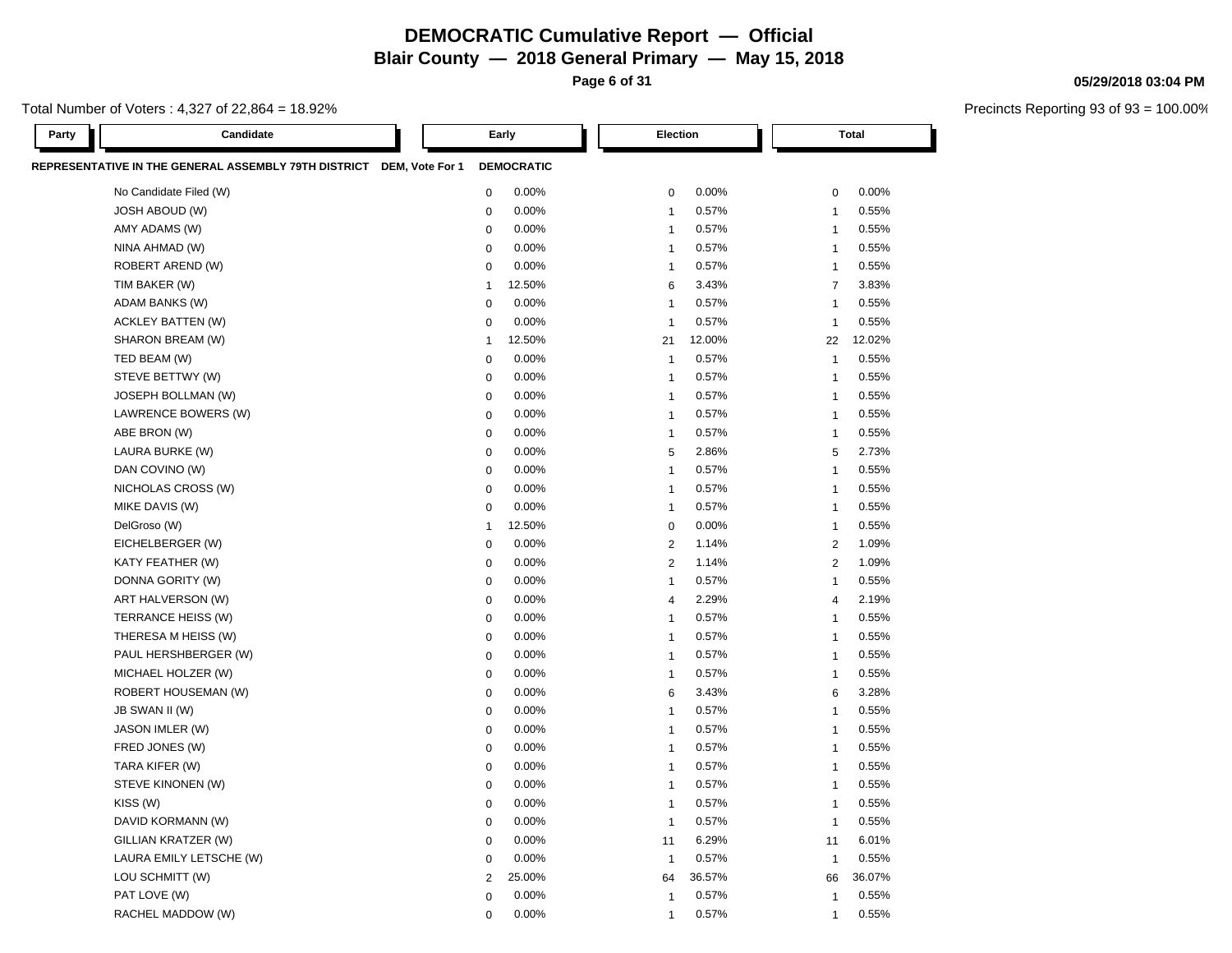**Page 6 of 31**

#### Total Number of Voters : 4,327 of 22,864 = 18.92%

**05/29/2018 03:04 PM**

Precincts Reporting 93 of 93 = 100.00%

| Party | Candidate                                                            |                | Early             | Election                |        |                | <b>Total</b> |
|-------|----------------------------------------------------------------------|----------------|-------------------|-------------------------|--------|----------------|--------------|
|       | REPRESENTATIVE IN THE GENERAL ASSEMBLY 79TH DISTRICT DEM, Vote For 1 |                | <b>DEMOCRATIC</b> |                         |        |                |              |
|       | No Candidate Filed (W)                                               | $\mathbf 0$    | 0.00%             | 0                       | 0.00%  | 0              | 0.00%        |
|       | <b>JOSH ABOUD (W)</b>                                                | $\mathbf 0$    | 0.00%             | $\overline{1}$          | 0.57%  | $\mathbf{1}$   | 0.55%        |
|       | AMY ADAMS (W)                                                        | $\mathbf 0$    | 0.00%             | $\overline{1}$          | 0.57%  | $\overline{1}$ | 0.55%        |
|       | NINA AHMAD (W)                                                       | $\mathbf 0$    | 0.00%             | $\overline{1}$          | 0.57%  | $\overline{1}$ | 0.55%        |
|       | ROBERT AREND (W)                                                     | $\mathbf 0$    | 0.00%             | $\overline{1}$          | 0.57%  | $\overline{1}$ | 0.55%        |
|       | TIM BAKER (W)                                                        | $\overline{1}$ | 12.50%            | 6                       | 3.43%  | $\overline{7}$ | 3.83%        |
|       | ADAM BANKS (W)                                                       | $\mathbf 0$    | 0.00%             | $\overline{\mathbf{1}}$ | 0.57%  | $\overline{1}$ | 0.55%        |
|       | <b>ACKLEY BATTEN (W)</b>                                             | $\mathbf 0$    | 0.00%             | $\overline{1}$          | 0.57%  | $\overline{1}$ | 0.55%        |
|       | SHARON BREAM (W)                                                     | $\overline{1}$ | 12.50%            | 21                      | 12.00% | 22             | 12.02%       |
|       | TED BEAM (W)                                                         | $\mathbf 0$    | 0.00%             | $\overline{1}$          | 0.57%  | $\overline{1}$ | 0.55%        |
|       | STEVE BETTWY (W)                                                     | 0              | 0.00%             | $\overline{\mathbf{1}}$ | 0.57%  | $\overline{1}$ | 0.55%        |
|       | JOSEPH BOLLMAN (W)                                                   | $\mathbf 0$    | 0.00%             | $\overline{\mathbf{1}}$ | 0.57%  | $\mathbf{1}$   | 0.55%        |
|       | LAWRENCE BOWERS (W)                                                  | 0              | 0.00%             | $\overline{\mathbf{1}}$ | 0.57%  | $\overline{1}$ | 0.55%        |
|       | ABE BRON (W)                                                         | $\mathbf 0$    | 0.00%             | $\overline{1}$          | 0.57%  | $\overline{1}$ | 0.55%        |
|       | LAURA BURKE (W)                                                      | $\mathbf 0$    | 0.00%             | 5                       | 2.86%  | 5              | 2.73%        |
|       | DAN COVINO (W)                                                       | $\mathbf 0$    | 0.00%             | $\overline{\mathbf{1}}$ | 0.57%  | $\overline{1}$ | 0.55%        |
|       | NICHOLAS CROSS (W)                                                   | $\mathbf 0$    | 0.00%             | $\overline{1}$          | 0.57%  | $\mathbf{1}$   | 0.55%        |
|       | MIKE DAVIS (W)                                                       | $\mathbf 0$    | 0.00%             | $\overline{1}$          | 0.57%  | $\mathbf{1}$   | 0.55%        |
|       | DelGroso (W)                                                         | $\overline{1}$ | 12.50%            | $\mathbf 0$             | 0.00%  | $\overline{1}$ | 0.55%        |
|       | EICHELBERGER (W)                                                     | $\mathbf 0$    | 0.00%             | $\overline{2}$          | 1.14%  | $\mathbf{2}$   | 1.09%        |
|       | KATY FEATHER (W)                                                     | $\mathbf 0$    | 0.00%             | 2                       | 1.14%  | 2              | 1.09%        |
|       | DONNA GORITY (W)                                                     | $\mathbf 0$    | 0.00%             | $\overline{1}$          | 0.57%  | $\overline{1}$ | 0.55%        |
|       | ART HALVERSON (W)                                                    | $\mathbf 0$    | 0.00%             | $\overline{4}$          | 2.29%  | 4              | 2.19%        |
|       | TERRANCE HEISS (W)                                                   | $\mathbf 0$    | 0.00%             | $\overline{1}$          | 0.57%  | $\overline{1}$ | 0.55%        |
|       | THERESA M HEISS (W)                                                  | $\mathbf 0$    | 0.00%             | $\overline{1}$          | 0.57%  | $\overline{1}$ | 0.55%        |
|       | PAUL HERSHBERGER (W)                                                 | $\mathbf 0$    | 0.00%             | $\overline{1}$          | 0.57%  | $\overline{1}$ | 0.55%        |
|       | MICHAEL HOLZER (W)                                                   | $\mathbf 0$    | 0.00%             | $\overline{1}$          | 0.57%  | $\overline{1}$ | 0.55%        |
|       | ROBERT HOUSEMAN (W)                                                  | $\mathbf 0$    | 0.00%             | 6                       | 3.43%  | 6              | 3.28%        |
|       | JB SWAN II (W)                                                       | $\mathbf 0$    | 0.00%             | $\overline{1}$          | 0.57%  | $\overline{1}$ | 0.55%        |
|       | JASON IMLER (W)                                                      | $\mathbf 0$    | 0.00%             | $\overline{1}$          | 0.57%  | $\overline{1}$ | 0.55%        |
|       | FRED JONES (W)                                                       | $\mathbf 0$    | 0.00%             | $\overline{1}$          | 0.57%  | $\overline{1}$ | 0.55%        |
|       | TARA KIFER (W)                                                       | $\mathbf 0$    | 0.00%             | $\overline{1}$          | 0.57%  | $\overline{1}$ | 0.55%        |
|       | STEVE KINONEN (W)                                                    | $\mathbf 0$    | 0.00%             | $\overline{1}$          | 0.57%  | $\overline{1}$ | 0.55%        |
|       | KISS (W)                                                             | $\mathbf 0$    | $0.00\%$          | $\overline{1}$          | 0.57%  | $\overline{1}$ | 0.55%        |
|       | DAVID KORMANN (W)                                                    | $\mathbf 0$    | 0.00%             | $\overline{1}$          | 0.57%  | $\overline{1}$ | 0.55%        |
|       | GILLIAN KRATZER (W)                                                  | $\mathbf 0$    | 0.00%             | 11                      | 6.29%  | 11             | 6.01%        |
|       | LAURA EMILY LETSCHE (W)                                              | $\mathbf 0$    | 0.00%             | $\overline{1}$          | 0.57%  | $\overline{1}$ | 0.55%        |
|       | LOU SCHMITT (W)                                                      | $\overline{2}$ | 25.00%            | 64                      | 36.57% | 66             | 36.07%       |
|       | PAT LOVE (W)                                                         | $\mathbf 0$    | 0.00%             | $\overline{1}$          | 0.57%  | $\mathbf{1}$   | 0.55%        |

RACHEL MADDOW (W) 0 0.00% 1 0.57% 1 0.55%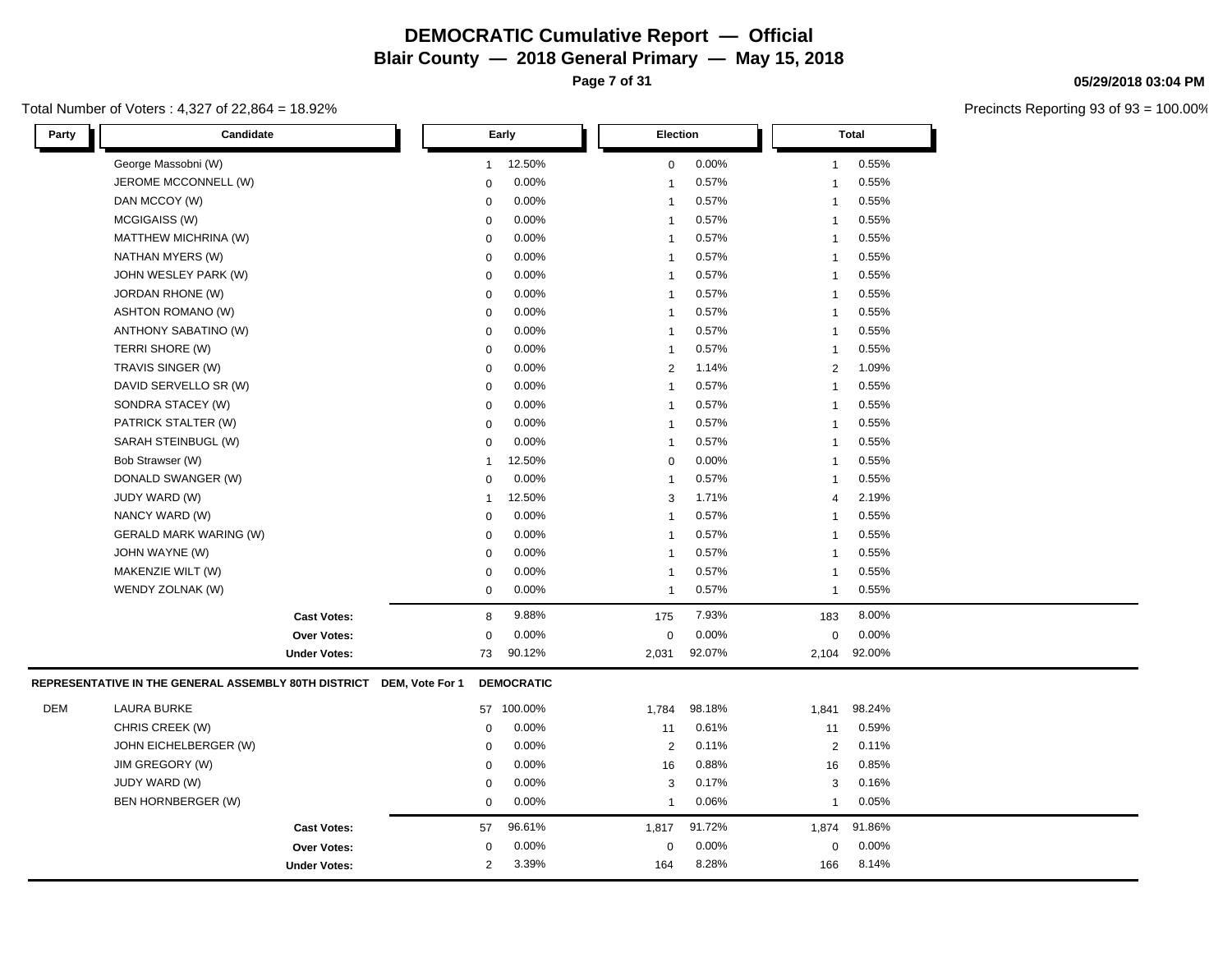**Page 7 of 31**

#### Total Number of Voters : 4,327 of 22,864 = 18.92%

г

| Party | Candidate                                                            |                     |                | Early             | <b>Election</b> |        |       | <b>Total</b>   |        |
|-------|----------------------------------------------------------------------|---------------------|----------------|-------------------|-----------------|--------|-------|----------------|--------|
|       | George Massobni (W)                                                  |                     | $\mathbf{1}$   | 12.50%            | $\mathbf 0$     | 0.00%  |       | $\mathbf{1}$   | 0.55%  |
|       | JEROME MCCONNELL (W)                                                 |                     | $\mathbf 0$    | 0.00%             | $\overline{1}$  | 0.57%  |       | $\overline{1}$ | 0.55%  |
|       | DAN MCCOY (W)                                                        |                     | $\mathbf 0$    | 0.00%             | $\overline{1}$  | 0.57%  |       | $\mathbf{1}$   | 0.55%  |
|       | MCGIGAISS (W)                                                        |                     | $\mathbf 0$    | 0.00%             | $\overline{1}$  | 0.57%  |       | $\overline{1}$ | 0.55%  |
|       | MATTHEW MICHRINA (W)                                                 |                     | $\mathbf 0$    | 0.00%             | $\overline{1}$  | 0.57%  |       | $\overline{1}$ | 0.55%  |
|       | NATHAN MYERS (W)                                                     |                     | $\mathbf 0$    | 0.00%             | $\overline{1}$  | 0.57%  |       | $\overline{1}$ | 0.55%  |
|       | JOHN WESLEY PARK (W)                                                 |                     | $\mathbf 0$    | 0.00%             | $\overline{1}$  | 0.57%  |       | $\overline{1}$ | 0.55%  |
|       | JORDAN RHONE (W)                                                     |                     | $\mathsf 0$    | 0.00%             | $\overline{1}$  | 0.57%  |       | $\mathbf{1}$   | 0.55%  |
|       | <b>ASHTON ROMANO (W)</b>                                             |                     | $\mathbf 0$    | 0.00%             | $\overline{1}$  | 0.57%  |       | $\overline{1}$ | 0.55%  |
|       | ANTHONY SABATINO (W)                                                 |                     | $\mathbf 0$    | 0.00%             | $\overline{1}$  | 0.57%  |       | $\overline{1}$ | 0.55%  |
|       | TERRI SHORE (W)                                                      |                     | $\mathbf 0$    | 0.00%             | $\overline{1}$  | 0.57%  |       | $\overline{1}$ | 0.55%  |
|       | TRAVIS SINGER (W)                                                    |                     | $\mathbf 0$    | 0.00%             | $\overline{2}$  | 1.14%  |       | $\overline{2}$ | 1.09%  |
|       | DAVID SERVELLO SR (W)                                                |                     | 0              | 0.00%             | $\overline{1}$  | 0.57%  |       | $\mathbf{1}$   | 0.55%  |
|       | SONDRA STACEY (W)                                                    |                     | 0              | 0.00%             | $\overline{1}$  | 0.57%  |       | $\overline{1}$ | 0.55%  |
|       | PATRICK STALTER (W)                                                  |                     | $\mathbf 0$    | 0.00%             | $\mathbf{1}$    | 0.57%  |       | $\overline{1}$ | 0.55%  |
|       | SARAH STEINBUGL (W)                                                  |                     | $\mathbf 0$    | 0.00%             | $\overline{1}$  | 0.57%  |       | $\overline{1}$ | 0.55%  |
|       | Bob Strawser (W)                                                     |                     | $\overline{1}$ | 12.50%            | $\mathbf 0$     | 0.00%  |       | $\overline{1}$ | 0.55%  |
|       | DONALD SWANGER (W)                                                   |                     | $\mathbf 0$    | 0.00%             | $\overline{1}$  | 0.57%  |       | $\overline{1}$ | 0.55%  |
|       | JUDY WARD (W)                                                        |                     | -1             | 12.50%            | 3               | 1.71%  |       | $\overline{4}$ | 2.19%  |
|       | NANCY WARD (W)                                                       |                     | $\mathbf 0$    | 0.00%             | $\overline{1}$  | 0.57%  |       | $\overline{1}$ | 0.55%  |
|       | <b>GERALD MARK WARING (W)</b>                                        |                     | $\mathbf 0$    | 0.00%             | $\overline{1}$  | 0.57%  |       | $\overline{1}$ | 0.55%  |
|       | JOHN WAYNE (W)                                                       |                     | $\mathbf 0$    | 0.00%             | $\overline{1}$  | 0.57%  |       | $\overline{1}$ | 0.55%  |
|       | MAKENZIE WILT (W)                                                    |                     | $\mathbf 0$    | 0.00%             | $\overline{1}$  | 0.57%  |       | $\overline{1}$ | 0.55%  |
|       | WENDY ZOLNAK (W)                                                     |                     | $\mathbf 0$    | 0.00%             | $\mathbf{1}$    | 0.57%  |       | $\mathbf{1}$   | 0.55%  |
|       |                                                                      | <b>Cast Votes:</b>  | 8              | 9.88%             | 175             | 7.93%  | 183   |                | 8.00%  |
|       |                                                                      | Over Votes:         | $\mathbf 0$    | 0.00%             | $\mathbf 0$     | 0.00%  |       | $\mathbf 0$    | 0.00%  |
|       |                                                                      | <b>Under Votes:</b> | 73             | 90.12%            | 2,031           | 92.07% | 2,104 |                | 92.00% |
|       | REPRESENTATIVE IN THE GENERAL ASSEMBLY 80TH DISTRICT DEM, Vote For 1 |                     |                | <b>DEMOCRATIC</b> |                 |        |       |                |        |
| DEM   | <b>LAURA BURKE</b>                                                   |                     |                | 57 100.00%        | 1,784           | 98.18% | 1,841 |                | 98.24% |
|       | CHRIS CREEK (W)                                                      |                     | $\mathsf 0$    | 0.00%             | 11              | 0.61%  | 11    |                | 0.59%  |
|       | JOHN EICHELBERGER (W)                                                |                     | $\mathsf 0$    | 0.00%             | $\overline{2}$  | 0.11%  |       | $\overline{2}$ | 0.11%  |
|       | JIM GREGORY (W)                                                      |                     | $\mathbf 0$    | 0.00%             | 16              | 0.88%  | 16    |                | 0.85%  |
|       | JUDY WARD (W)                                                        |                     | $\mathbf 0$    | 0.00%             | 3               | 0.17%  |       | 3              | 0.16%  |
|       | BEN HORNBERGER (W)                                                   |                     | $\mathbf 0$    | 0.00%             | $\overline{1}$  | 0.06%  |       | $\mathbf{1}$   | 0.05%  |
|       |                                                                      | <b>Cast Votes:</b>  | 57             | 96.61%            | 1,817           | 91.72% | 1,874 |                | 91.86% |
|       |                                                                      | <b>Over Votes:</b>  | 0              | 0.00%             | $\mathbf 0$     | 0.00%  |       | 0              | 0.00%  |
|       |                                                                      | <b>Under Votes:</b> | $\overline{2}$ | 3.39%             | 164             | 8.28%  | 166   |                | 8.14%  |

#### **05/29/2018 03:04 PM**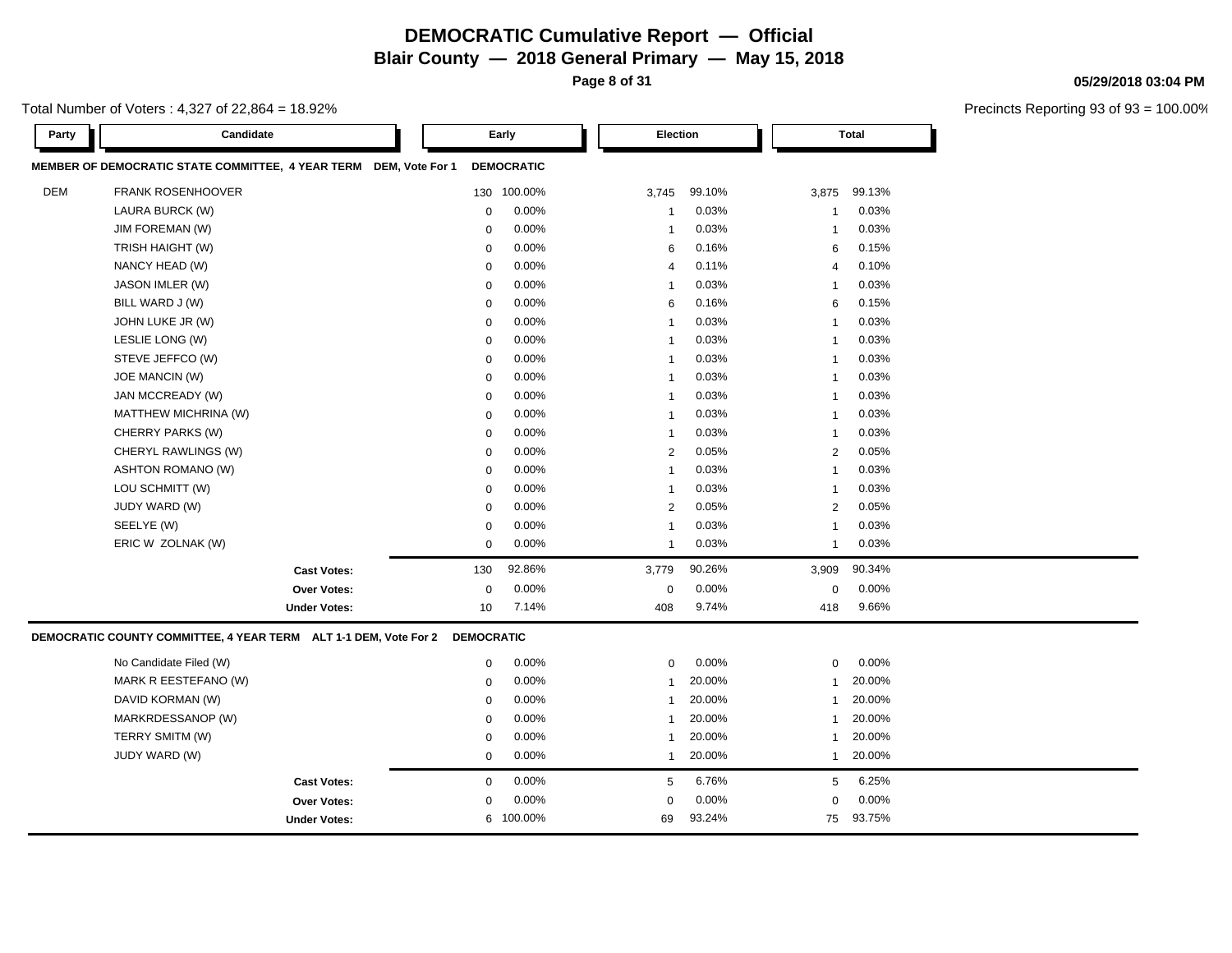**Page 8 of 31**

**05/29/2018 03:04 PM**

| Total Number of Voters : 4,327 of 22,864 = 18.92% |  |
|---------------------------------------------------|--|
|---------------------------------------------------|--|

| Party      | Candidate                                                         |                     |                   | Early             | <b>Election</b> |        |                 | <b>Total</b> |  |  |
|------------|-------------------------------------------------------------------|---------------------|-------------------|-------------------|-----------------|--------|-----------------|--------------|--|--|
|            | MEMBER OF DEMOCRATIC STATE COMMITTEE, 4 YEAR TERM DEM, Vote For 1 |                     |                   | <b>DEMOCRATIC</b> |                 |        |                 |              |  |  |
| <b>DEM</b> | <b>FRANK ROSENHOOVER</b>                                          |                     |                   | 130 100.00%       | 3,745           | 99.10% | 3,875           | 99.13%       |  |  |
|            | LAURA BURCK (W)                                                   |                     | $\mathbf 0$       | 0.00%             | -1              | 0.03%  | $\mathbf{1}$    | 0.03%        |  |  |
|            | JIM FOREMAN (W)                                                   |                     | $\mathbf 0$       | 0.00%             | -1              | 0.03%  | $\mathbf{1}$    | 0.03%        |  |  |
|            | TRISH HAIGHT (W)                                                  |                     | $\mathbf 0$       | 0.00%             | 6               | 0.16%  | 6               | 0.15%        |  |  |
|            | NANCY HEAD (W)                                                    |                     | $\mathbf 0$       | 0.00%             | 4               | 0.11%  | $\overline{4}$  | 0.10%        |  |  |
|            | JASON IMLER (W)                                                   |                     | $\mathbf 0$       | 0.00%             | $\mathbf{1}$    | 0.03%  | $\overline{1}$  | 0.03%        |  |  |
|            | BILL WARD J (W)                                                   |                     | $\mathbf 0$       | 0.00%             | 6               | 0.16%  | $6\phantom{1}6$ | 0.15%        |  |  |
|            | JOHN LUKE JR (W)                                                  |                     | $\mathbf 0$       | 0.00%             | $\mathbf{1}$    | 0.03%  | $\mathbf{1}$    | 0.03%        |  |  |
|            | LESLIE LONG (W)                                                   |                     | $\mathbf 0$       | 0.00%             | -1              | 0.03%  | $\mathbf{1}$    | 0.03%        |  |  |
|            | STEVE JEFFCO (W)                                                  |                     | $\mathbf 0$       | 0.00%             | $\mathbf{1}$    | 0.03%  | $\overline{1}$  | 0.03%        |  |  |
|            | <b>JOE MANCIN (W)</b>                                             |                     | $\mathbf 0$       | 0.00%             | -1              | 0.03%  | $\overline{1}$  | 0.03%        |  |  |
|            | JAN MCCREADY (W)                                                  |                     | $\mathbf 0$       | 0.00%             | 1               | 0.03%  | $\overline{1}$  | 0.03%        |  |  |
|            | MATTHEW MICHRINA (W)                                              |                     | $\pmb{0}$         | 0.00%             | $\mathbf{1}$    | 0.03%  | $\mathbf{1}$    | 0.03%        |  |  |
|            | CHERRY PARKS (W)                                                  |                     | $\mathbf 0$       | 0.00%             | $\mathbf{1}$    | 0.03%  | $\overline{1}$  | 0.03%        |  |  |
|            | CHERYL RAWLINGS (W)                                               |                     | $\mathbf 0$       | 0.00%             | $\overline{2}$  | 0.05%  | $\overline{2}$  | 0.05%        |  |  |
|            | <b>ASHTON ROMANO (W)</b>                                          |                     | $\mathbf 0$       | 0.00%             | $\mathbf{1}$    | 0.03%  | $\overline{1}$  | 0.03%        |  |  |
|            | LOU SCHMITT (W)                                                   |                     | $\Omega$          | 0.00%             | $\mathbf{1}$    | 0.03%  | $\overline{1}$  | 0.03%        |  |  |
|            | JUDY WARD (W)                                                     |                     | $\mathbf 0$       | 0.00%             | $\overline{2}$  | 0.05%  | $\overline{2}$  | 0.05%        |  |  |
|            | SEELYE (W)                                                        |                     | $\mathbf 0$       | 0.00%             | $\mathbf{1}$    | 0.03%  | $\overline{1}$  | 0.03%        |  |  |
|            | ERIC W ZOLNAK (W)                                                 |                     | $\mathbf 0$       | 0.00%             | $\mathbf{1}$    | 0.03%  | $\mathbf{1}$    | 0.03%        |  |  |
|            |                                                                   | <b>Cast Votes:</b>  | 130               | 92.86%            | 3,779           | 90.26% | 3,909           | 90.34%       |  |  |
|            |                                                                   | <b>Over Votes:</b>  | $\pmb{0}$         | 0.00%             | 0               | 0.00%  | $\mathbf 0$     | 0.00%        |  |  |
|            |                                                                   | <b>Under Votes:</b> | 10                | 7.14%             | 408             | 9.74%  | 418             | 9.66%        |  |  |
|            | DEMOCRATIC COUNTY COMMITTEE, 4 YEAR TERM ALT 1-1 DEM, Vote For 2  |                     | <b>DEMOCRATIC</b> |                   |                 |        |                 |              |  |  |
|            | No Candidate Filed (W)                                            |                     | $\mathbf 0$       | 0.00%             | $\mathbf 0$     | 0.00%  | $\pmb{0}$       | 0.00%        |  |  |
|            | MARK R EESTEFANO (W)                                              |                     | $\mathbf 0$       | 0.00%             | $\mathbf{1}$    | 20.00% | $\mathbf{1}$    | 20.00%       |  |  |
|            | DAVID KORMAN (W)                                                  |                     | $\mathbf 0$       | 0.00%             | $\mathbf{1}$    | 20.00% | $\mathbf{1}$    | 20.00%       |  |  |
|            | MARKRDESSANOP (W)                                                 |                     | $\mathbf 0$       | 0.00%             | -1              | 20.00% | $\mathbf{1}$    | 20.00%       |  |  |
|            | TERRY SMITM (W)                                                   |                     | $\mathbf 0$       | 0.00%             | 1               | 20.00% | -1              | 20.00%       |  |  |
|            | JUDY WARD (W)                                                     |                     | $\mathbf 0$       | 0.00%             | 1               | 20.00% | $\mathbf{1}$    | 20.00%       |  |  |
|            |                                                                   | <b>Cast Votes:</b>  | $\mathbf 0$       | $0.00\%$          | 5               | 6.76%  | 5               | 6.25%        |  |  |
|            |                                                                   | Over Votes:         | $\mathbf 0$       | 0.00%             | 0               | 0.00%  | $\mathbf 0$     | 0.00%        |  |  |
|            |                                                                   | <b>Under Votes:</b> | 6                 | 100.00%           | 69              | 93.24% | 75              | 93.75%       |  |  |
|            |                                                                   |                     |                   |                   |                 |        |                 |              |  |  |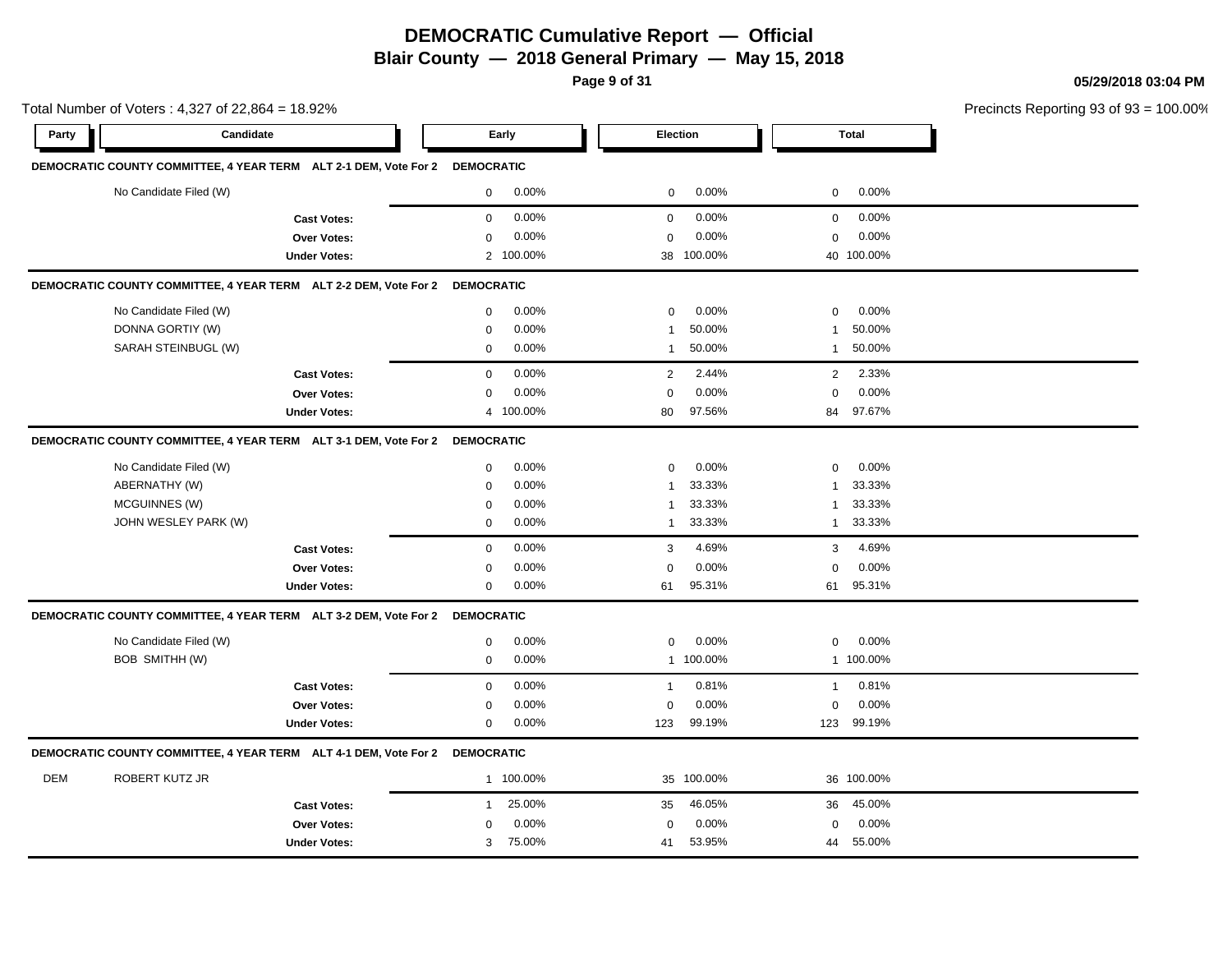**Page 9 of 31**

**05/29/2018 03:04 PM**

Total Number of Voters : 4,327 of 22,864 = 18.92% Precincts Reporting 93 of 93 = 100.00% **Party Candidate Early Election Total DEMOCRATIC COUNTY COMMITTEE, 4 YEAR TERM ALT 2-1 DEM, Vote For 2 DEMOCRATIC** No Candidate Filed (W)  $0.00\%$  0.00% 0 0.00% 0 0.00% 0 0.00% **Cast Votes:** 0 0.00% 0 0.00% 0 0.00% **Over Votes:** 0 0.00% **Under Votes:** 2 0.00% 0 100.00% 38 40 100.00% 100.00% 0.00% 0 0.00% **DEMOCRATIC COUNTY COMMITTEE, 4 YEAR TERM ALT 2-2 DEM, Vote For 2 DEMOCRATIC** No Candidate Filed (W)  $0.00\%$  0.00% 0 0.00% 0 0.00% 0 0.00% DONNA GORTIY (W) 0 0.00% 1 50.00% 1 50.00% SARAH STEINBUGL (W) 0 0.00% 1 50.00% 1 50.00% **Cast Votes:** 0 0.00% 2 2.44% 2 2.33% **Over Votes:** 0 0.00% **Under Votes:** 0.00% 0 100.00% 80 84 97.56% 97.67% 0.00% 0 0.00% **DEMOCRATIC COUNTY COMMITTEE, 4 YEAR TERM ALT 3-1 DEM, Vote For 2 DEMOCRATIC** No Candidate Filed (W) 0 0.00% 0 0.00% 0 0.00% ABERNATHY (W) 0 0.00% 1 33.33% 1 33.33% MCGUINNES (W) 0 0.00% 1 33.33% 1 33.33% JOHN WESLEY PARK (W) 0 0.00% 1 33.33% 1 33.33% **Cast Votes:** 0 0.00% 3 4.69% 3 4.69% **Over Votes:** 0 **Under Votes:** 0 0.00% 61 95.31%  $0.00%$  61 61 95.31% 95.31% 0.00% 0 0.00% **DEMOCRATIC COUNTY COMMITTEE, 4 YEAR TERM ALT 3-2 DEM, Vote For 2 DEMOCRATIC** No Candidate Filed (W)  $0.00\%$  0.00% 0 0.00% 0 0.00% 0 0.00% BOB SMITHH (W) 0 0.00% 1 100.00% 1 100.00% **Cast Votes:** 0 0.00% 1 0.81% 1 0.81% **Over Votes:** 0 0.00% **Under Votes:** 0 0.00% 0 123 99.19% 123 123 99.19% 99.19% 0.00% 0 0.00% **DEMOCRATIC COUNTY COMMITTEE, 4 YEAR TERM ALT 4-1 DEM, Vote For 2 DEMOCRATIC** DEM ROBERT KUTZ JR 1 100.00% 35 100.00% 36 100.00% **Cast Votes:** 1 25.00% 35 46.05% 36 45.00% **Over Votes:** 0 0.00% Under Votes: 3 75.00% 0.00% 0 75.00% 41 44 0.00% 0 0.00% 53.95% 55.00%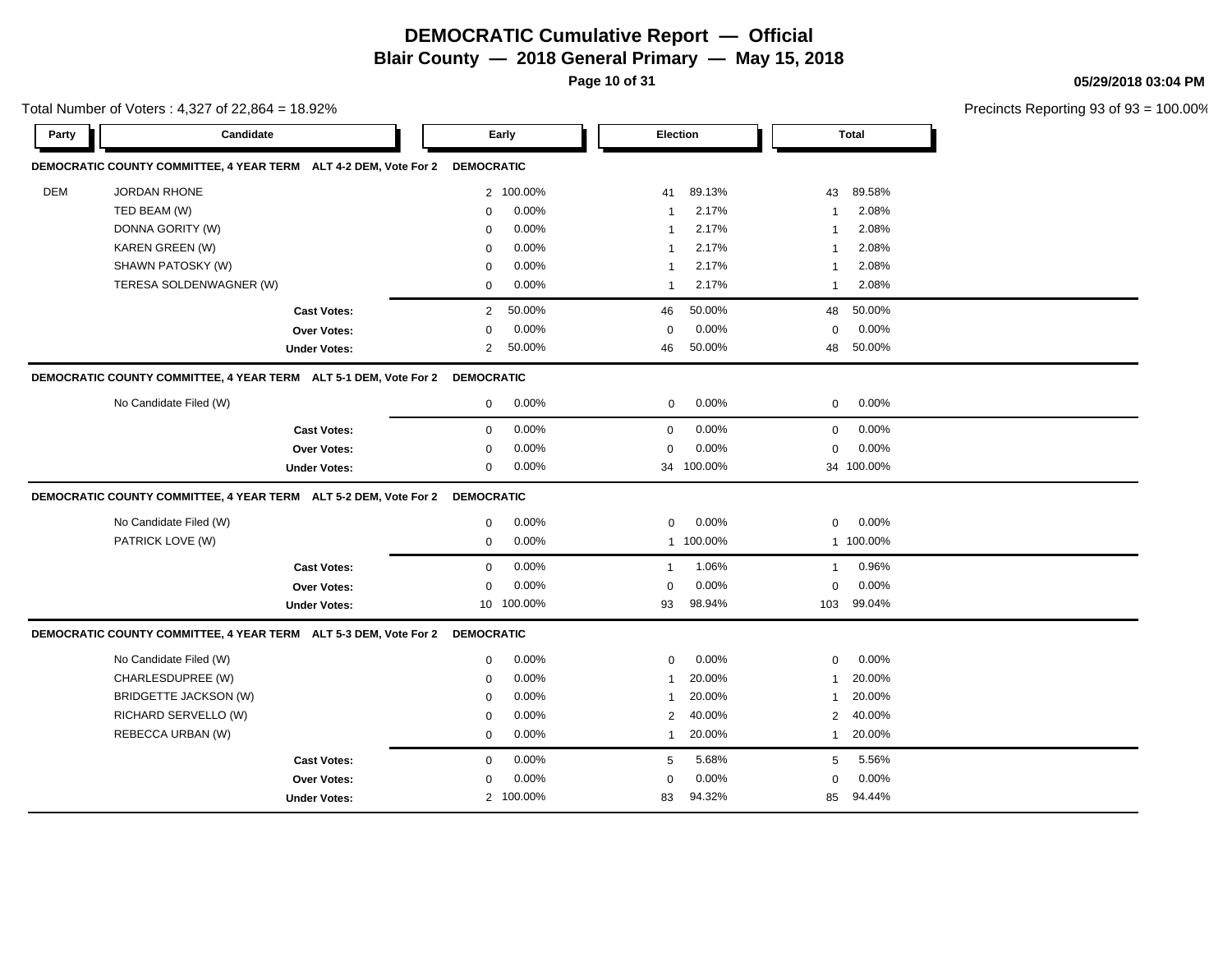**Page 10 of 31**

Total Number of Voters : 4,327 of 22,864 = 18.92%

#### **05/29/2018 03:04 PM**

| Party      | Candidate                                                                   | Early               |            | <b>Election</b> |            |                | <b>Total</b> |  |
|------------|-----------------------------------------------------------------------------|---------------------|------------|-----------------|------------|----------------|--------------|--|
|            | DEMOCRATIC COUNTY COMMITTEE, 4 YEAR TERM ALT 4-2 DEM, Vote For 2            | <b>DEMOCRATIC</b>   |            |                 |            |                |              |  |
| <b>DEM</b> | <b>JORDAN RHONE</b>                                                         |                     | 2 100.00%  | 41              | 89.13%     | 43             | 89.58%       |  |
|            | TED BEAM (W)                                                                | $\mathbf 0$         | 0.00%      | $\mathbf{1}$    | 2.17%      | $\mathbf{1}$   | 2.08%        |  |
|            | DONNA GORITY (W)                                                            | 0                   | 0.00%      | $\overline{1}$  | 2.17%      | -1             | 2.08%        |  |
|            | KAREN GREEN (W)                                                             | $\mathbf 0$         | 0.00%      | $\overline{1}$  | 2.17%      | -1             | 2.08%        |  |
|            | SHAWN PATOSKY (W)                                                           | $\mathbf 0$         | 0.00%      | $\overline{1}$  | 2.17%      | -1             | 2.08%        |  |
|            | TERESA SOLDENWAGNER (W)                                                     | $\mathbf 0$         | 0.00%      | $\overline{1}$  | 2.17%      | -1             | 2.08%        |  |
|            | <b>Cast Votes:</b>                                                          | $\overline{2}$      | 50.00%     | 46              | 50.00%     | 48             | 50.00%       |  |
|            | <b>Over Votes:</b>                                                          | $\mathbf 0$         | 0.00%      | $\mathbf 0$     | 0.00%      | $\mathbf 0$    | 0.00%        |  |
|            | <b>Under Votes:</b>                                                         | $\overline{2}$      | 50.00%     | 46              | 50.00%     | 48             | 50.00%       |  |
|            | DEMOCRATIC COUNTY COMMITTEE, 4 YEAR TERM ALT 5-1 DEM, Vote For 2 DEMOCRATIC |                     |            |                 |            |                |              |  |
|            | No Candidate Filed (W)                                                      | $\mathbf 0$         | 0.00%      | $\mathbf 0$     | 0.00%      | $\mathbf 0$    | $0.00\%$     |  |
|            | <b>Cast Votes:</b>                                                          | 0                   | 0.00%      | $\mathbf 0$     | 0.00%      | $\mathbf 0$    | 0.00%        |  |
|            | <b>Over Votes:</b>                                                          | 0                   | 0.00%      | $\mathbf 0$     | 0.00%      | 0              | 0.00%        |  |
|            | <b>Under Votes:</b>                                                         | 0                   | 0.00%      |                 | 34 100.00% |                | 34 100.00%   |  |
|            | DEMOCRATIC COUNTY COMMITTEE, 4 YEAR TERM ALT 5-2 DEM, Vote For 2 DEMOCRATIC |                     |            |                 |            |                |              |  |
|            | No Candidate Filed (W)                                                      | $\mathsf{O}\xspace$ | 0.00%      | $\mathbf 0$     | 0.00%      | 0              | 0.00%        |  |
|            | PATRICK LOVE (W)                                                            | 0                   | 0.00%      |                 | 1 100.00%  |                | 1 100.00%    |  |
|            | <b>Cast Votes:</b>                                                          | $\mathbf 0$         | 0.00%      | $\mathbf{1}$    | 1.06%      | $\mathbf{1}$   | 0.96%        |  |
|            | <b>Over Votes:</b>                                                          | $\mathbf 0$         | 0.00%      | $\mathbf 0$     | 0.00%      | $\mathbf 0$    | 0.00%        |  |
|            | <b>Under Votes:</b>                                                         |                     | 10 100.00% | 93              | 98.94%     | 103            | 99.04%       |  |
|            | DEMOCRATIC COUNTY COMMITTEE, 4 YEAR TERM ALT 5-3 DEM, Vote For 2 DEMOCRATIC |                     |            |                 |            |                |              |  |
|            | No Candidate Filed (W)                                                      | $\mathbf 0$         | 0.00%      | $\mathbf 0$     | 0.00%      | $\mathbf 0$    | 0.00%        |  |
|            | CHARLESDUPREE (W)                                                           | $\mathbf 0$         | 0.00%      | $\mathbf{1}$    | 20.00%     | $\mathbf{1}$   | 20.00%       |  |
|            | <b>BRIDGETTE JACKSON (W)</b>                                                | $\mathbf 0$         | 0.00%      | $\mathbf{1}$    | 20.00%     | $\mathbf{1}$   | 20.00%       |  |
|            | RICHARD SERVELLO (W)                                                        | 0                   | 0.00%      | $\overline{2}$  | 40.00%     | $\overline{2}$ | 40.00%       |  |
|            | REBECCA URBAN (W)                                                           | 0                   | 0.00%      | $\mathbf{1}$    | 20.00%     | $\mathbf{1}$   | 20.00%       |  |
|            | <b>Cast Votes:</b>                                                          | $\mathbf 0$         | 0.00%      | 5               | 5.68%      | 5              | 5.56%        |  |
|            | <b>Over Votes:</b>                                                          | $\mathbf 0$         | 0.00%      | $\mathbf 0$     | 0.00%      | $\mathbf 0$    | 0.00%        |  |
|            | <b>Under Votes:</b>                                                         |                     | 2 100.00%  | 83              | 94.32%     | 85             | 94.44%       |  |
|            |                                                                             |                     |            |                 |            |                |              |  |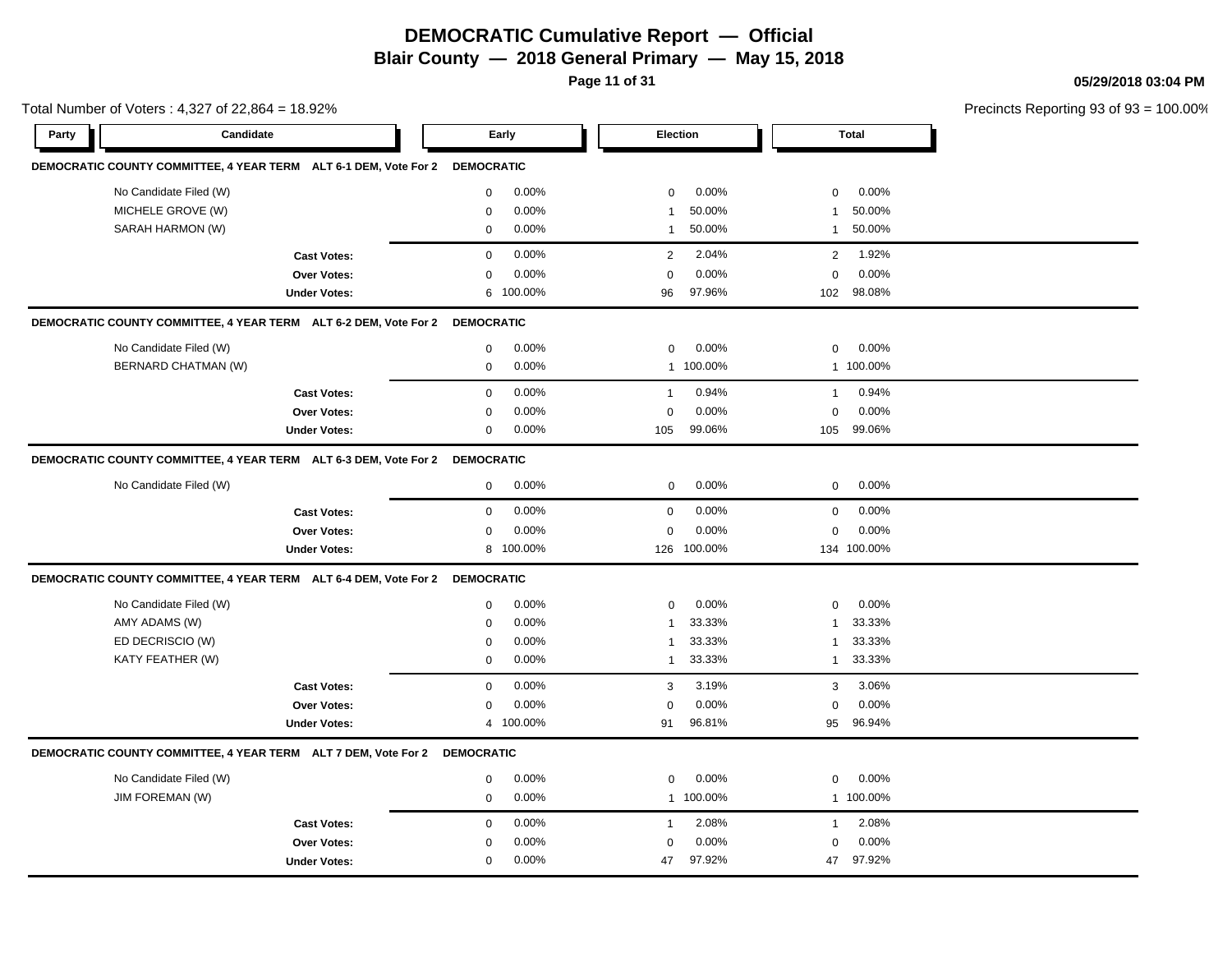# **DEMOCRATIC Cumulative Report — Official**

**Blair County — 2018 General Primary — May 15, 2018**

**Page 11 of 31**

**05/29/2018 03:04 PM**

| Total Number of Voters: 4,327 of 22,864 = 18.92% |                                                                             |                     |                   |           |                |                 |                |              | Precincts Reporting 93 of 93 |
|--------------------------------------------------|-----------------------------------------------------------------------------|---------------------|-------------------|-----------|----------------|-----------------|----------------|--------------|------------------------------|
| Party                                            | Candidate                                                                   |                     |                   | Early     |                | <b>Election</b> |                | <b>Total</b> |                              |
|                                                  | DEMOCRATIC COUNTY COMMITTEE, 4 YEAR TERM ALT 6-1 DEM, Vote For 2 DEMOCRATIC |                     |                   |           |                |                 |                |              |                              |
|                                                  | No Candidate Filed (W)                                                      |                     | 0                 | 0.00%     | 0              | 0.00%           | 0              | 0.00%        |                              |
|                                                  | MICHELE GROVE (W)                                                           |                     | $\mathbf 0$       | 0.00%     | $\mathbf{1}$   | 50.00%          | -1             | 50.00%       |                              |
|                                                  | SARAH HARMON (W)                                                            |                     | $\mathbf 0$       | 0.00%     | $\mathbf{1}$   | 50.00%          | $\mathbf{1}$   | 50.00%       |                              |
|                                                  |                                                                             | <b>Cast Votes:</b>  | $\mathbf 0$       | 0.00%     | $\overline{2}$ | 2.04%           | $\overline{2}$ | 1.92%        |                              |
|                                                  |                                                                             | Over Votes:         | $\mathbf 0$       | 0.00%     | $\mathbf 0$    | 0.00%           | $\mathbf 0$    | 0.00%        |                              |
|                                                  |                                                                             | <b>Under Votes:</b> | 6                 | 100.00%   | 96             | 97.96%          | 102            | 98.08%       |                              |
|                                                  | DEMOCRATIC COUNTY COMMITTEE, 4 YEAR TERM ALT 6-2 DEM, Vote For 2 DEMOCRATIC |                     |                   |           |                |                 |                |              |                              |
|                                                  | No Candidate Filed (W)                                                      |                     | 0                 | 0.00%     | $\mathbf 0$    | 0.00%           | $\mathbf 0$    | 0.00%        |                              |
|                                                  | BERNARD CHATMAN (W)                                                         |                     | $\mathsf 0$       | 0.00%     | $\mathbf{1}$   | 100.00%         |                | 1 100.00%    |                              |
|                                                  |                                                                             | <b>Cast Votes:</b>  | $\mathbf 0$       | 0.00%     | $\mathbf{1}$   | 0.94%           | $\mathbf{1}$   | 0.94%        |                              |
|                                                  |                                                                             | Over Votes:         | $\mathbf 0$       | $0.00\%$  | $\mathbf 0$    | 0.00%           | $\mathbf 0$    | 0.00%        |                              |
|                                                  |                                                                             | <b>Under Votes:</b> | $\mathbf 0$       | 0.00%     | 105            | 99.06%          | 105            | 99.06%       |                              |
|                                                  | DEMOCRATIC COUNTY COMMITTEE, 4 YEAR TERM ALT 6-3 DEM, Vote For 2 DEMOCRATIC |                     |                   |           |                |                 |                |              |                              |
|                                                  | No Candidate Filed (W)                                                      |                     | 0                 | 0.00%     | $\mathbf 0$    | 0.00%           | $\mathbf 0$    | 0.00%        |                              |
|                                                  |                                                                             | <b>Cast Votes:</b>  | $\mathbf{0}$      | 0.00%     | $\mathbf 0$    | 0.00%           | $\mathbf 0$    | 0.00%        |                              |
|                                                  |                                                                             | <b>Over Votes:</b>  | $\mathbf 0$       | 0.00%     | $\mathbf 0$    | 0.00%           | $\mathbf 0$    | 0.00%        |                              |
|                                                  |                                                                             | <b>Under Votes:</b> | 8                 | 100.00%   |                | 126 100.00%     |                | 134 100.00%  |                              |
|                                                  | DEMOCRATIC COUNTY COMMITTEE, 4 YEAR TERM ALT 6-4 DEM, Vote For 2            |                     | <b>DEMOCRATIC</b> |           |                |                 |                |              |                              |
|                                                  | No Candidate Filed (W)                                                      |                     | $\mathbf 0$       | 0.00%     | $\mathbf 0$    | 0.00%           | $\mathbf 0$    | 0.00%        |                              |
|                                                  | AMY ADAMS (W)                                                               |                     | $\mathbf 0$       | 0.00%     | $\mathbf{1}$   | 33.33%          | $\mathbf{1}$   | 33.33%       |                              |
|                                                  | ED DECRISCIO (W)                                                            |                     | $\mathbf 0$       | 0.00%     | $\mathbf{1}$   | 33.33%          | $\mathbf{1}$   | 33.33%       |                              |
|                                                  | KATY FEATHER (W)                                                            |                     | $\mathsf 0$       | 0.00%     | $\mathbf{1}$   | 33.33%          | $\mathbf{1}$   | 33.33%       |                              |
|                                                  |                                                                             | <b>Cast Votes:</b>  | $\mathbf 0$       | 0.00%     | 3              | 3.19%           | 3              | 3.06%        |                              |
|                                                  |                                                                             | Over Votes:         | $\mathbf 0$       | 0.00%     | $\mathbf 0$    | 0.00%           | $\mathbf 0$    | 0.00%        |                              |
|                                                  |                                                                             | <b>Under Votes:</b> |                   | 4 100.00% | 91             | 96.81%          | 95             | 96.94%       |                              |
|                                                  | DEMOCRATIC COUNTY COMMITTEE, 4 YEAR TERM ALT 7 DEM, Vote For 2 DEMOCRATIC   |                     |                   |           |                |                 |                |              |                              |
|                                                  | No Candidate Filed (W)                                                      |                     | $\mathbf 0$       | 0.00%     | $\mathbf 0$    | 0.00%           | $\mathbf 0$    | 0.00%        |                              |
|                                                  | JIM FOREMAN (W)                                                             |                     | $\mathbf 0$       | 0.00%     |                | 1 100.00%       |                | 1 100.00%    |                              |
|                                                  |                                                                             | <b>Cast Votes:</b>  | $\mathbf 0$       | 0.00%     | 1              | 2.08%           | $\mathbf{1}$   | 2.08%        |                              |
|                                                  |                                                                             | Over Votes:         | 0                 | $0.00\%$  | $\Omega$       | 0.00%           | $\mathbf 0$    | 0.00%        |                              |
|                                                  |                                                                             | <b>Under Votes:</b> | 0                 | 0.00%     | 47             | 97.92%          | 47             | 97.92%       |                              |
|                                                  |                                                                             |                     |                   |           |                |                 |                |              |                              |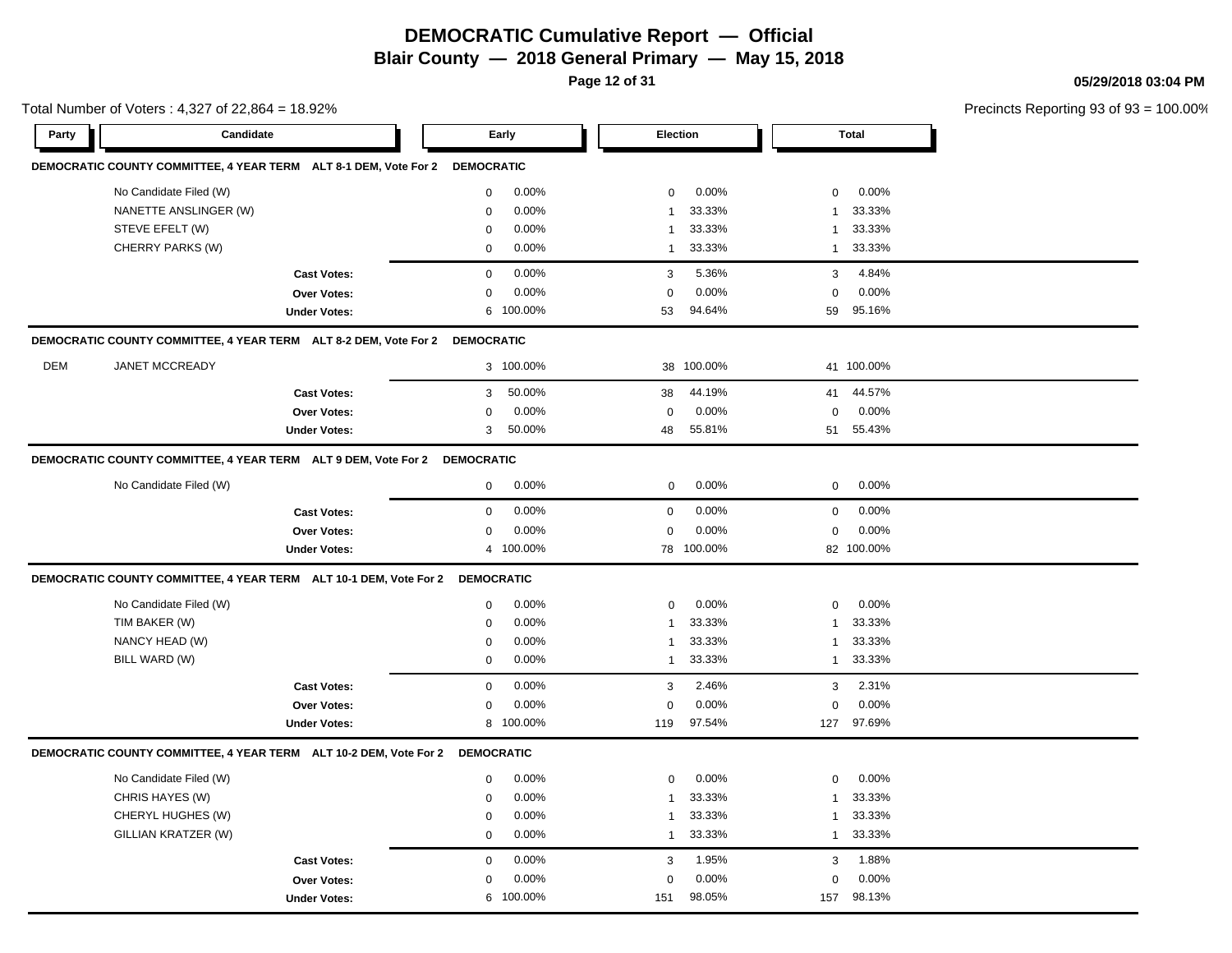**Page 12 of 31**

**05/29/2018 03:04 PM**

|       | Total Number of Voters: 4,327 of 22,864 = 18.92%                             |                     |                   |           |                 |            |              |              | Precincts Reporting 93 of 93 |
|-------|------------------------------------------------------------------------------|---------------------|-------------------|-----------|-----------------|------------|--------------|--------------|------------------------------|
| Party | <b>Candidate</b>                                                             |                     |                   | Early     | <b>Election</b> |            |              | <b>Total</b> |                              |
|       | DEMOCRATIC COUNTY COMMITTEE, 4 YEAR TERM ALT 8-1 DEM, Vote For 2 DEMOCRATIC  |                     |                   |           |                 |            |              |              |                              |
|       | No Candidate Filed (W)                                                       |                     | 0                 | 0.00%     | $\mathbf 0$     | 0.00%      | $\mathbf 0$  | 0.00%        |                              |
|       | NANETTE ANSLINGER (W)                                                        |                     | 0                 | 0.00%     | $\overline{1}$  | 33.33%     | $\mathbf{1}$ | 33.33%       |                              |
|       | STEVE EFELT (W)                                                              |                     | 0                 | 0.00%     | $\mathbf 1$     | 33.33%     | -1           | 33.33%       |                              |
|       | CHERRY PARKS (W)                                                             |                     | 0                 | 0.00%     | $\overline{1}$  | 33.33%     | $\mathbf{1}$ | 33.33%       |                              |
|       |                                                                              | <b>Cast Votes:</b>  | $\mathbf 0$       | 0.00%     | 3               | 5.36%      | 3            | 4.84%        |                              |
|       |                                                                              | Over Votes:         | 0                 | 0.00%     | $\Omega$        | 0.00%      | $\Omega$     | 0.00%        |                              |
|       |                                                                              | <b>Under Votes:</b> |                   | 6 100.00% | 53              | 94.64%     | 59           | 95.16%       |                              |
|       | DEMOCRATIC COUNTY COMMITTEE, 4 YEAR TERM ALT 8-2 DEM, Vote For 2 DEMOCRATIC  |                     |                   |           |                 |            |              |              |                              |
| DEM   | <b>JANET MCCREADY</b>                                                        |                     |                   | 3 100.00% |                 | 38 100.00% |              | 41 100.00%   |                              |
|       |                                                                              | <b>Cast Votes:</b>  | 3                 | 50.00%    | 38              | 44.19%     | 41           | 44.57%       |                              |
|       |                                                                              | Over Votes:         | 0                 | 0.00%     | $\mathbf 0$     | $0.00\%$   | $\mathbf 0$  | 0.00%        |                              |
|       |                                                                              | <b>Under Votes:</b> | 3                 | 50.00%    | 48              | 55.81%     | 51           | 55.43%       |                              |
|       | DEMOCRATIC COUNTY COMMITTEE, 4 YEAR TERM ALT 9 DEM, Vote For 2 DEMOCRATIC    |                     |                   |           |                 |            |              |              |                              |
|       | No Candidate Filed (W)                                                       |                     | 0                 | 0.00%     | $\mathbf 0$     | 0.00%      | 0            | 0.00%        |                              |
|       |                                                                              | <b>Cast Votes:</b>  | 0                 | 0.00%     | 0               | 0.00%      | $\mathbf 0$  | 0.00%        |                              |
|       |                                                                              | Over Votes:         | $\mathbf 0$       | 0.00%     | $\mathbf 0$     | 0.00%      | $\mathbf 0$  | 0.00%        |                              |
|       |                                                                              | <b>Under Votes:</b> |                   | 4 100.00% |                 | 78 100.00% |              | 82 100.00%   |                              |
|       | DEMOCRATIC COUNTY COMMITTEE, 4 YEAR TERM ALT 10-1 DEM, Vote For 2 DEMOCRATIC |                     |                   |           |                 |            |              |              |                              |
|       | No Candidate Filed (W)                                                       |                     | 0                 | 0.00%     | $\mathbf 0$     | 0.00%      | $\mathbf 0$  | 0.00%        |                              |
|       | TIM BAKER (W)                                                                |                     | 0                 | 0.00%     | $\overline{1}$  | 33.33%     | 1            | 33.33%       |                              |
|       | NANCY HEAD (W)                                                               |                     | 0                 | 0.00%     | $\mathbf{1}$    | 33.33%     | -1           | 33.33%       |                              |
|       | BILL WARD (W)                                                                |                     | 0                 | 0.00%     | $\overline{1}$  | 33.33%     | $\mathbf{1}$ | 33.33%       |                              |
|       |                                                                              | <b>Cast Votes:</b>  | $\mathbf 0$       | 0.00%     | 3               | 2.46%      | 3            | 2.31%        |                              |
|       |                                                                              | Over Votes:         | 0                 | 0.00%     | $\Omega$        | 0.00%      | $\Omega$     | 0.00%        |                              |
|       |                                                                              | <b>Under Votes:</b> |                   | 8 100.00% | 119             | 97.54%     | 127          | 97.69%       |                              |
|       | DEMOCRATIC COUNTY COMMITTEE, 4 YEAR TERM ALT 10-2 DEM, Vote For 2            |                     | <b>DEMOCRATIC</b> |           |                 |            |              |              |                              |
|       | No Candidate Filed (W)                                                       |                     | 0                 | 0.00%     | $\mathbf 0$     | 0.00%      | $\mathbf 0$  | 0.00%        |                              |
|       | CHRIS HAYES (W)                                                              |                     | $\mathbf 0$       | 0.00%     | $\mathbf 1$     | 33.33%     | 1            | 33.33%       |                              |
|       | CHERYL HUGHES (W)                                                            |                     | 0                 | 0.00%     | $\mathbf 1$     | 33.33%     | 1            | 33.33%       |                              |
|       | GILLIAN KRATZER (W)                                                          |                     | $\mathbf 0$       | 0.00%     | $\overline{1}$  | 33.33%     | $\mathbf{1}$ | 33.33%       |                              |
|       |                                                                              | <b>Cast Votes:</b>  | $\mathbf 0$       | 0.00%     | 3               | 1.95%      | 3            | 1.88%        |                              |
|       |                                                                              | <b>Over Votes:</b>  | 0                 | 0.00%     | $\mathbf 0$     | 0.00%      | $\mathbf 0$  | 0.00%        |                              |
|       |                                                                              | <b>Under Votes:</b> |                   | 6 100.00% | 151             | 98.05%     | 157          | 98.13%       |                              |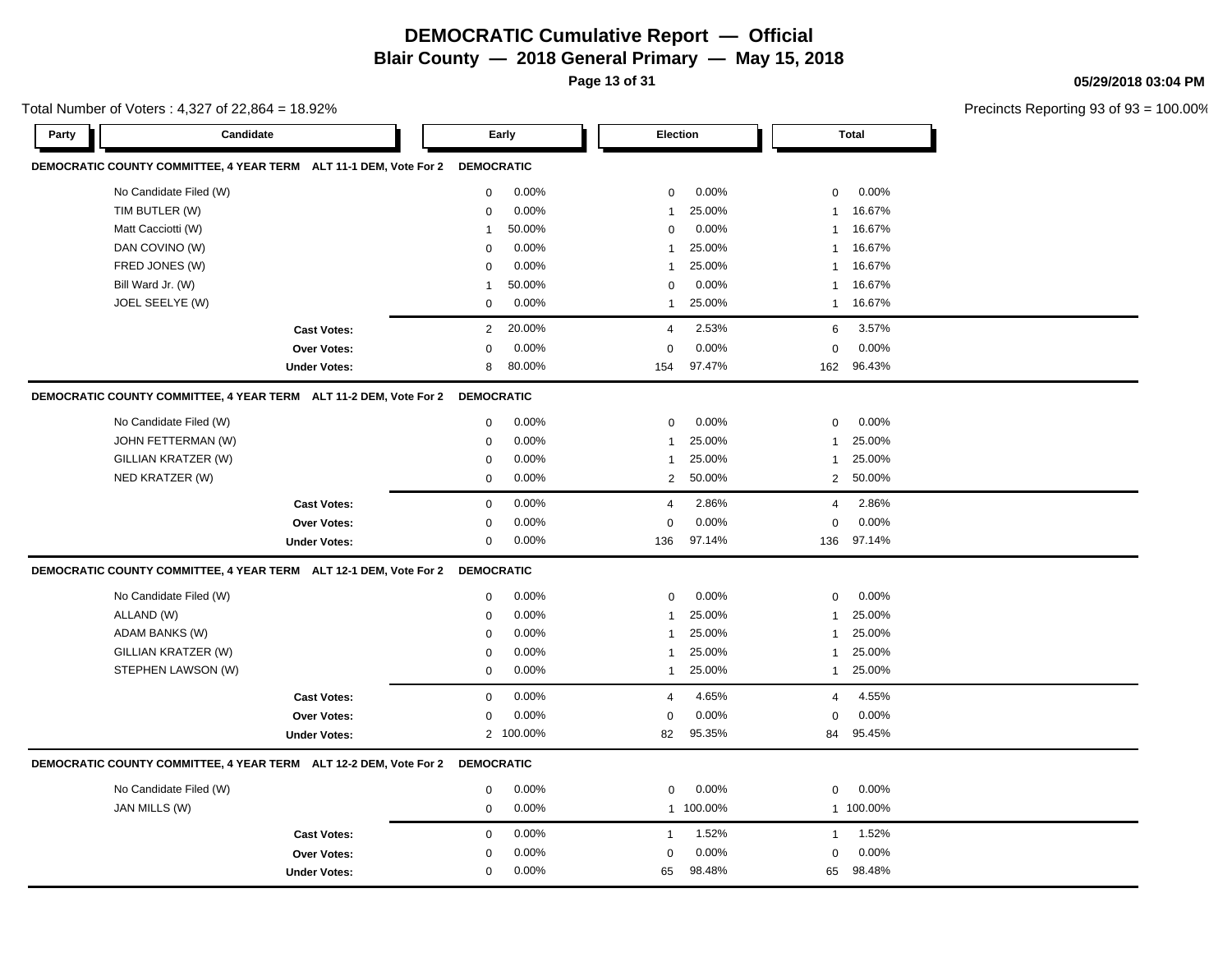**Page 13 of 31**

**05/29/2018 03:04 PM**

|       | Total Number of Voters: 4,327 of 22,864 = 18.92%                             |                     |                   |           |                |           |                 | Precincts Reporting 93 o |  |
|-------|------------------------------------------------------------------------------|---------------------|-------------------|-----------|----------------|-----------|-----------------|--------------------------|--|
| Party | Candidate                                                                    |                     |                   | Early     | Election       |           |                 | <b>Total</b>             |  |
|       | DEMOCRATIC COUNTY COMMITTEE, 4 YEAR TERM ALT 11-1 DEM, Vote For 2 DEMOCRATIC |                     |                   |           |                |           |                 |                          |  |
|       | No Candidate Filed (W)                                                       |                     | 0                 | 0.00%     | 0              | 0.00%     | $\mathbf 0$     | 0.00%                    |  |
|       | TIM BUTLER (W)                                                               |                     | 0                 | 0.00%     | -1             | 25.00%    | $\mathbf{1}$    | 16.67%                   |  |
|       | Matt Cacciotti (W)                                                           |                     | $\mathbf 1$       | 50.00%    | $\Omega$       | 0.00%     | $\overline{1}$  | 16.67%                   |  |
|       | DAN COVINO (W)                                                               |                     | 0                 | 0.00%     | -1             | 25.00%    | $\overline{1}$  | 16.67%                   |  |
|       | FRED JONES (W)                                                               |                     | 0                 | 0.00%     | 1              | 25.00%    | $\mathbf{1}$    | 16.67%                   |  |
|       | Bill Ward Jr. (W)                                                            |                     | 1                 | 50.00%    | 0              | 0.00%     | $\mathbf{1}$    | 16.67%                   |  |
|       | JOEL SEELYE (W)                                                              |                     | 0                 | 0.00%     | $\mathbf{1}$   | 25.00%    | $\mathbf{1}$    | 16.67%                   |  |
|       |                                                                              | <b>Cast Votes:</b>  | 2                 | 20.00%    | $\overline{4}$ | 2.53%     | $6\phantom{1}6$ | 3.57%                    |  |
|       |                                                                              | Over Votes:         | $\mathbf 0$       | 0.00%     | $\mathbf 0$    | 0.00%     | $\mathbf 0$     | 0.00%                    |  |
|       |                                                                              | <b>Under Votes:</b> | 8                 | 80.00%    | 154            | 97.47%    | 162             | 96.43%                   |  |
|       | DEMOCRATIC COUNTY COMMITTEE, 4 YEAR TERM ALT 11-2 DEM, Vote For 2            |                     | <b>DEMOCRATIC</b> |           |                |           |                 |                          |  |
|       | No Candidate Filed (W)                                                       |                     | 0                 | 0.00%     | $\mathbf 0$    | 0.00%     | $\mathbf 0$     | 0.00%                    |  |
|       | JOHN FETTERMAN (W)                                                           |                     | 0                 | 0.00%     | 1              | 25.00%    | $\mathbf{1}$    | 25.00%                   |  |
|       | GILLIAN KRATZER (W)                                                          |                     | 0                 | 0.00%     | 1              | 25.00%    | $\mathbf{1}$    | 25.00%                   |  |
|       | NED KRATZER (W)                                                              |                     | $\mathbf 0$       | 0.00%     | 2              | 50.00%    | 2               | 50.00%                   |  |
|       |                                                                              | <b>Cast Votes:</b>  | 0                 | 0.00%     | 4              | 2.86%     | $\overline{4}$  | 2.86%                    |  |
|       |                                                                              | <b>Over Votes:</b>  | 0                 | 0.00%     | $\mathbf 0$    | 0.00%     | $\mathbf 0$     | 0.00%                    |  |
|       |                                                                              | <b>Under Votes:</b> | 0                 | 0.00%     | 136            | 97.14%    | 136             | 97.14%                   |  |
|       | DEMOCRATIC COUNTY COMMITTEE, 4 YEAR TERM ALT 12-1 DEM, Vote For 2 DEMOCRATIC |                     |                   |           |                |           |                 |                          |  |
|       | No Candidate Filed (W)                                                       |                     | 0                 | 0.00%     | 0              | 0.00%     | $\mathbf 0$     | 0.00%                    |  |
|       | ALLAND (W)                                                                   |                     | 0                 | 0.00%     | $\mathbf{1}$   | 25.00%    | $\mathbf{1}$    | 25.00%                   |  |
|       | ADAM BANKS (W)                                                               |                     | 0                 | 0.00%     | 1              | 25.00%    | $\mathbf{1}$    | 25.00%                   |  |
|       | GILLIAN KRATZER (W)                                                          |                     | 0                 | 0.00%     | -1             | 25.00%    | -1              | 25.00%                   |  |
|       | STEPHEN LAWSON (W)                                                           |                     | $\mathbf 0$       | 0.00%     | $\mathbf{1}$   | 25.00%    | $\mathbf{1}$    | 25.00%                   |  |
|       |                                                                              | <b>Cast Votes:</b>  | 0                 | 0.00%     | 4              | 4.65%     | $\overline{4}$  | 4.55%                    |  |
|       |                                                                              | Over Votes:         | 0                 | 0.00%     | 0              | 0.00%     | 0               | 0.00%                    |  |
|       |                                                                              | <b>Under Votes:</b> |                   | 2 100.00% | 82             | 95.35%    | 84              | 95.45%                   |  |
|       | DEMOCRATIC COUNTY COMMITTEE, 4 YEAR TERM ALT 12-2 DEM, Vote For 2            |                     | <b>DEMOCRATIC</b> |           |                |           |                 |                          |  |
|       | No Candidate Filed (W)                                                       |                     | 0                 | 0.00%     | 0              | 0.00%     | $\mathbf 0$     | 0.00%                    |  |
|       | JAN MILLS (W)                                                                |                     | 0                 | 0.00%     |                | 1 100.00% |                 | 1 100.00%                |  |
|       |                                                                              | <b>Cast Votes:</b>  | 0                 | 0.00%     | $\mathbf{1}$   | 1.52%     | $\mathbf{1}$    | 1.52%                    |  |
|       |                                                                              | Over Votes:         | 0                 | 0.00%     | $\mathbf 0$    | 0.00%     | $\mathbf 0$     | 0.00%                    |  |
|       |                                                                              | <b>Under Votes:</b> | $\mathbf 0$       | 0.00%     | 65             | 98.48%    | 65              | 98.48%                   |  |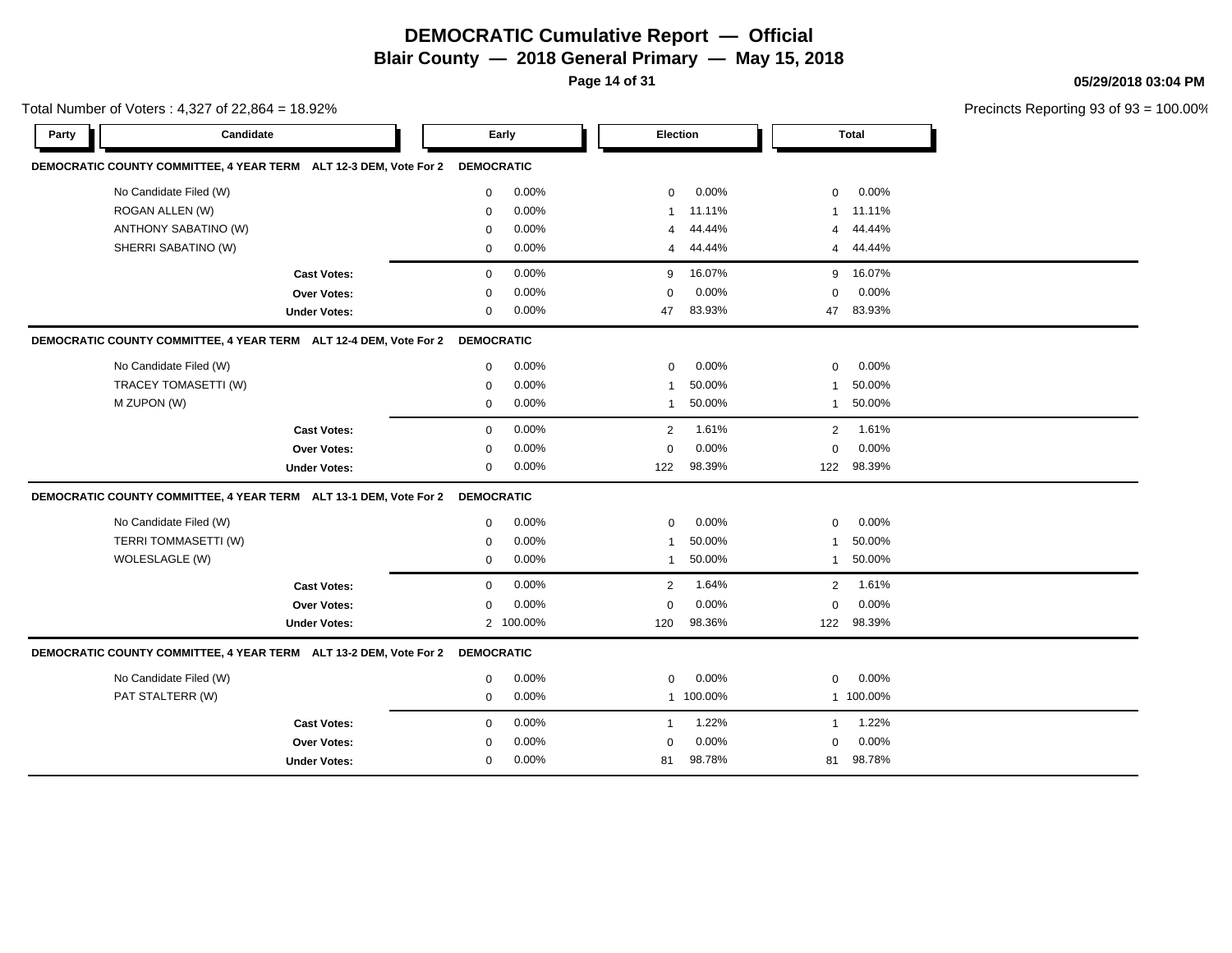**Page 14 of 31**

**05/29/2018 03:04 PM**

| Total Number of Voters: 4,327 of 22,864 = 18.92% |                                                                              |                                                                              |             |           |                |           |                | Precincts Reporting 93 of 93 |  |
|--------------------------------------------------|------------------------------------------------------------------------------|------------------------------------------------------------------------------|-------------|-----------|----------------|-----------|----------------|------------------------------|--|
| Party                                            | Candidate                                                                    |                                                                              |             | Early     |                | Election  |                | <b>Total</b>                 |  |
|                                                  | DEMOCRATIC COUNTY COMMITTEE, 4 YEAR TERM ALT 12-3 DEM, Vote For 2 DEMOCRATIC |                                                                              |             |           |                |           |                |                              |  |
|                                                  | No Candidate Filed (W)                                                       |                                                                              | 0           | 0.00%     | 0              | 0.00%     | $\mathbf 0$    | 0.00%                        |  |
|                                                  | ROGAN ALLEN (W)                                                              |                                                                              | 0           | 0.00%     | 1              | 11.11%    | -1             | 11.11%                       |  |
|                                                  | ANTHONY SABATINO (W)                                                         |                                                                              | $\Omega$    | 0.00%     | 4              | 44.44%    | 4              | 44.44%                       |  |
|                                                  | SHERRI SABATINO (W)                                                          |                                                                              | $\mathbf 0$ | 0.00%     | 4              | 44.44%    | $\overline{4}$ | 44.44%                       |  |
|                                                  |                                                                              | <b>Cast Votes:</b>                                                           | $\mathbf 0$ | 0.00%     | 9              | 16.07%    |                | 9 16.07%                     |  |
|                                                  |                                                                              | Over Votes:                                                                  | $\mathbf 0$ | 0.00%     | $\mathbf 0$    | 0.00%     | $\mathbf 0$    | 0.00%                        |  |
|                                                  |                                                                              | <b>Under Votes:</b>                                                          | 0           | 0.00%     | 47             | 83.93%    | 47             | 83.93%                       |  |
|                                                  |                                                                              | DEMOCRATIC COUNTY COMMITTEE, 4 YEAR TERM ALT 12-4 DEM, Vote For 2 DEMOCRATIC |             |           |                |           |                |                              |  |
|                                                  | No Candidate Filed (W)                                                       |                                                                              | 0           | 0.00%     | 0              | 0.00%     | $\mathbf 0$    | 0.00%                        |  |
|                                                  | TRACEY TOMASETTI (W)                                                         |                                                                              | $\mathbf 0$ | 0.00%     | $\overline{1}$ | 50.00%    | -1             | 50.00%                       |  |
|                                                  | M ZUPON (W)                                                                  |                                                                              | $\mathbf 0$ | 0.00%     | $\mathbf{1}$   | 50.00%    | -1             | 50.00%                       |  |
|                                                  |                                                                              | <b>Cast Votes:</b>                                                           | $\mathbf 0$ | 0.00%     | 2              | 1.61%     | $\overline{2}$ | 1.61%                        |  |
|                                                  |                                                                              | <b>Over Votes:</b>                                                           | 0           | 0.00%     | $\mathbf 0$    | 0.00%     | $\mathbf 0$    | 0.00%                        |  |
|                                                  |                                                                              | <b>Under Votes:</b>                                                          | $\mathbf 0$ | 0.00%     | 122            | 98.39%    | 122            | 98.39%                       |  |
|                                                  |                                                                              | DEMOCRATIC COUNTY COMMITTEE, 4 YEAR TERM ALT 13-1 DEM, Vote For 2 DEMOCRATIC |             |           |                |           |                |                              |  |
|                                                  | No Candidate Filed (W)                                                       |                                                                              | $\mathbf 0$ | 0.00%     | 0              | 0.00%     | $\mathbf 0$    | 0.00%                        |  |
|                                                  | TERRI TOMMASETTI (W)                                                         |                                                                              | $\mathbf 0$ | 0.00%     | 1              | 50.00%    | -1             | 50.00%                       |  |
|                                                  | WOLESLAGLE (W)                                                               |                                                                              | $\mathbf 0$ | 0.00%     | $\mathbf{1}$   | 50.00%    | $\mathbf{1}$   | 50.00%                       |  |
|                                                  |                                                                              | <b>Cast Votes:</b>                                                           | $\mathbf 0$ | 0.00%     | 2              | 1.64%     | $\overline{2}$ | 1.61%                        |  |
|                                                  |                                                                              | Over Votes:                                                                  | $\mathbf 0$ | 0.00%     | $\mathbf 0$    | 0.00%     | $\mathbf 0$    | 0.00%                        |  |
|                                                  |                                                                              | <b>Under Votes:</b>                                                          |             | 2 100.00% | 120            | 98.36%    | 122            | 98.39%                       |  |
|                                                  |                                                                              | DEMOCRATIC COUNTY COMMITTEE, 4 YEAR TERM ALT 13-2 DEM, Vote For 2 DEMOCRATIC |             |           |                |           |                |                              |  |
|                                                  | No Candidate Filed (W)                                                       |                                                                              | $\mathbf 0$ | 0.00%     | $\Omega$       | 0.00%     | 0              | 0.00%                        |  |
|                                                  | PAT STALTERR (W)                                                             |                                                                              | $\mathbf 0$ | 0.00%     |                | 1 100.00% |                | 1 100.00%                    |  |
|                                                  |                                                                              | <b>Cast Votes:</b>                                                           | $\mathbf 0$ | 0.00%     | $\mathbf{1}$   | 1.22%     | $\mathbf{1}$   | 1.22%                        |  |
|                                                  |                                                                              | <b>Over Votes:</b>                                                           | $\Omega$    | 0.00%     | $\mathbf 0$    | 0.00%     | $\mathbf 0$    | 0.00%                        |  |
|                                                  |                                                                              | <b>Under Votes:</b>                                                          | 0           | 0.00%     | 81             | 98.78%    | 81             | 98.78%                       |  |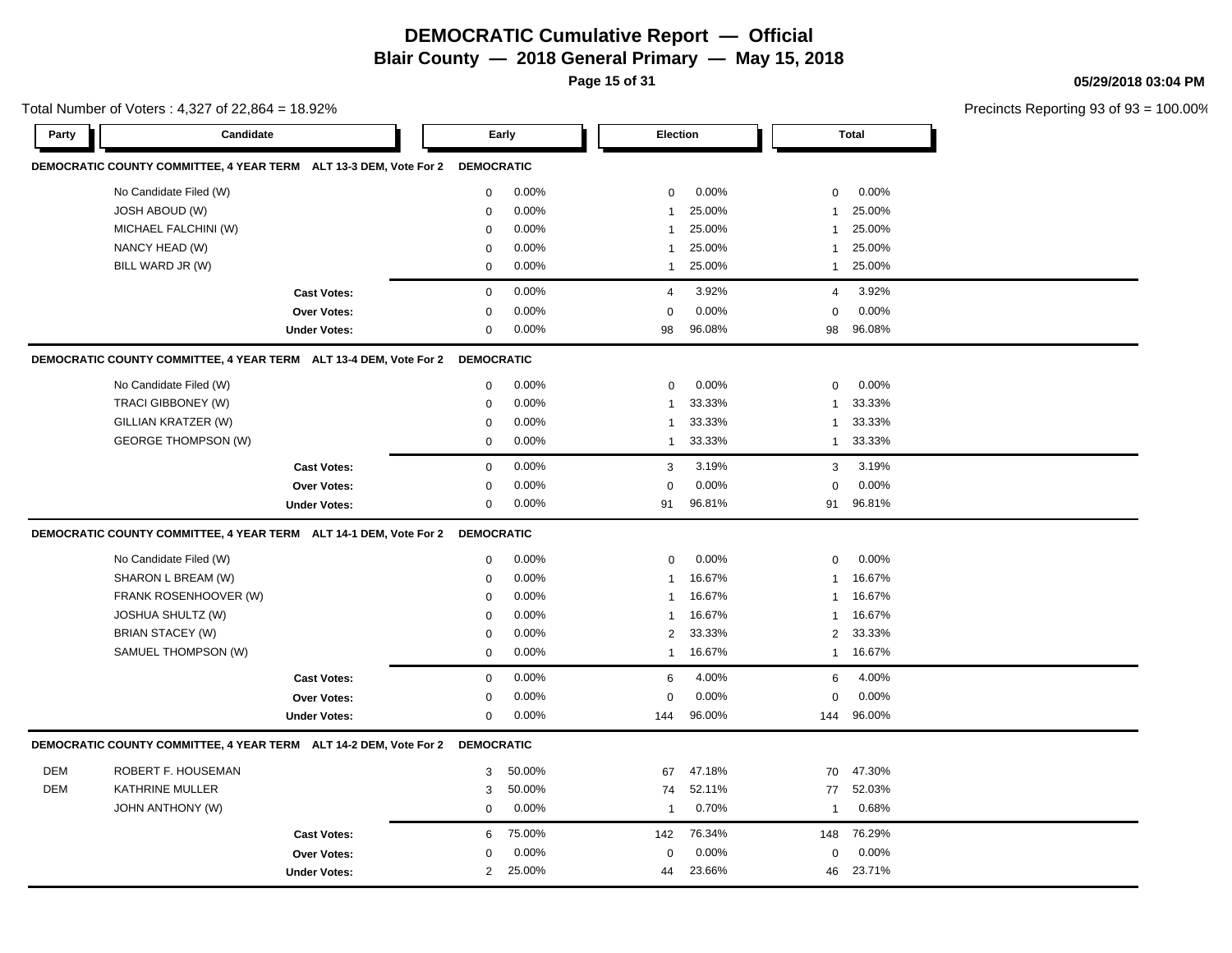**Page 15 of 31**

**05/29/2018 03:04 PM**

|            | Total Number of Voters: 4,327 of 22,864 = 18.92%                             |                     |                   |        |                |        |              |              | Precincts Reporting 93 of 93 |
|------------|------------------------------------------------------------------------------|---------------------|-------------------|--------|----------------|--------|--------------|--------------|------------------------------|
| Party      | Candidate                                                                    |                     |                   | Early  | Election       |        |              | <b>Total</b> |                              |
|            | DEMOCRATIC COUNTY COMMITTEE, 4 YEAR TERM ALT 13-3 DEM, Vote For 2 DEMOCRATIC |                     |                   |        |                |        |              |              |                              |
|            | No Candidate Filed (W)                                                       |                     | 0                 | 0.00%  | $\mathbf 0$    | 0.00%  | $\mathbf 0$  | 0.00%        |                              |
|            | <b>JOSH ABOUD (W)</b>                                                        |                     | $\mathbf 0$       | 0.00%  | $\mathbf{1}$   | 25.00% | 1            | 25.00%       |                              |
|            | MICHAEL FALCHINI (W)                                                         |                     | $\mathbf 0$       | 0.00%  | $\mathbf{1}$   | 25.00% | $\mathbf{1}$ | 25.00%       |                              |
|            | NANCY HEAD (W)                                                               |                     | $\mathbf 0$       | 0.00%  | $\mathbf 1$    | 25.00% | $\mathbf{1}$ | 25.00%       |                              |
|            | BILL WARD JR (W)                                                             |                     | $\mathbf 0$       | 0.00%  | -1             | 25.00% | $\mathbf{1}$ | 25.00%       |                              |
|            |                                                                              | <b>Cast Votes:</b>  | $\mathbf 0$       | 0.00%  | $\overline{4}$ | 3.92%  | 4            | 3.92%        |                              |
|            |                                                                              | Over Votes:         | $\mathbf 0$       | 0.00%  | 0              | 0.00%  | $\mathbf 0$  | 0.00%        |                              |
|            |                                                                              | <b>Under Votes:</b> | $\mathbf 0$       | 0.00%  | 98             | 96.08% | 98           | 96.08%       |                              |
|            | DEMOCRATIC COUNTY COMMITTEE, 4 YEAR TERM ALT 13-4 DEM, Vote For 2            |                     | <b>DEMOCRATIC</b> |        |                |        |              |              |                              |
|            | No Candidate Filed (W)                                                       |                     | $\mathbf 0$       | 0.00%  | $\mathbf 0$    | 0.00%  | $\mathbf 0$  | 0.00%        |                              |
|            | TRACI GIBBONEY (W)                                                           |                     | $\mathbf 0$       | 0.00%  | $\mathbf{1}$   | 33.33% | $\mathbf{1}$ | 33.33%       |                              |
|            | GILLIAN KRATZER (W)                                                          |                     | $\mathbf 0$       | 0.00%  | -1             | 33.33% | 1            | 33.33%       |                              |
|            | <b>GEORGE THOMPSON (W)</b>                                                   |                     | $\mathbf 0$       | 0.00%  | $\mathbf{1}$   | 33.33% | $\mathbf{1}$ | 33.33%       |                              |
|            |                                                                              | <b>Cast Votes:</b>  | $\mathbf 0$       | 0.00%  | 3              | 3.19%  | 3            | 3.19%        |                              |
|            |                                                                              | <b>Over Votes:</b>  | $\mathbf 0$       | 0.00%  | $\Omega$       | 0.00%  | $\Omega$     | 0.00%        |                              |
|            |                                                                              | <b>Under Votes:</b> | $\mathbf 0$       | 0.00%  | 91             | 96.81% | 91           | 96.81%       |                              |
|            | DEMOCRATIC COUNTY COMMITTEE, 4 YEAR TERM ALT 14-1 DEM, Vote For 2 DEMOCRATIC |                     |                   |        |                |        |              |              |                              |
|            | No Candidate Filed (W)                                                       |                     | $\mathbf 0$       | 0.00%  | $\mathbf 0$    | 0.00%  | $\mathbf 0$  | 0.00%        |                              |
|            | SHARON L BREAM (W)                                                           |                     | $\mathbf 0$       | 0.00%  | $\mathbf{1}$   | 16.67% | 1            | 16.67%       |                              |
|            | FRANK ROSENHOOVER (W)                                                        |                     | $\mathbf 0$       | 0.00%  | -1             | 16.67% | 1            | 16.67%       |                              |
|            | JOSHUA SHULTZ (W)                                                            |                     | $\mathbf 0$       | 0.00%  | $\mathbf{1}$   | 16.67% | 1            | 16.67%       |                              |
|            | <b>BRIAN STACEY (W)</b>                                                      |                     | $\mathbf 0$       | 0.00%  | 2              | 33.33% | 2            | 33.33%       |                              |
|            | SAMUEL THOMPSON (W)                                                          |                     | $\mathbf 0$       | 0.00%  | $\mathbf{1}$   | 16.67% | $\mathbf{1}$ | 16.67%       |                              |
|            |                                                                              | <b>Cast Votes:</b>  | $\mathbf 0$       | 0.00%  | 6              | 4.00%  | 6            | 4.00%        |                              |
|            |                                                                              | <b>Over Votes:</b>  | $\mathbf 0$       | 0.00%  | 0              | 0.00%  | $\mathbf 0$  | 0.00%        |                              |
|            |                                                                              | <b>Under Votes:</b> | $\mathbf 0$       | 0.00%  | 144            | 96.00% | 144          | 96.00%       |                              |
|            | DEMOCRATIC COUNTY COMMITTEE, 4 YEAR TERM ALT 14-2 DEM, Vote For 2 DEMOCRATIC |                     |                   |        |                |        |              |              |                              |
| <b>DEM</b> | ROBERT F. HOUSEMAN                                                           |                     | 3                 | 50.00% | 67             | 47.18% | 70           | 47.30%       |                              |
| DEM        | <b>KATHRINE MULLER</b>                                                       |                     | 3                 | 50.00% | 74             | 52.11% | 77           | 52.03%       |                              |
|            | JOHN ANTHONY (W)                                                             |                     | $\mathbf 0$       | 0.00%  | -1             | 0.70%  | $\mathbf{1}$ | 0.68%        |                              |
|            |                                                                              | <b>Cast Votes:</b>  | 6                 | 75.00% | 142            | 76.34% | 148          | 76.29%       |                              |
|            |                                                                              | Over Votes:         | $\mathbf 0$       | 0.00%  | $\mathbf 0$    | 0.00%  | $\mathbf 0$  | 0.00%        |                              |
|            |                                                                              | <b>Under Votes:</b> | $\overline{2}$    | 25.00% | 44             | 23.66% | 46           | 23.71%       |                              |
|            |                                                                              |                     |                   |        |                |        |              |              |                              |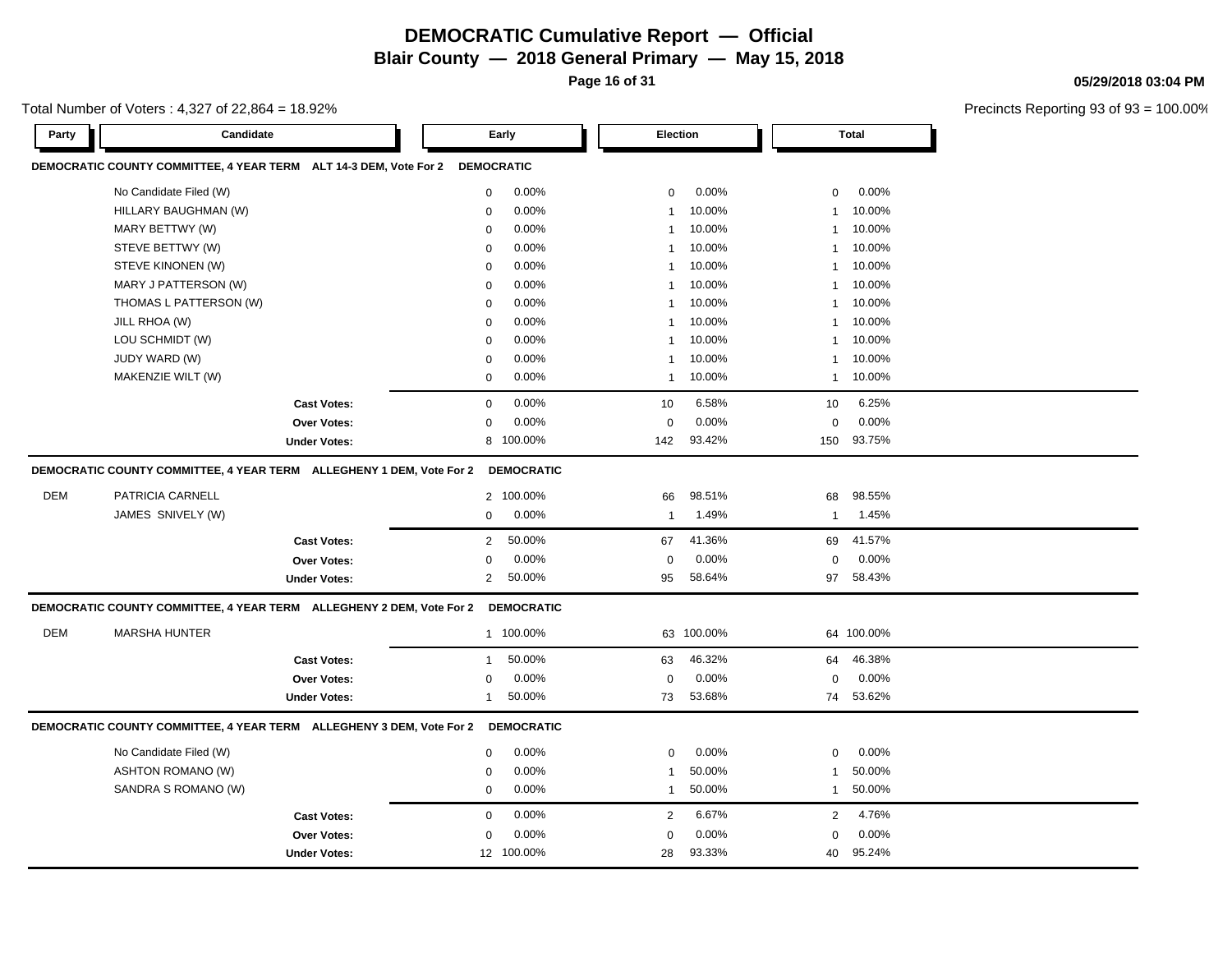**Page 16 of 31**

**05/29/2018 03:04 PM**

| Total Number of Voters : 4,327 of 22,864 = 18.92% |  |
|---------------------------------------------------|--|
|---------------------------------------------------|--|

| DEMOCRATIC COUNTY COMMITTEE, 4 YEAR TERM ALT 14-3 DEM, Vote For 2<br><b>DEMOCRATIC</b><br>No Candidate Filed (W)<br>0.00%<br>0.00%<br>0.00%<br>$\mathbf 0$<br>0<br>0<br>HILLARY BAUGHMAN (W)<br>0.00%<br>10.00%<br>10.00%<br>$\mathbf 0$<br>$\mathbf{1}$<br>$\mathbf{1}$<br>0.00%<br>10.00%<br>10.00%<br>MARY BETTWY (W)<br>$\mathbf 0$<br>$\mathbf{1}$<br>1<br>10.00%<br>10.00%<br>STEVE BETTWY (W)<br>0.00%<br>$\mathbf 0$<br>-1<br>-1<br>STEVE KINONEN (W)<br>$\mathbf 0$<br>0.00%<br>10.00%<br>10.00%<br>-1<br>1<br>10.00%<br>MARY J PATTERSON (W)<br>0.00%<br>10.00%<br>0<br>-1<br>$\mathbf{1}$<br>0.00%<br>10.00%<br>10.00%<br>THOMAS L PATTERSON (W)<br>$\mathbf 0$<br>$\mathbf 1$<br>$\mathbf{1}$<br>JILL RHOA (W)<br>0.00%<br>10.00%<br>10.00%<br>$\mathbf 0$<br>$\mathbf{1}$<br>1<br>LOU SCHMIDT (W)<br>0.00%<br>10.00%<br>10.00%<br>$\mathbf 0$<br>-1<br>1<br>JUDY WARD (W)<br>10.00%<br>10.00%<br>0.00%<br>$\mathbf 0$<br>$\mathbf{1}$<br>1<br>MAKENZIE WILT (W)<br>0.00%<br>10.00%<br>10.00%<br>$\mathbf 0$<br>$\mathbf{1}$<br>$\mathbf{1}$<br>6.58%<br>0.00%<br>6.25%<br>$\mathbf 0$<br>10<br>10<br><b>Cast Votes:</b><br>$\mathbf 0$<br>0.00%<br>0.00%<br>0.00%<br>Over Votes:<br>$\mathbf 0$<br>$\Omega$<br>8 100.00%<br>93.42%<br>93.75%<br>142<br>150<br><b>Under Votes:</b><br>DEMOCRATIC COUNTY COMMITTEE, 4 YEAR TERM ALLEGHENY 1 DEM, Vote For 2 DEMOCRATIC<br><b>DEM</b><br>98.51%<br>98.55%<br>PATRICIA CARNELL<br>2 100.00%<br>66<br>68<br>1.49%<br>JAMES SNIVELY (W)<br>0.00%<br>1.45%<br>0<br>$\mathbf{1}$<br>$\mathbf{1}$<br>50.00%<br>41.36%<br>41.57%<br>$\overline{2}$<br>67<br>69<br><b>Cast Votes:</b><br>0.00%<br>0.00%<br>0.00%<br>Over Votes:<br>$\mathbf 0$<br>$\mathbf 0$<br>0<br>50.00%<br>58.64%<br>58.43%<br><b>Under Votes:</b><br>2<br>95<br>97<br>DEMOCRATIC COUNTY COMMITTEE, 4 YEAR TERM ALLEGHENY 2 DEM, Vote For 2<br><b>DEMOCRATIC</b><br><b>DEM</b><br><b>MARSHA HUNTER</b><br>1 100.00%<br>63 100.00%<br>64 100.00%<br>50.00%<br>46.32%<br>46.38%<br>63<br>64<br><b>Cast Votes:</b><br>$\mathbf{1}$<br>0.00%<br>0.00%<br>0.00%<br>Over Votes:<br>$\mathbf 0$<br>$\mathsf 0$<br>$\mathbf 0$<br>53.68%<br>53.62%<br>50.00%<br><b>Under Votes:</b><br>73<br>74<br>1<br>DEMOCRATIC COUNTY COMMITTEE, 4 YEAR TERM ALLEGHENY 3 DEM, Vote For 2 DEMOCRATIC<br>0.00%<br>0.00%<br>0.00%<br>No Candidate Filed (W)<br>$\mathbf 0$<br>$\Omega$<br>$\mathbf 0$<br>ASHTON ROMANO (W)<br>$\mathbf 0$<br>0.00%<br>50.00%<br>50.00%<br>1<br>$\mathbf{1}$<br>SANDRA S ROMANO (W)<br>0.00%<br>50.00%<br>50.00%<br>$\mathbf 0$<br>$\mathbf{1}$<br>$\mathbf{1}$<br>0.00%<br>6.67%<br>4.76%<br>2<br>2<br><b>Cast Votes:</b><br>$\mathbf 0$<br>0.00%<br>0.00%<br>0.00%<br><b>Over Votes:</b><br>$\mathbf 0$<br>$\Omega$<br>$\Omega$<br>95.24%<br>12 100.00%<br>93.33%<br>28<br>40<br><b>Under Votes:</b> | Party | Candidate | Early |  | Election | Total |
|---------------------------------------------------------------------------------------------------------------------------------------------------------------------------------------------------------------------------------------------------------------------------------------------------------------------------------------------------------------------------------------------------------------------------------------------------------------------------------------------------------------------------------------------------------------------------------------------------------------------------------------------------------------------------------------------------------------------------------------------------------------------------------------------------------------------------------------------------------------------------------------------------------------------------------------------------------------------------------------------------------------------------------------------------------------------------------------------------------------------------------------------------------------------------------------------------------------------------------------------------------------------------------------------------------------------------------------------------------------------------------------------------------------------------------------------------------------------------------------------------------------------------------------------------------------------------------------------------------------------------------------------------------------------------------------------------------------------------------------------------------------------------------------------------------------------------------------------------------------------------------------------------------------------------------------------------------------------------------------------------------------------------------------------------------------------------------------------------------------------------------------------------------------------------------------------------------------------------------------------------------------------------------------------------------------------------------------------------------------------------------------------------------------------------------------------------------------------------------------------------------------------------------------------------------------------------------------------------------------------------------------------------------------------------------------------------------------------------------------------------------------------------------------------------------------------------------------|-------|-----------|-------|--|----------|-------|
|                                                                                                                                                                                                                                                                                                                                                                                                                                                                                                                                                                                                                                                                                                                                                                                                                                                                                                                                                                                                                                                                                                                                                                                                                                                                                                                                                                                                                                                                                                                                                                                                                                                                                                                                                                                                                                                                                                                                                                                                                                                                                                                                                                                                                                                                                                                                                                                                                                                                                                                                                                                                                                                                                                                                                                                                                                       |       |           |       |  |          |       |
|                                                                                                                                                                                                                                                                                                                                                                                                                                                                                                                                                                                                                                                                                                                                                                                                                                                                                                                                                                                                                                                                                                                                                                                                                                                                                                                                                                                                                                                                                                                                                                                                                                                                                                                                                                                                                                                                                                                                                                                                                                                                                                                                                                                                                                                                                                                                                                                                                                                                                                                                                                                                                                                                                                                                                                                                                                       |       |           |       |  |          |       |
|                                                                                                                                                                                                                                                                                                                                                                                                                                                                                                                                                                                                                                                                                                                                                                                                                                                                                                                                                                                                                                                                                                                                                                                                                                                                                                                                                                                                                                                                                                                                                                                                                                                                                                                                                                                                                                                                                                                                                                                                                                                                                                                                                                                                                                                                                                                                                                                                                                                                                                                                                                                                                                                                                                                                                                                                                                       |       |           |       |  |          |       |
|                                                                                                                                                                                                                                                                                                                                                                                                                                                                                                                                                                                                                                                                                                                                                                                                                                                                                                                                                                                                                                                                                                                                                                                                                                                                                                                                                                                                                                                                                                                                                                                                                                                                                                                                                                                                                                                                                                                                                                                                                                                                                                                                                                                                                                                                                                                                                                                                                                                                                                                                                                                                                                                                                                                                                                                                                                       |       |           |       |  |          |       |
|                                                                                                                                                                                                                                                                                                                                                                                                                                                                                                                                                                                                                                                                                                                                                                                                                                                                                                                                                                                                                                                                                                                                                                                                                                                                                                                                                                                                                                                                                                                                                                                                                                                                                                                                                                                                                                                                                                                                                                                                                                                                                                                                                                                                                                                                                                                                                                                                                                                                                                                                                                                                                                                                                                                                                                                                                                       |       |           |       |  |          |       |
|                                                                                                                                                                                                                                                                                                                                                                                                                                                                                                                                                                                                                                                                                                                                                                                                                                                                                                                                                                                                                                                                                                                                                                                                                                                                                                                                                                                                                                                                                                                                                                                                                                                                                                                                                                                                                                                                                                                                                                                                                                                                                                                                                                                                                                                                                                                                                                                                                                                                                                                                                                                                                                                                                                                                                                                                                                       |       |           |       |  |          |       |
|                                                                                                                                                                                                                                                                                                                                                                                                                                                                                                                                                                                                                                                                                                                                                                                                                                                                                                                                                                                                                                                                                                                                                                                                                                                                                                                                                                                                                                                                                                                                                                                                                                                                                                                                                                                                                                                                                                                                                                                                                                                                                                                                                                                                                                                                                                                                                                                                                                                                                                                                                                                                                                                                                                                                                                                                                                       |       |           |       |  |          |       |
|                                                                                                                                                                                                                                                                                                                                                                                                                                                                                                                                                                                                                                                                                                                                                                                                                                                                                                                                                                                                                                                                                                                                                                                                                                                                                                                                                                                                                                                                                                                                                                                                                                                                                                                                                                                                                                                                                                                                                                                                                                                                                                                                                                                                                                                                                                                                                                                                                                                                                                                                                                                                                                                                                                                                                                                                                                       |       |           |       |  |          |       |
|                                                                                                                                                                                                                                                                                                                                                                                                                                                                                                                                                                                                                                                                                                                                                                                                                                                                                                                                                                                                                                                                                                                                                                                                                                                                                                                                                                                                                                                                                                                                                                                                                                                                                                                                                                                                                                                                                                                                                                                                                                                                                                                                                                                                                                                                                                                                                                                                                                                                                                                                                                                                                                                                                                                                                                                                                                       |       |           |       |  |          |       |
|                                                                                                                                                                                                                                                                                                                                                                                                                                                                                                                                                                                                                                                                                                                                                                                                                                                                                                                                                                                                                                                                                                                                                                                                                                                                                                                                                                                                                                                                                                                                                                                                                                                                                                                                                                                                                                                                                                                                                                                                                                                                                                                                                                                                                                                                                                                                                                                                                                                                                                                                                                                                                                                                                                                                                                                                                                       |       |           |       |  |          |       |
|                                                                                                                                                                                                                                                                                                                                                                                                                                                                                                                                                                                                                                                                                                                                                                                                                                                                                                                                                                                                                                                                                                                                                                                                                                                                                                                                                                                                                                                                                                                                                                                                                                                                                                                                                                                                                                                                                                                                                                                                                                                                                                                                                                                                                                                                                                                                                                                                                                                                                                                                                                                                                                                                                                                                                                                                                                       |       |           |       |  |          |       |
|                                                                                                                                                                                                                                                                                                                                                                                                                                                                                                                                                                                                                                                                                                                                                                                                                                                                                                                                                                                                                                                                                                                                                                                                                                                                                                                                                                                                                                                                                                                                                                                                                                                                                                                                                                                                                                                                                                                                                                                                                                                                                                                                                                                                                                                                                                                                                                                                                                                                                                                                                                                                                                                                                                                                                                                                                                       |       |           |       |  |          |       |
|                                                                                                                                                                                                                                                                                                                                                                                                                                                                                                                                                                                                                                                                                                                                                                                                                                                                                                                                                                                                                                                                                                                                                                                                                                                                                                                                                                                                                                                                                                                                                                                                                                                                                                                                                                                                                                                                                                                                                                                                                                                                                                                                                                                                                                                                                                                                                                                                                                                                                                                                                                                                                                                                                                                                                                                                                                       |       |           |       |  |          |       |
|                                                                                                                                                                                                                                                                                                                                                                                                                                                                                                                                                                                                                                                                                                                                                                                                                                                                                                                                                                                                                                                                                                                                                                                                                                                                                                                                                                                                                                                                                                                                                                                                                                                                                                                                                                                                                                                                                                                                                                                                                                                                                                                                                                                                                                                                                                                                                                                                                                                                                                                                                                                                                                                                                                                                                                                                                                       |       |           |       |  |          |       |
|                                                                                                                                                                                                                                                                                                                                                                                                                                                                                                                                                                                                                                                                                                                                                                                                                                                                                                                                                                                                                                                                                                                                                                                                                                                                                                                                                                                                                                                                                                                                                                                                                                                                                                                                                                                                                                                                                                                                                                                                                                                                                                                                                                                                                                                                                                                                                                                                                                                                                                                                                                                                                                                                                                                                                                                                                                       |       |           |       |  |          |       |
|                                                                                                                                                                                                                                                                                                                                                                                                                                                                                                                                                                                                                                                                                                                                                                                                                                                                                                                                                                                                                                                                                                                                                                                                                                                                                                                                                                                                                                                                                                                                                                                                                                                                                                                                                                                                                                                                                                                                                                                                                                                                                                                                                                                                                                                                                                                                                                                                                                                                                                                                                                                                                                                                                                                                                                                                                                       |       |           |       |  |          |       |
|                                                                                                                                                                                                                                                                                                                                                                                                                                                                                                                                                                                                                                                                                                                                                                                                                                                                                                                                                                                                                                                                                                                                                                                                                                                                                                                                                                                                                                                                                                                                                                                                                                                                                                                                                                                                                                                                                                                                                                                                                                                                                                                                                                                                                                                                                                                                                                                                                                                                                                                                                                                                                                                                                                                                                                                                                                       |       |           |       |  |          |       |
|                                                                                                                                                                                                                                                                                                                                                                                                                                                                                                                                                                                                                                                                                                                                                                                                                                                                                                                                                                                                                                                                                                                                                                                                                                                                                                                                                                                                                                                                                                                                                                                                                                                                                                                                                                                                                                                                                                                                                                                                                                                                                                                                                                                                                                                                                                                                                                                                                                                                                                                                                                                                                                                                                                                                                                                                                                       |       |           |       |  |          |       |
|                                                                                                                                                                                                                                                                                                                                                                                                                                                                                                                                                                                                                                                                                                                                                                                                                                                                                                                                                                                                                                                                                                                                                                                                                                                                                                                                                                                                                                                                                                                                                                                                                                                                                                                                                                                                                                                                                                                                                                                                                                                                                                                                                                                                                                                                                                                                                                                                                                                                                                                                                                                                                                                                                                                                                                                                                                       |       |           |       |  |          |       |
|                                                                                                                                                                                                                                                                                                                                                                                                                                                                                                                                                                                                                                                                                                                                                                                                                                                                                                                                                                                                                                                                                                                                                                                                                                                                                                                                                                                                                                                                                                                                                                                                                                                                                                                                                                                                                                                                                                                                                                                                                                                                                                                                                                                                                                                                                                                                                                                                                                                                                                                                                                                                                                                                                                                                                                                                                                       |       |           |       |  |          |       |
|                                                                                                                                                                                                                                                                                                                                                                                                                                                                                                                                                                                                                                                                                                                                                                                                                                                                                                                                                                                                                                                                                                                                                                                                                                                                                                                                                                                                                                                                                                                                                                                                                                                                                                                                                                                                                                                                                                                                                                                                                                                                                                                                                                                                                                                                                                                                                                                                                                                                                                                                                                                                                                                                                                                                                                                                                                       |       |           |       |  |          |       |
|                                                                                                                                                                                                                                                                                                                                                                                                                                                                                                                                                                                                                                                                                                                                                                                                                                                                                                                                                                                                                                                                                                                                                                                                                                                                                                                                                                                                                                                                                                                                                                                                                                                                                                                                                                                                                                                                                                                                                                                                                                                                                                                                                                                                                                                                                                                                                                                                                                                                                                                                                                                                                                                                                                                                                                                                                                       |       |           |       |  |          |       |
|                                                                                                                                                                                                                                                                                                                                                                                                                                                                                                                                                                                                                                                                                                                                                                                                                                                                                                                                                                                                                                                                                                                                                                                                                                                                                                                                                                                                                                                                                                                                                                                                                                                                                                                                                                                                                                                                                                                                                                                                                                                                                                                                                                                                                                                                                                                                                                                                                                                                                                                                                                                                                                                                                                                                                                                                                                       |       |           |       |  |          |       |
|                                                                                                                                                                                                                                                                                                                                                                                                                                                                                                                                                                                                                                                                                                                                                                                                                                                                                                                                                                                                                                                                                                                                                                                                                                                                                                                                                                                                                                                                                                                                                                                                                                                                                                                                                                                                                                                                                                                                                                                                                                                                                                                                                                                                                                                                                                                                                                                                                                                                                                                                                                                                                                                                                                                                                                                                                                       |       |           |       |  |          |       |
|                                                                                                                                                                                                                                                                                                                                                                                                                                                                                                                                                                                                                                                                                                                                                                                                                                                                                                                                                                                                                                                                                                                                                                                                                                                                                                                                                                                                                                                                                                                                                                                                                                                                                                                                                                                                                                                                                                                                                                                                                                                                                                                                                                                                                                                                                                                                                                                                                                                                                                                                                                                                                                                                                                                                                                                                                                       |       |           |       |  |          |       |
|                                                                                                                                                                                                                                                                                                                                                                                                                                                                                                                                                                                                                                                                                                                                                                                                                                                                                                                                                                                                                                                                                                                                                                                                                                                                                                                                                                                                                                                                                                                                                                                                                                                                                                                                                                                                                                                                                                                                                                                                                                                                                                                                                                                                                                                                                                                                                                                                                                                                                                                                                                                                                                                                                                                                                                                                                                       |       |           |       |  |          |       |
|                                                                                                                                                                                                                                                                                                                                                                                                                                                                                                                                                                                                                                                                                                                                                                                                                                                                                                                                                                                                                                                                                                                                                                                                                                                                                                                                                                                                                                                                                                                                                                                                                                                                                                                                                                                                                                                                                                                                                                                                                                                                                                                                                                                                                                                                                                                                                                                                                                                                                                                                                                                                                                                                                                                                                                                                                                       |       |           |       |  |          |       |
|                                                                                                                                                                                                                                                                                                                                                                                                                                                                                                                                                                                                                                                                                                                                                                                                                                                                                                                                                                                                                                                                                                                                                                                                                                                                                                                                                                                                                                                                                                                                                                                                                                                                                                                                                                                                                                                                                                                                                                                                                                                                                                                                                                                                                                                                                                                                                                                                                                                                                                                                                                                                                                                                                                                                                                                                                                       |       |           |       |  |          |       |
|                                                                                                                                                                                                                                                                                                                                                                                                                                                                                                                                                                                                                                                                                                                                                                                                                                                                                                                                                                                                                                                                                                                                                                                                                                                                                                                                                                                                                                                                                                                                                                                                                                                                                                                                                                                                                                                                                                                                                                                                                                                                                                                                                                                                                                                                                                                                                                                                                                                                                                                                                                                                                                                                                                                                                                                                                                       |       |           |       |  |          |       |
|                                                                                                                                                                                                                                                                                                                                                                                                                                                                                                                                                                                                                                                                                                                                                                                                                                                                                                                                                                                                                                                                                                                                                                                                                                                                                                                                                                                                                                                                                                                                                                                                                                                                                                                                                                                                                                                                                                                                                                                                                                                                                                                                                                                                                                                                                                                                                                                                                                                                                                                                                                                                                                                                                                                                                                                                                                       |       |           |       |  |          |       |
|                                                                                                                                                                                                                                                                                                                                                                                                                                                                                                                                                                                                                                                                                                                                                                                                                                                                                                                                                                                                                                                                                                                                                                                                                                                                                                                                                                                                                                                                                                                                                                                                                                                                                                                                                                                                                                                                                                                                                                                                                                                                                                                                                                                                                                                                                                                                                                                                                                                                                                                                                                                                                                                                                                                                                                                                                                       |       |           |       |  |          |       |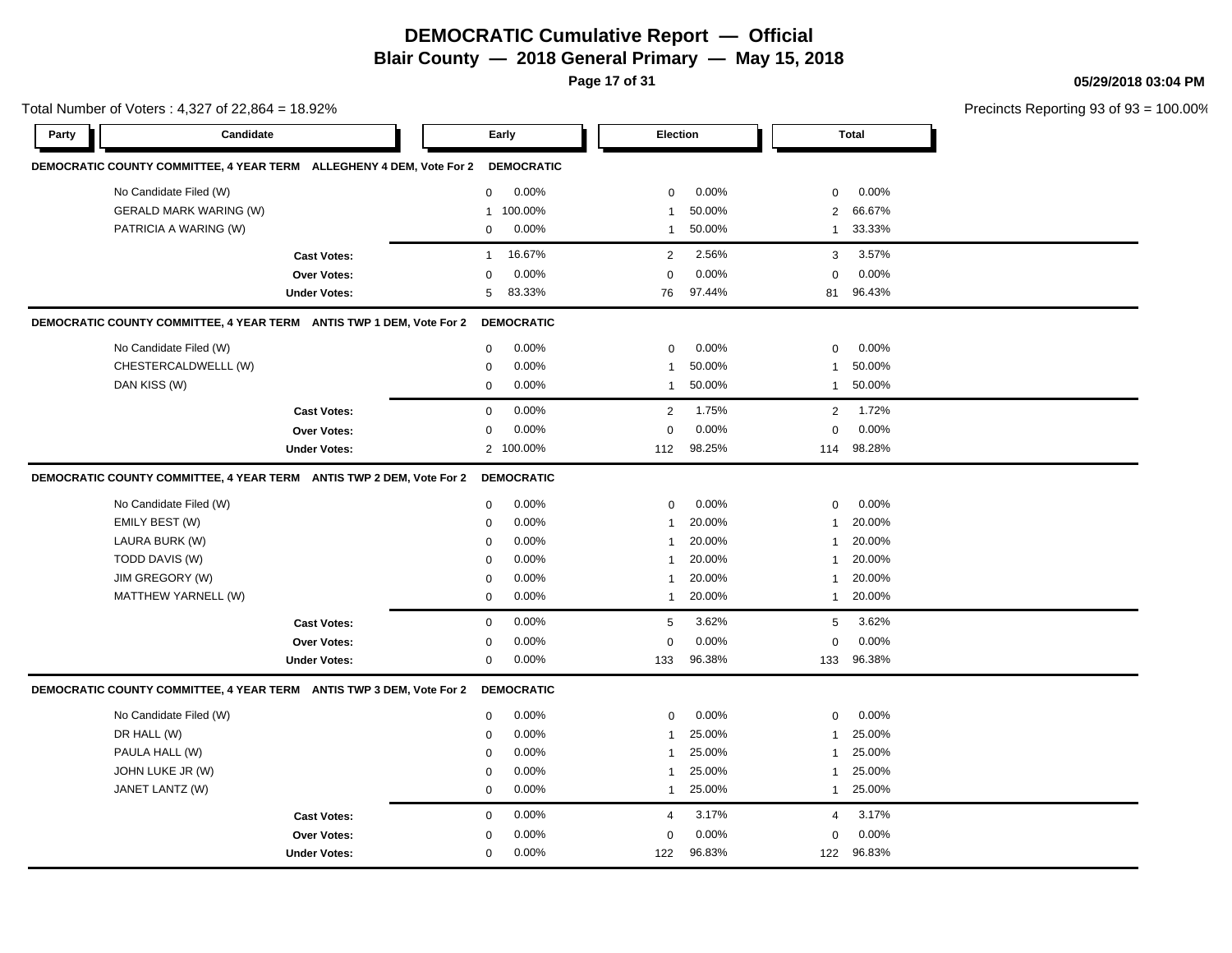# **DEMOCRATIC Cumulative Report — Official**

**Blair County — 2018 General Primary — May 15, 2018**

**Page 17 of 31**

**05/29/2018 03:04 PM**

|       | Total Number of Voters: 4,327 of 22,864 = 18.92% |                                                                      |              |                   |                |          |              | Precincts Reporting 93 of 93 |  |
|-------|--------------------------------------------------|----------------------------------------------------------------------|--------------|-------------------|----------------|----------|--------------|------------------------------|--|
| Party | Candidate                                        |                                                                      |              | Early             |                | Election |              | <b>Total</b>                 |  |
|       |                                                  | DEMOCRATIC COUNTY COMMITTEE, 4 YEAR TERM ALLEGHENY 4 DEM, Vote For 2 |              | <b>DEMOCRATIC</b> |                |          |              |                              |  |
|       | No Candidate Filed (W)                           |                                                                      | $\mathbf 0$  | 0.00%             | 0              | 0.00%    | 0            | 0.00%                        |  |
|       | <b>GERALD MARK WARING (W)</b>                    |                                                                      | 1            | 100.00%           | 1              | 50.00%   | 2            | 66.67%                       |  |
|       | PATRICIA A WARING (W)                            |                                                                      | $\mathbf 0$  | 0.00%             | $\mathbf{1}$   | 50.00%   | $\mathbf{1}$ | 33.33%                       |  |
|       |                                                  | <b>Cast Votes:</b>                                                   | $\mathbf{1}$ | 16.67%            | $\overline{2}$ | 2.56%    | 3            | 3.57%                        |  |
|       |                                                  | <b>Over Votes:</b>                                                   | 0            | 0.00%             | 0              | 0.00%    | $\mathbf 0$  | 0.00%                        |  |
|       |                                                  | <b>Under Votes:</b>                                                  | 5            | 83.33%            | 76             | 97.44%   | 81           | 96.43%                       |  |
|       |                                                  | DEMOCRATIC COUNTY COMMITTEE, 4 YEAR TERM ANTIS TWP 1 DEM, Vote For 2 |              | <b>DEMOCRATIC</b> |                |          |              |                              |  |
|       | No Candidate Filed (W)                           |                                                                      | $\mathbf 0$  | 0.00%             | $\Omega$       | 0.00%    | $\Omega$     | 0.00%                        |  |
|       | CHESTERCALDWELLL (W)                             |                                                                      | 0            | 0.00%             | 1              | 50.00%   | $\mathbf{1}$ | 50.00%                       |  |
|       | DAN KISS (W)                                     |                                                                      | $\mathbf 0$  | 0.00%             | 1              | 50.00%   | $\mathbf{1}$ | 50.00%                       |  |
|       |                                                  | <b>Cast Votes:</b>                                                   | $\mathbf 0$  | 0.00%             | 2              | 1.75%    | 2            | 1.72%                        |  |
|       |                                                  | Over Votes:                                                          | $\mathbf 0$  | 0.00%             | 0              | 0.00%    | $\mathbf 0$  | 0.00%                        |  |
|       |                                                  | <b>Under Votes:</b>                                                  |              | 2 100.00%         | 112            | 98.25%   | 114          | 98.28%                       |  |
|       |                                                  | DEMOCRATIC COUNTY COMMITTEE, 4 YEAR TERM ANTIS TWP 2 DEM, Vote For 2 |              | <b>DEMOCRATIC</b> |                |          |              |                              |  |
|       | No Candidate Filed (W)                           |                                                                      | $\mathbf 0$  | 0.00%             | 0              | 0.00%    | 0            | 0.00%                        |  |
|       | EMILY BEST (W)                                   |                                                                      | 0            | 0.00%             | $\mathbf{1}$   | 20.00%   | 1            | 20.00%                       |  |
|       | LAURA BURK (W)                                   |                                                                      | $\mathbf 0$  | 0.00%             | -1             | 20.00%   | 1            | 20.00%                       |  |
|       | TODD DAVIS (W)                                   |                                                                      | $\mathbf 0$  | 0.00%             | $\mathbf{1}$   | 20.00%   | 1            | 20.00%                       |  |
|       | JIM GREGORY (W)                                  |                                                                      | $\mathbf 0$  | 0.00%             | 1              | 20.00%   | 1            | 20.00%                       |  |
|       | MATTHEW YARNELL (W)                              |                                                                      | $\mathbf 0$  | 0.00%             | $\mathbf{1}$   | 20.00%   | $\mathbf{1}$ | 20.00%                       |  |
|       |                                                  | <b>Cast Votes:</b>                                                   | $\mathbf 0$  | 0.00%             | 5              | 3.62%    | 5            | 3.62%                        |  |
|       |                                                  | Over Votes:                                                          | 0            | 0.00%             | 0              | 0.00%    | 0            | 0.00%                        |  |
|       |                                                  | <b>Under Votes:</b>                                                  | $\mathbf 0$  | 0.00%             | 133            | 96.38%   |              | 133 96.38%                   |  |
|       |                                                  | DEMOCRATIC COUNTY COMMITTEE, 4 YEAR TERM ANTIS TWP 3 DEM, Vote For 2 |              | <b>DEMOCRATIC</b> |                |          |              |                              |  |
|       | No Candidate Filed (W)                           |                                                                      | $\mathbf 0$  | 0.00%             | $\mathbf 0$    | 0.00%    | $\mathbf 0$  | 0.00%                        |  |
|       | DR HALL (W)                                      |                                                                      | 0            | 0.00%             | $\mathbf{1}$   | 25.00%   | 1            | 25.00%                       |  |
|       | PAULA HALL (W)                                   |                                                                      | $\mathbf 0$  | 0.00%             | -1             | 25.00%   | 1            | 25.00%                       |  |
|       | JOHN LUKE JR (W)                                 |                                                                      | $\mathbf 0$  | 0.00%             | -1             | 25.00%   | 1            | 25.00%                       |  |
|       | JANET LANTZ (W)                                  |                                                                      | $\mathbf 0$  | 0.00%             | $\mathbf{1}$   | 25.00%   | $\mathbf{1}$ | 25.00%                       |  |
|       |                                                  | <b>Cast Votes:</b>                                                   | $\mathbf 0$  | 0.00%             | 4              | 3.17%    | 4            | 3.17%                        |  |
|       |                                                  | <b>Over Votes:</b>                                                   | $\mathbf 0$  | 0.00%             | 0              | 0.00%    | 0            | 0.00%                        |  |
|       |                                                  | <b>Under Votes:</b>                                                  | $\mathbf 0$  | 0.00%             | 122            | 96.83%   | 122          | 96.83%                       |  |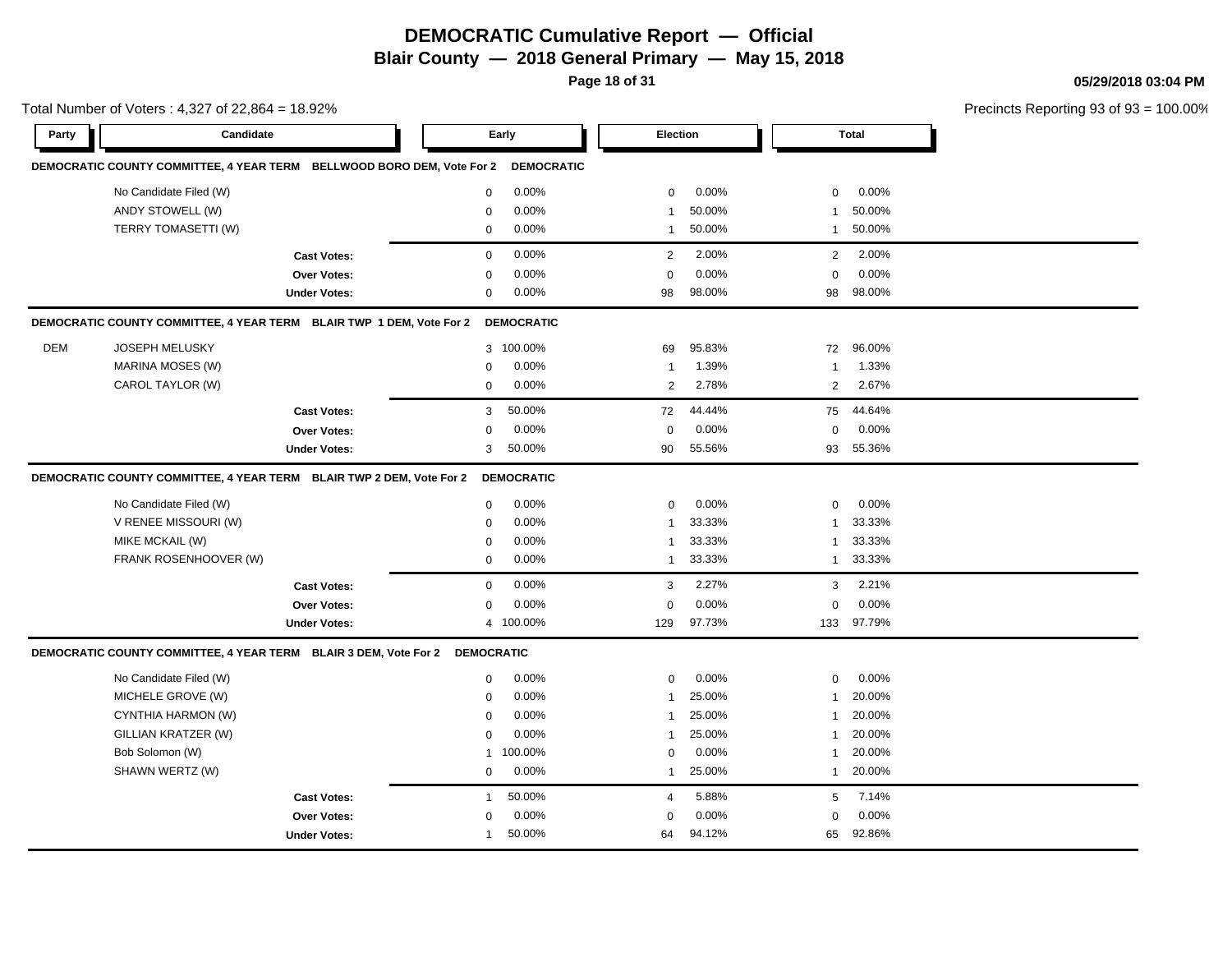# **DEMOCRATIC Cumulative Report — Official**

**Blair County — 2018 General Primary — May 15, 2018**

**Page 18 of 31**

**05/29/2018 03:04 PM**

|       | Total Number of Voters: 4,327 of 22,864 = 18.92%                                |                     |              |                   |                |        |                | Precincts Reporting 93 of 93 |  |
|-------|---------------------------------------------------------------------------------|---------------------|--------------|-------------------|----------------|--------|----------------|------------------------------|--|
| Party | Candidate                                                                       |                     |              | Early             | Election       |        |                | <b>Total</b>                 |  |
|       | DEMOCRATIC COUNTY COMMITTEE, 4 YEAR TERM BELLWOOD BORO DEM, Vote For 2          |                     |              | <b>DEMOCRATIC</b> |                |        |                |                              |  |
|       | No Candidate Filed (W)                                                          |                     | $\mathbf 0$  | 0.00%             | $\mathbf 0$    | 0.00%  | $\mathbf 0$    | 0.00%                        |  |
|       | ANDY STOWELL (W)                                                                |                     | 0            | 0.00%             | 1              | 50.00% | 1              | 50.00%                       |  |
|       | TERRY TOMASETTI (W)                                                             |                     | $\mathbf 0$  | 0.00%             | -1             | 50.00% | 1              | 50.00%                       |  |
|       |                                                                                 | <b>Cast Votes:</b>  | $\mathbf 0$  | 0.00%             | 2              | 2.00%  | 2              | 2.00%                        |  |
|       |                                                                                 | Over Votes:         | $\mathbf 0$  | 0.00%             | $\mathbf 0$    | 0.00%  | $\mathbf 0$    | 0.00%                        |  |
|       |                                                                                 | <b>Under Votes:</b> | $\mathbf 0$  | $0.00\%$          | 98             | 98.00% | 98             | 98.00%                       |  |
|       | DEMOCRATIC COUNTY COMMITTEE, 4 YEAR TERM BLAIR TWP 1 DEM, Vote For 2 DEMOCRATIC |                     |              |                   |                |        |                |                              |  |
| DEM   | <b>JOSEPH MELUSKY</b>                                                           |                     |              | 3 100.00%         | 69             | 95.83% | 72             | 96.00%                       |  |
|       | MARINA MOSES (W)                                                                |                     | $\mathbf 0$  | 0.00%             | $\mathbf{1}$   | 1.39%  | $\mathbf{1}$   | 1.33%                        |  |
|       | CAROL TAYLOR (W)                                                                |                     | $\mathbf 0$  | 0.00%             | $\overline{2}$ | 2.78%  | $\overline{2}$ | 2.67%                        |  |
|       |                                                                                 | <b>Cast Votes:</b>  | 3            | 50.00%            | 72             | 44.44% | 75             | 44.64%                       |  |
|       |                                                                                 | Over Votes:         | 0            | 0.00%             | $\mathbf 0$    | 0.00%  | $\mathbf 0$    | 0.00%                        |  |
|       |                                                                                 | <b>Under Votes:</b> | 3            | 50.00%            | 90             | 55.56% | 93             | 55.36%                       |  |
|       | DEMOCRATIC COUNTY COMMITTEE, 4 YEAR TERM BLAIR TWP 2 DEM, Vote For 2            |                     |              | <b>DEMOCRATIC</b> |                |        |                |                              |  |
|       | No Candidate Filed (W)                                                          |                     | $\mathbf 0$  | 0.00%             | $\mathbf 0$    | 0.00%  | $\mathbf 0$    | 0.00%                        |  |
|       | V RENEE MISSOURI (W)                                                            |                     | 0            | 0.00%             | $\mathbf{1}$   | 33.33% | $\mathbf{1}$   | 33.33%                       |  |
|       | MIKE MCKAIL (W)                                                                 |                     | 0            | 0.00%             | -1             | 33.33% | 1              | 33.33%                       |  |
|       | FRANK ROSENHOOVER (W)                                                           |                     | $\mathbf 0$  | 0.00%             | $\mathbf{1}$   | 33.33% | $\mathbf{1}$   | 33.33%                       |  |
|       |                                                                                 | <b>Cast Votes:</b>  | $\mathbf 0$  | 0.00%             | 3              | 2.27%  | 3              | 2.21%                        |  |
|       |                                                                                 | Over Votes:         | $\mathbf 0$  | 0.00%             | 0              | 0.00%  | $\mathbf 0$    | 0.00%                        |  |
|       |                                                                                 | <b>Under Votes:</b> |              | 4 100.00%         | 129            | 97.73% |                | 133 97.79%                   |  |
|       | DEMOCRATIC COUNTY COMMITTEE, 4 YEAR TERM BLAIR 3 DEM, Vote For 2 DEMOCRATIC     |                     |              |                   |                |        |                |                              |  |
|       | No Candidate Filed (W)                                                          |                     | $\mathbf 0$  | 0.00%             | $\Omega$       | 0.00%  | $\Omega$       | 0.00%                        |  |
|       | MICHELE GROVE (W)                                                               |                     | 0            | 0.00%             | -1             | 25.00% | 1              | 20.00%                       |  |
|       | CYNTHIA HARMON (W)                                                              |                     | $\mathbf 0$  | 0.00%             | $\mathbf{1}$   | 25.00% | $\mathbf{1}$   | 20.00%                       |  |
|       | GILLIAN KRATZER (W)                                                             |                     | $\mathbf 0$  | 0.00%             | $\mathbf{1}$   | 25.00% | $\mathbf{1}$   | 20.00%                       |  |
|       | Bob Solomon (W)                                                                 |                     | $\mathbf{1}$ | 100.00%           | $\mathbf 0$    | 0.00%  | $\mathbf{1}$   | 20.00%                       |  |
|       | SHAWN WERTZ (W)                                                                 |                     | 0            | 0.00%             | 1              | 25.00% | $\mathbf{1}$   | 20.00%                       |  |
|       |                                                                                 | <b>Cast Votes:</b>  | 1            | 50.00%            | 4              | 5.88%  | 5              | 7.14%                        |  |
|       |                                                                                 | Over Votes:         | $\mathbf 0$  | 0.00%             | 0              | 0.00%  | $\mathbf 0$    | 0.00%                        |  |
|       |                                                                                 | <b>Under Votes:</b> | 1            | 50.00%            | 64             | 94.12% |                | 65 92.86%                    |  |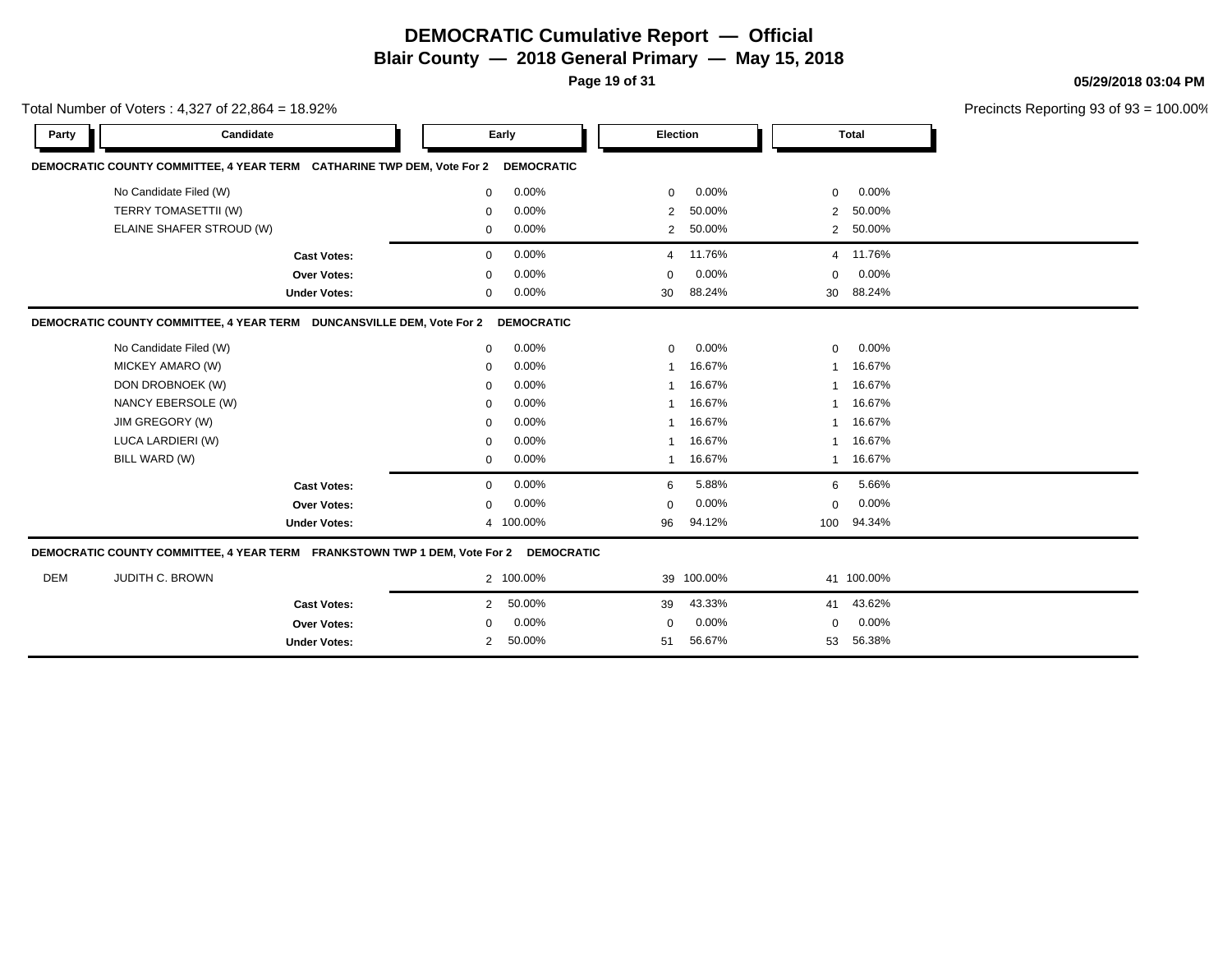**Page 19 of 31**

**05/29/2018 03:04 PM**

|            | Total Number of Voters: $4,327$ of 22,864 = 18.92%                        |                     |              |                   |                |                 |                | Precincts Reporting 93 of 93 |  |
|------------|---------------------------------------------------------------------------|---------------------|--------------|-------------------|----------------|-----------------|----------------|------------------------------|--|
| Party      | Candidate                                                                 |                     |              | Early             |                | <b>Election</b> |                | Total                        |  |
|            | DEMOCRATIC COUNTY COMMITTEE, 4 YEAR TERM CATHARINE TWP DEM, Vote For 2    |                     |              | <b>DEMOCRATIC</b> |                |                 |                |                              |  |
|            | No Candidate Filed (W)                                                    |                     | 0            | 0.00%             | $\mathbf 0$    | 0.00%           | $\mathbf 0$    | 0.00%                        |  |
|            | TERRY TOMASETTII (W)                                                      |                     | $\mathbf 0$  | 0.00%             | 2              | 50.00%          | $\overline{2}$ | 50.00%                       |  |
|            | ELAINE SHAFER STROUD (W)                                                  |                     | $\mathbf{0}$ | 0.00%             | $\overline{2}$ | 50.00%          | $\overline{2}$ | 50.00%                       |  |
|            |                                                                           | <b>Cast Votes:</b>  | $\mathbf{0}$ | 0.00%             | 4              | 11.76%          | $\overline{4}$ | 11.76%                       |  |
|            |                                                                           | Over Votes:         | 0            | 0.00%             | $\Omega$       | 0.00%           | 0              | 0.00%                        |  |
|            |                                                                           | <b>Under Votes:</b> | 0            | 0.00%             | 30             | 88.24%          | 30             | 88.24%                       |  |
|            | DEMOCRATIC COUNTY COMMITTEE, 4 YEAR TERM DUNCANSVILLE DEM, Vote For 2     |                     |              | <b>DEMOCRATIC</b> |                |                 |                |                              |  |
|            | No Candidate Filed (W)                                                    |                     | $\mathbf{0}$ | 0.00%             | $\mathbf 0$    | 0.00%           | $\mathbf 0$    | 0.00%                        |  |
|            | MICKEY AMARO (W)                                                          |                     | 0            | 0.00%             | -1             | 16.67%          | 1              | 16.67%                       |  |
|            | DON DROBNOEK (W)                                                          |                     | $\mathbf 0$  | 0.00%             | -1             | 16.67%          | 1              | 16.67%                       |  |
|            | NANCY EBERSOLE (W)                                                        |                     | $\mathbf 0$  | 0.00%             |                | 16.67%          | 1              | 16.67%                       |  |
|            | JIM GREGORY (W)                                                           |                     | 0            | 0.00%             |                | 16.67%          | 1              | 16.67%                       |  |
|            | LUCA LARDIERI (W)                                                         |                     | 0            | 0.00%             |                | 16.67%          | 1              | 16.67%                       |  |
|            | BILL WARD (W)                                                             |                     | $\mathbf{0}$ | 0.00%             | -1             | 16.67%          | $\mathbf{1}$   | 16.67%                       |  |
|            |                                                                           | <b>Cast Votes:</b>  | 0            | 0.00%             | 6              | 5.88%           | 6              | 5.66%                        |  |
|            |                                                                           | Over Votes:         | $\mathbf 0$  | 0.00%             | $\mathbf 0$    | 0.00%           | $\mathbf 0$    | 0.00%                        |  |
|            |                                                                           | <b>Under Votes:</b> |              | 4 100.00%         | 96             | 94.12%          | 100            | 94.34%                       |  |
|            | DEMOCRATIC COUNTY COMMITTEE, 4 YEAR TERM FRANKSTOWN TWP 1 DEM, Vote For 2 |                     |              | <b>DEMOCRATIC</b> |                |                 |                |                              |  |
| <b>DEM</b> | JUDITH C. BROWN                                                           |                     |              | 2 100.00%         |                | 39 100.00%      |                | 41 100.00%                   |  |
|            |                                                                           | <b>Cast Votes:</b>  | 2            | 50.00%            | 39             | 43.33%          | 41             | 43.62%                       |  |
|            |                                                                           | Over Votes:         | 0            | 0.00%             | $\mathbf 0$    | 0.00%           | 0              | 0.00%                        |  |
|            |                                                                           | <b>Under Votes:</b> | 2            | 50.00%            | 51             | 56.67%          | 53             | 56.38%                       |  |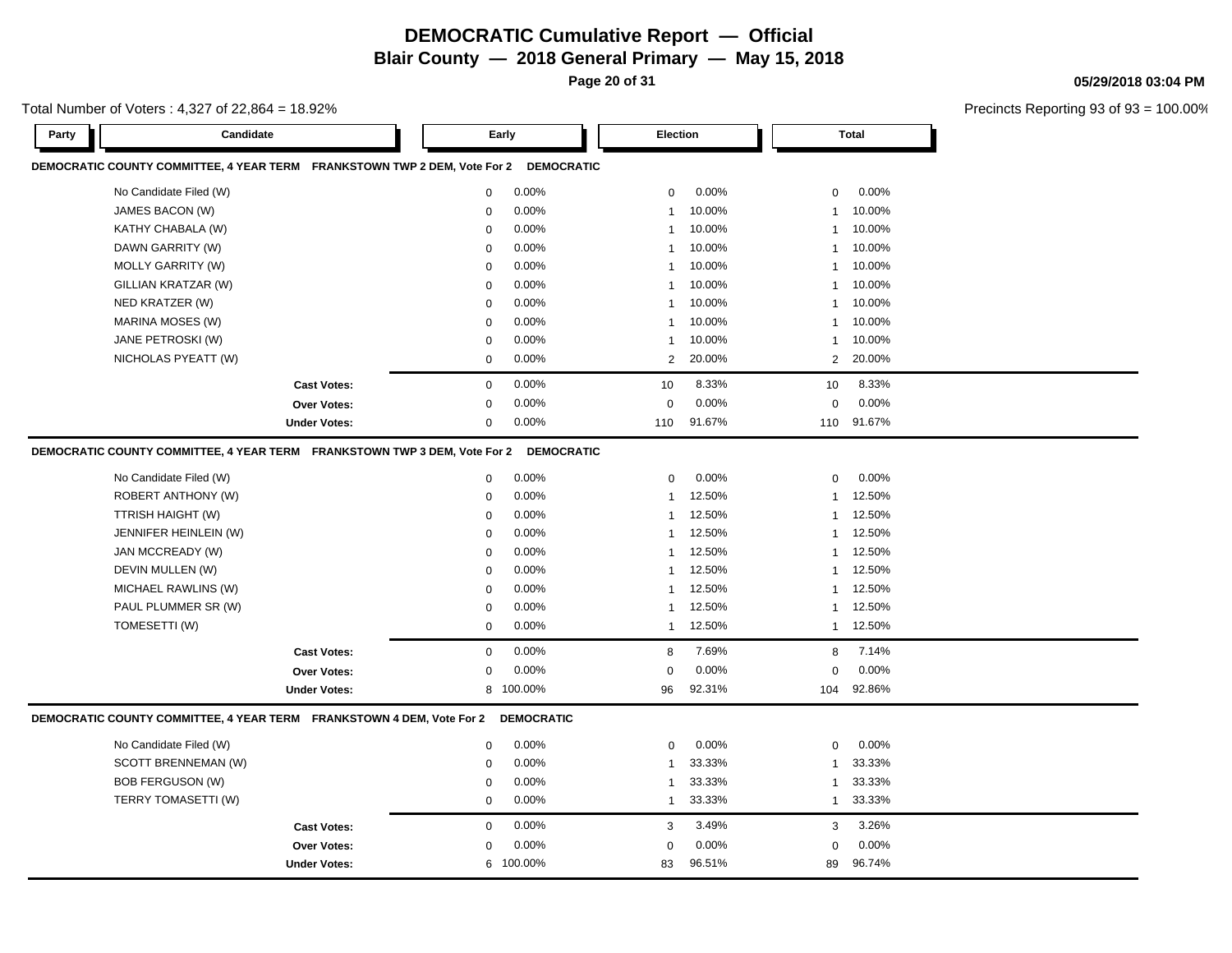**Cast Votes:** 0 0.00% 3 3.49% 3 3.26%

0.00%

83 89 96.51% 96.74%

0.00% 0 0.00%

0.00% 100.00% **05/29/2018 03:04 PM**

Precincts Reporting 93 of 93 = 100.00%

| Party | Total Number of Voters: 4,327 of 22,864 = 18.92%<br>Candidate             |                     | Early       |                   | <b>Election</b> |        |                | <b>Total</b> | <b>Precincts Reportin</b> |
|-------|---------------------------------------------------------------------------|---------------------|-------------|-------------------|-----------------|--------|----------------|--------------|---------------------------|
|       | DEMOCRATIC COUNTY COMMITTEE, 4 YEAR TERM FRANKSTOWN TWP 2 DEM, Vote For 2 |                     |             | <b>DEMOCRATIC</b> |                 |        |                |              |                           |
|       | No Candidate Filed (W)                                                    |                     | 0           | 0.00%             | 0               | 0.00%  | $\mathbf 0$    | 0.00%        |                           |
|       | JAMES BACON (W)                                                           |                     | 0           | 0.00%             | $\mathbf{1}$    | 10.00% | $\mathbf{1}$   | 10.00%       |                           |
|       | KATHY CHABALA (W)                                                         |                     | 0           | 0.00%             | 1               | 10.00% | $\mathbf{1}$   | 10.00%       |                           |
|       | DAWN GARRITY (W)                                                          |                     | 0           | 0.00%             | 1               | 10.00% | $\mathbf{1}$   | 10.00%       |                           |
|       | <b>MOLLY GARRITY (W)</b>                                                  |                     | 0           | 0.00%             | $\mathbf{1}$    | 10.00% | -1             | 10.00%       |                           |
|       | GILLIAN KRATZAR (W)                                                       |                     | 0           | 0.00%             | 1               | 10.00% | -1             | 10.00%       |                           |
|       | NED KRATZER (W)                                                           |                     | 0           | 0.00%             | 1               | 10.00% | -1             | 10.00%       |                           |
|       | MARINA MOSES (W)                                                          |                     | 0           | 0.00%             | 1               | 10.00% | -1             | 10.00%       |                           |
|       | JANE PETROSKI (W)                                                         |                     | 0           | 0.00%             | 1               | 10.00% | -1             | 10.00%       |                           |
|       | NICHOLAS PYEATT (W)                                                       |                     | $\Omega$    | 0.00%             | 2               | 20.00% | $\overline{2}$ | 20.00%       |                           |
|       |                                                                           | <b>Cast Votes:</b>  | $\mathbf 0$ | 0.00%             | 10              | 8.33%  | 10             | 8.33%        |                           |
|       |                                                                           | <b>Over Votes:</b>  | $\mathbf 0$ | 0.00%             | $\Omega$        | 0.00%  | $\Omega$       | 0.00%        |                           |
|       |                                                                           | <b>Under Votes:</b> | 0           | 0.00%             | 110             | 91.67% | 110            | 91.67%       |                           |
|       | DEMOCRATIC COUNTY COMMITTEE, 4 YEAR TERM FRANKSTOWN TWP 3 DEM, Vote For 2 |                     |             | <b>DEMOCRATIC</b> |                 |        |                |              |                           |
|       | No Candidate Filed (W)                                                    |                     | $\mathbf 0$ | 0.00%             | 0               | 0.00%  | $\mathbf 0$    | 0.00%        |                           |
|       | ROBERT ANTHONY (W)                                                        |                     | 0           | 0.00%             | $\overline{1}$  | 12.50% | $\mathbf{1}$   | 12.50%       |                           |
|       | TTRISH HAIGHT (W)                                                         |                     | 0           | 0.00%             | $\mathbf{1}$    | 12.50% | $\mathbf{1}$   | 12.50%       |                           |
|       | JENNIFER HEINLEIN (W)                                                     |                     | $\mathbf 0$ | 0.00%             | 1               | 12.50% | $\mathbf{1}$   | 12.50%       |                           |
|       | JAN MCCREADY (W)                                                          |                     | $\mathbf 0$ | 0.00%             | 1               | 12.50% | $\mathbf{1}$   | 12.50%       |                           |
|       | DEVIN MULLEN (W)                                                          |                     | 0           | 0.00%             | 1               | 12.50% | -1             | 12.50%       |                           |
|       | MICHAEL RAWLINS (W)                                                       |                     | 0           | 0.00%             | 1               | 12.50% | $\mathbf{1}$   | 12.50%       |                           |
|       | PAUL PLUMMER SR (W)                                                       |                     | 0           | 0.00%             | 1               | 12.50% | $\mathbf{1}$   | 12.50%       |                           |
|       | TOMESETTI (W)                                                             |                     | 0           | 0.00%             | $\mathbf{1}$    | 12.50% | $\mathbf{1}$   | 12.50%       |                           |
|       |                                                                           | <b>Cast Votes:</b>  | $\mathbf 0$ | 0.00%             | 8               | 7.69%  | 8              | 7.14%        |                           |
|       |                                                                           | <b>Over Votes:</b>  | 0           | 0.00%             | 0               | 0.00%  | $\mathbf 0$    | $0.00\%$     |                           |
|       |                                                                           | <b>Under Votes:</b> |             | 8 100.00%         | 96              | 92.31% | 104            | 92.86%       |                           |
|       | DEMOCRATIC COUNTY COMMITTEE, 4 YEAR TERM FRANKSTOWN 4 DEM, Vote For 2     |                     |             | <b>DEMOCRATIC</b> |                 |        |                |              |                           |
|       | No Candidate Filed (W)                                                    |                     | $\mathbf 0$ | 0.00%             | 0               | 0.00%  | $\Omega$       | 0.00%        |                           |
|       | SCOTT BRENNEMAN (W)                                                       |                     | $\mathbf 0$ | 0.00%             | 1               | 33.33% | $\mathbf{1}$   | 33.33%       |                           |
|       | <b>BOB FERGUSON (W)</b>                                                   |                     | $\mathbf 0$ | 0.00%             |                 | 33.33% | $\mathbf{1}$   | 33.33%       |                           |
|       | TERRY TOMASETTI (W)                                                       |                     | $\mathbf 0$ | 0.00%             | $\mathbf{1}$    | 33.33% | $\mathbf{1}$   | 33.33%       |                           |

**Over Votes:** 0

**Under Votes:**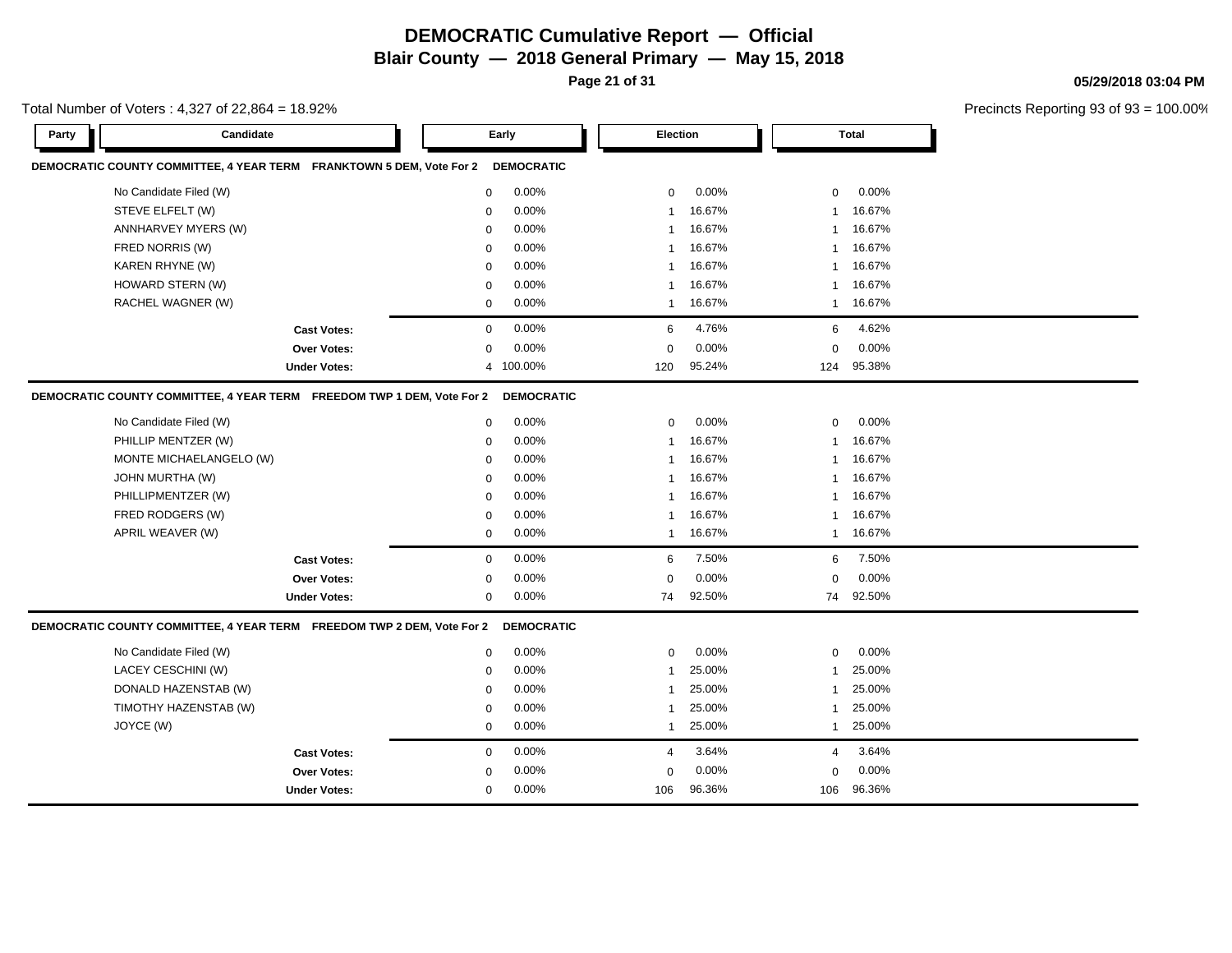**Page 21 of 31**

**Cast Votes:** 0 0.00% 4 3.64% 4 3.64%

0.00% 106 106

96.36% 96.36%

0.00% 0 0.00%

0.00% 0

**05/29/2018 03:04 PM**

Precincts Reporting 93 of 93 = 100.00%

|       | <b>Precincts Reportin</b><br>Total Number of Voters: 4,327 of 22,864 = 18.92%                                                                             |                                          |  |                                                     |                                                             |                                   |                                                                   |                                                               |                                                                   |  |  |  |  |
|-------|-----------------------------------------------------------------------------------------------------------------------------------------------------------|------------------------------------------|--|-----------------------------------------------------|-------------------------------------------------------------|-----------------------------------|-------------------------------------------------------------------|---------------------------------------------------------------|-------------------------------------------------------------------|--|--|--|--|
| Party | Candidate                                                                                                                                                 |                                          |  | Early                                               |                                                             | Election                          |                                                                   |                                                               | <b>Total</b>                                                      |  |  |  |  |
|       | DEMOCRATIC COUNTY COMMITTEE, 4 YEAR TERM FRANKTOWN 5 DEM, Vote For 2                                                                                      |                                          |  |                                                     | <b>DEMOCRATIC</b>                                           |                                   |                                                                   |                                                               |                                                                   |  |  |  |  |
|       | No Candidate Filed (W)                                                                                                                                    |                                          |  | 0                                                   | 0.00%                                                       | 0                                 | $0.00\%$                                                          | $\mathbf 0$                                                   | 0.00%                                                             |  |  |  |  |
|       | STEVE ELFELT (W)                                                                                                                                          |                                          |  | 0                                                   | 0.00%                                                       | $\mathbf{1}$                      | 16.67%                                                            | 1                                                             | 16.67%                                                            |  |  |  |  |
|       | ANNHARVEY MYERS (W)                                                                                                                                       |                                          |  | $\mathbf 0$                                         | 0.00%                                                       |                                   | 16.67%                                                            | $\mathbf 1$                                                   | 16.67%                                                            |  |  |  |  |
|       | FRED NORRIS (W)                                                                                                                                           |                                          |  | $\mathbf 0$                                         | 0.00%                                                       |                                   | 16.67%                                                            | $\mathbf 1$                                                   | 16.67%                                                            |  |  |  |  |
|       | KAREN RHYNE (W)                                                                                                                                           |                                          |  | 0                                                   | 0.00%                                                       | 1                                 | 16.67%                                                            | -1                                                            | 16.67%                                                            |  |  |  |  |
|       | HOWARD STERN (W)                                                                                                                                          |                                          |  | 0                                                   | 0.00%                                                       |                                   | 16.67%                                                            | -1                                                            | 16.67%                                                            |  |  |  |  |
|       | RACHEL WAGNER (W)                                                                                                                                         |                                          |  | $\mathbf 0$                                         | 0.00%                                                       | 1                                 | 16.67%                                                            | 1                                                             | 16.67%                                                            |  |  |  |  |
|       |                                                                                                                                                           | <b>Cast Votes:</b>                       |  | $\mathbf 0$                                         | 0.00%                                                       | 6                                 | 4.76%                                                             | 6                                                             | 4.62%                                                             |  |  |  |  |
|       |                                                                                                                                                           | <b>Over Votes:</b>                       |  | $\mathbf 0$                                         | 0.00%                                                       | $\Omega$                          | 0.00%                                                             | $\Omega$                                                      | 0.00%                                                             |  |  |  |  |
|       |                                                                                                                                                           | <b>Under Votes:</b>                      |  |                                                     | 4 100.00%                                                   | 120                               | 95.24%                                                            | 124                                                           | 95.38%                                                            |  |  |  |  |
|       | No Candidate Filed (W)<br>PHILLIP MENTZER (W)<br>MONTE MICHAELANGELO (W)<br>JOHN MURTHA (W)<br>PHILLIPMENTZER (W)<br>FRED RODGERS (W)<br>APRIL WEAVER (W) |                                          |  | $\mathbf 0$<br>0<br>$\mathbf 0$<br>0<br>0<br>0<br>0 | 0.00%<br>0.00%<br>0.00%<br>0.00%<br>0.00%<br>0.00%<br>0.00% | 0<br>$\mathbf{1}$<br>$\mathbf{1}$ | 0.00%<br>16.67%<br>16.67%<br>16.67%<br>16.67%<br>16.67%<br>16.67% | $\Omega$<br>-1<br>$\mathbf 1$<br>$\mathbf 1$<br>-1<br>-1<br>1 | 0.00%<br>16.67%<br>16.67%<br>16.67%<br>16.67%<br>16.67%<br>16.67% |  |  |  |  |
|       |                                                                                                                                                           | <b>Cast Votes:</b><br><b>Over Votes:</b> |  | 0<br>0                                              | 0.00%<br>0.00%                                              | 6<br>$\mathbf 0$                  | 7.50%<br>0.00%                                                    | 6<br>$\mathbf 0$                                              | 7.50%<br>0.00%                                                    |  |  |  |  |
|       |                                                                                                                                                           | <b>Under Votes:</b>                      |  | 0                                                   | 0.00%                                                       | 74                                | 92.50%                                                            | 74                                                            | 92.50%                                                            |  |  |  |  |
|       | DEMOCRATIC COUNTY COMMITTEE, 4 YEAR TERM FREEDOM TWP 2 DEM, Vote For 2                                                                                    |                                          |  |                                                     | <b>DEMOCRATIC</b>                                           |                                   |                                                                   |                                                               |                                                                   |  |  |  |  |
|       | No Candidate Filed (W)                                                                                                                                    |                                          |  | 0                                                   | 0.00%                                                       | 0                                 | 0.00%                                                             | $\mathbf 0$                                                   | 0.00%                                                             |  |  |  |  |
|       | LACEY CESCHINI (W)                                                                                                                                        |                                          |  | 0                                                   | 0.00%                                                       |                                   | 25.00%                                                            | -1                                                            | 25.00%                                                            |  |  |  |  |
|       | DONALD HAZENSTAB (W)                                                                                                                                      |                                          |  | 0                                                   | 0.00%                                                       |                                   | 25.00%                                                            | -1                                                            | 25.00%                                                            |  |  |  |  |
|       | TIMOTHY HAZENSTAB (W)                                                                                                                                     |                                          |  | 0                                                   | 0.00%                                                       |                                   | 25.00%                                                            | $\mathbf 1$                                                   | 25.00%                                                            |  |  |  |  |
|       | JOYCE (W)                                                                                                                                                 |                                          |  | 0                                                   | 0.00%                                                       | 1                                 | 25.00%                                                            | 1                                                             | 25.00%                                                            |  |  |  |  |

**Over Votes:** 0 0.00% **Under Votes:** 0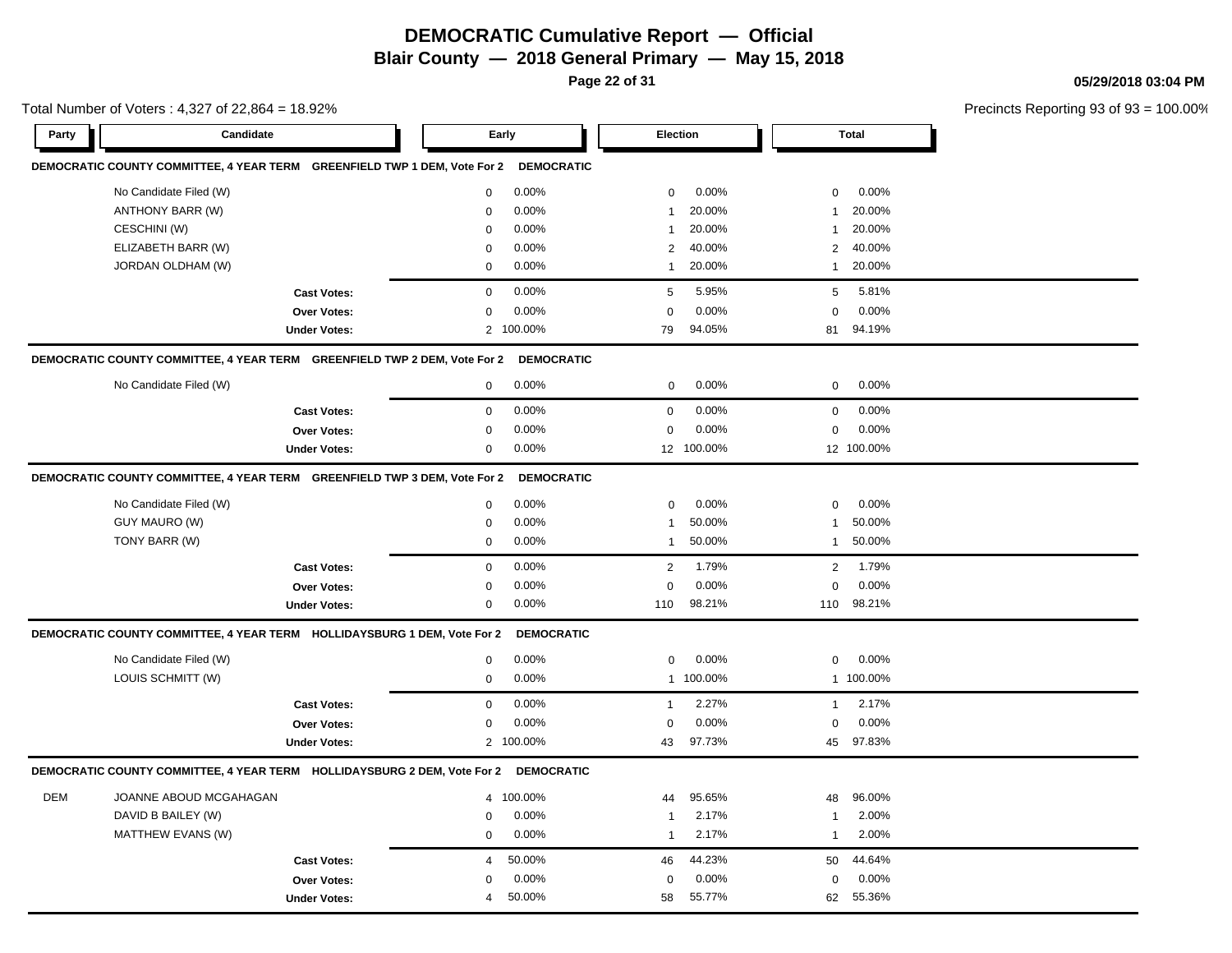**Page 22 of 31**

**05/29/2018 03:04 PM**

 $pf$  93 = 100.00%

|            | Total Number of Voters: 4,327 of 22,864 = 18.92%                          |                     |                           |                         |                        |  |  |  |  |
|------------|---------------------------------------------------------------------------|---------------------|---------------------------|-------------------------|------------------------|--|--|--|--|
| Party      | Candidate                                                                 |                     | Early                     | <b>Election</b>         | <b>Total</b>           |  |  |  |  |
|            | DEMOCRATIC COUNTY COMMITTEE, 4 YEAR TERM GREENFIELD TWP 1 DEM, Vote For 2 |                     | <b>DEMOCRATIC</b>         |                         |                        |  |  |  |  |
|            | No Candidate Filed (W)                                                    |                     | 0.00%<br>$\mathbf 0$      | 0.00%<br>0              | 0.00%<br>$\mathbf 0$   |  |  |  |  |
|            | ANTHONY BARR (W)                                                          |                     | 0.00%<br>$\mathbf 0$      | 20.00%<br>-1            | 20.00%<br>1            |  |  |  |  |
|            | CESCHINI (W)                                                              |                     | 0.00%<br>$\mathbf 0$      | 20.00%                  | 20.00%<br>1            |  |  |  |  |
|            | ELIZABETH BARR (W)                                                        |                     | 0.00%<br>$\mathbf 0$      | 40.00%<br>2             | 40.00%<br>2            |  |  |  |  |
|            | JORDAN OLDHAM (W)                                                         |                     | 0.00%<br>$\mathbf 0$      | 20.00%<br>-1            | 20.00%<br>$\mathbf{1}$ |  |  |  |  |
|            |                                                                           | <b>Cast Votes:</b>  | $\mathbf 0$<br>0.00%      | 5.95%<br>5              | 5.81%<br>5             |  |  |  |  |
|            |                                                                           | Over Votes:         | 0.00%<br>$\mathbf 0$      | 0.00%<br>$\Omega$       | 0.00%<br>$\mathbf 0$   |  |  |  |  |
|            |                                                                           | <b>Under Votes:</b> | 2 100.00%                 | 79<br>94.05%            | 94.19%<br>81           |  |  |  |  |
|            | DEMOCRATIC COUNTY COMMITTEE, 4 YEAR TERM GREENFIELD TWP 2 DEM, Vote For 2 |                     | <b>DEMOCRATIC</b>         |                         |                        |  |  |  |  |
|            | No Candidate Filed (W)                                                    |                     | 0.00%<br>$\mathbf 0$      | 0.00%<br>$\mathbf 0$    | 0.00%<br>0             |  |  |  |  |
|            |                                                                           | <b>Cast Votes:</b>  | 0.00%<br>$\mathbf 0$      | 0.00%<br>$\mathbf 0$    | 0.00%<br>0             |  |  |  |  |
|            |                                                                           | <b>Over Votes:</b>  | 0.00%<br>$\Omega$         | 0.00%<br>$\Omega$       | 0.00%<br>$\pmb{0}$     |  |  |  |  |
|            |                                                                           | <b>Under Votes:</b> | 0.00%<br>$\mathbf 0$      | 12 100.00%              | 12 100.00%             |  |  |  |  |
|            | DEMOCRATIC COUNTY COMMITTEE, 4 YEAR TERM GREENFIELD TWP 3 DEM, Vote For 2 |                     | <b>DEMOCRATIC</b>         |                         |                        |  |  |  |  |
|            | No Candidate Filed (W)                                                    |                     | 0.00%<br>$\mathbf 0$      | 0.00%<br>0              | 0.00%<br>$\mathbf 0$   |  |  |  |  |
|            | GUY MAURO (W)                                                             |                     | 0.00%<br>$\mathbf 0$      | 50.00%<br>$\mathbf{1}$  | 50.00%<br>$\mathbf{1}$ |  |  |  |  |
|            | TONY BARR (W)                                                             |                     | 0.00%<br>$\mathbf 0$      | 50.00%<br>-1            | 50.00%<br>1            |  |  |  |  |
|            |                                                                           | <b>Cast Votes:</b>  | $\mathsf 0$<br>0.00%      | $\overline{2}$<br>1.79% | 2<br>1.79%             |  |  |  |  |
|            |                                                                           | <b>Over Votes:</b>  | 0.00%<br>$\mathbf 0$      | 0.00%<br>$\Omega$       | 0.00%<br>$\mathbf 0$   |  |  |  |  |
|            |                                                                           | <b>Under Votes:</b> | 0.00%<br>$\mathbf 0$      | 98.21%<br>110           | 98.21%<br>110          |  |  |  |  |
|            | DEMOCRATIC COUNTY COMMITTEE, 4 YEAR TERM HOLLIDAYSBURG 1 DEM, Vote For 2  |                     | <b>DEMOCRATIC</b>         |                         |                        |  |  |  |  |
|            | No Candidate Filed (W)                                                    |                     | 0.00%<br>$\mathsf 0$      | 0.00%<br>0              | 0.00%<br>0             |  |  |  |  |
|            | LOUIS SCHMITT (W)                                                         |                     | 0.00%<br>$\mathbf 0$      | 1 100.00%               | 1 100.00%              |  |  |  |  |
|            |                                                                           | <b>Cast Votes:</b>  | 0.00%<br>$\mathbf 0$      | 2.27%<br>-1             | 2.17%<br>$\mathbf{1}$  |  |  |  |  |
|            |                                                                           | Over Votes:         | 0.00%<br>$\Omega$         | 0.00%<br>$\Omega$       | 0.00%<br>$\mathbf 0$   |  |  |  |  |
|            |                                                                           | <b>Under Votes:</b> | 100.00%<br>$\overline{2}$ | 97.73%<br>43            | 97.83%<br>45           |  |  |  |  |
|            | DEMOCRATIC COUNTY COMMITTEE, 4 YEAR TERM HOLLIDAYSBURG 2 DEM, Vote For 2  |                     | <b>DEMOCRATIC</b>         |                         |                        |  |  |  |  |
| <b>DEM</b> | JOANNE ABOUD MCGAHAGAN                                                    |                     | 100.00%<br>$\overline{4}$ | 95.65%<br>44            | 96.00%<br>48           |  |  |  |  |
|            | DAVID B BAILEY (W)                                                        |                     | 0.00%<br>$\mathbf 0$      | 2.17%<br>$\overline{1}$ | 2.00%<br>1             |  |  |  |  |
|            | MATTHEW EVANS (W)                                                         |                     | 0.00%<br>$\mathbf 0$      | 2.17%<br>$\mathbf{1}$   | 2.00%<br>$\mathbf{1}$  |  |  |  |  |
|            |                                                                           | <b>Cast Votes:</b>  | 50.00%<br>4               | 44.23%<br>46            | 44.64%<br>50           |  |  |  |  |
|            |                                                                           | <b>Over Votes:</b>  | 0.00%<br>$\Omega$         | 0.00%<br>$\Omega$       | 0.00%<br>$\mathbf 0$   |  |  |  |  |
|            |                                                                           | <b>Under Votes:</b> | 50.00%<br>$\overline{4}$  | 55.77%<br>58            | 55.36%<br>62           |  |  |  |  |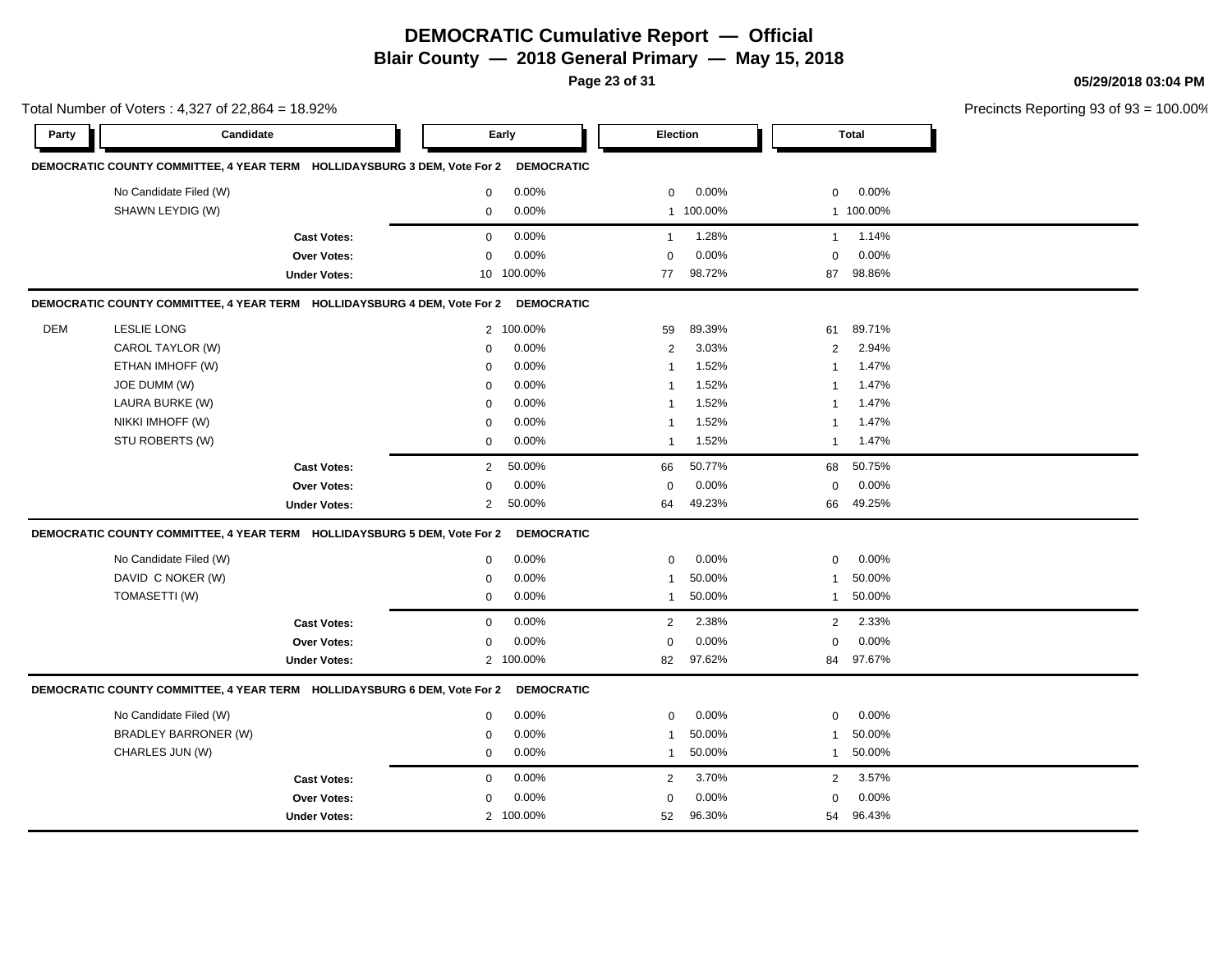**Page 23 of 31**

**05/29/2018 03:04 PM**

|       | Total Number of Voters: 4,327 of 22,864 = 18.92%                         |                     |                |                   |                |           |                |              | Precincts Reporting 93 of 93 |
|-------|--------------------------------------------------------------------------|---------------------|----------------|-------------------|----------------|-----------|----------------|--------------|------------------------------|
| Party | Candidate                                                                |                     |                | Early             | Election       |           |                | <b>Total</b> |                              |
|       | DEMOCRATIC COUNTY COMMITTEE, 4 YEAR TERM HOLLIDAYSBURG 3 DEM, Vote For 2 |                     |                | <b>DEMOCRATIC</b> |                |           |                |              |                              |
|       | No Candidate Filed (W)                                                   |                     | $\mathbf 0$    | 0.00%             | 0              | 0.00%     | 0              | $0.00\%$     |                              |
|       | SHAWN LEYDIG (W)                                                         |                     | 0              | 0.00%             |                | 1 100.00% |                | 1 100.00%    |                              |
|       |                                                                          | <b>Cast Votes:</b>  | $\mathbf 0$    | 0.00%             | $\mathbf{1}$   | 1.28%     | $\overline{1}$ | 1.14%        |                              |
|       |                                                                          | Over Votes:         | $\mathbf 0$    | 0.00%             | $\Omega$       | 0.00%     | $\mathbf 0$    | 0.00%        |                              |
|       |                                                                          | <b>Under Votes:</b> | 10             | 100.00%           | 77             | 98.72%    | 87             | 98.86%       |                              |
|       | DEMOCRATIC COUNTY COMMITTEE, 4 YEAR TERM HOLLIDAYSBURG 4 DEM, Vote For 2 |                     |                | <b>DEMOCRATIC</b> |                |           |                |              |                              |
| DEM   | <b>LESLIE LONG</b>                                                       |                     |                | 2 100.00%         | 59             | 89.39%    | 61             | 89.71%       |                              |
|       | CAROL TAYLOR (W)                                                         |                     | $\mathbf 0$    | 0.00%             | $\overline{2}$ | 3.03%     | $\overline{2}$ | 2.94%        |                              |
|       | ETHAN IMHOFF (W)                                                         |                     | 0              | 0.00%             | $\mathbf{1}$   | 1.52%     | 1              | 1.47%        |                              |
|       | JOE DUMM (W)                                                             |                     | $\mathbf 0$    | 0.00%             | $\mathbf{1}$   | 1.52%     | 1              | 1.47%        |                              |
|       | LAURA BURKE (W)                                                          |                     | $\mathbf 0$    | 0.00%             | 1              | 1.52%     | 1              | 1.47%        |                              |
|       | NIKKI IMHOFF (W)                                                         |                     | $\mathbf 0$    | 0.00%             | -1             | 1.52%     | 1              | 1.47%        |                              |
|       | STU ROBERTS (W)                                                          |                     | $\mathbf 0$    | 0.00%             | $\mathbf{1}$   | 1.52%     | 1              | 1.47%        |                              |
|       |                                                                          | <b>Cast Votes:</b>  | $\overline{2}$ | 50.00%            | 66             | 50.77%    | 68             | 50.75%       |                              |
|       |                                                                          | Over Votes:         | $\mathbf 0$    | 0.00%             | $\mathbf 0$    | 0.00%     | 0              | 0.00%        |                              |
|       |                                                                          | <b>Under Votes:</b> | $\overline{2}$ | 50.00%            | 64             | 49.23%    | 66             | 49.25%       |                              |
|       | DEMOCRATIC COUNTY COMMITTEE, 4 YEAR TERM HOLLIDAYSBURG 5 DEM, Vote For 2 |                     |                | <b>DEMOCRATIC</b> |                |           |                |              |                              |
|       | No Candidate Filed (W)                                                   |                     | $\mathbf 0$    | 0.00%             | $\mathbf 0$    | 0.00%     | 0              | 0.00%        |                              |
|       | DAVID C NOKER (W)                                                        |                     | $\mathbf 0$    | 0.00%             | 1              | 50.00%    | 1              | 50.00%       |                              |
|       | TOMASETTI (W)                                                            |                     | $\mathbf 0$    | 0.00%             | $\mathbf{1}$   | 50.00%    | $\mathbf{1}$   | 50.00%       |                              |
|       |                                                                          | <b>Cast Votes:</b>  | $\mathbf 0$    | 0.00%             | 2              | 2.38%     | $\overline{2}$ | 2.33%        |                              |
|       |                                                                          | Over Votes:         | 0              | 0.00%             | $\mathbf 0$    | 0.00%     | 0              | 0.00%        |                              |
|       |                                                                          | <b>Under Votes:</b> |                | 2 100.00%         | 82             | 97.62%    | 84             | 97.67%       |                              |
|       | DEMOCRATIC COUNTY COMMITTEE, 4 YEAR TERM HOLLIDAYSBURG 6 DEM, Vote For 2 |                     |                | <b>DEMOCRATIC</b> |                |           |                |              |                              |
|       | No Candidate Filed (W)                                                   |                     | $\mathbf 0$    | 0.00%             | $\mathbf 0$    | 0.00%     | 0              | 0.00%        |                              |
|       | <b>BRADLEY BARRONER (W)</b>                                              |                     | $\mathbf 0$    | 0.00%             | $\mathbf{1}$   | 50.00%    | 1              | 50.00%       |                              |
|       | CHARLES JUN (W)                                                          |                     | $\mathbf 0$    | 0.00%             | $\mathbf{1}$   | 50.00%    | $\overline{1}$ | 50.00%       |                              |
|       |                                                                          | <b>Cast Votes:</b>  | $\mathbf 0$    | 0.00%             | 2              | 3.70%     | $\overline{2}$ | 3.57%        |                              |
|       |                                                                          | Over Votes:         | 0              | 0.00%             | 0              | 0.00%     | 0              | 0.00%        |                              |
|       |                                                                          | <b>Under Votes:</b> |                | 2 100.00%         | 52             | 96.30%    | 54             | 96.43%       |                              |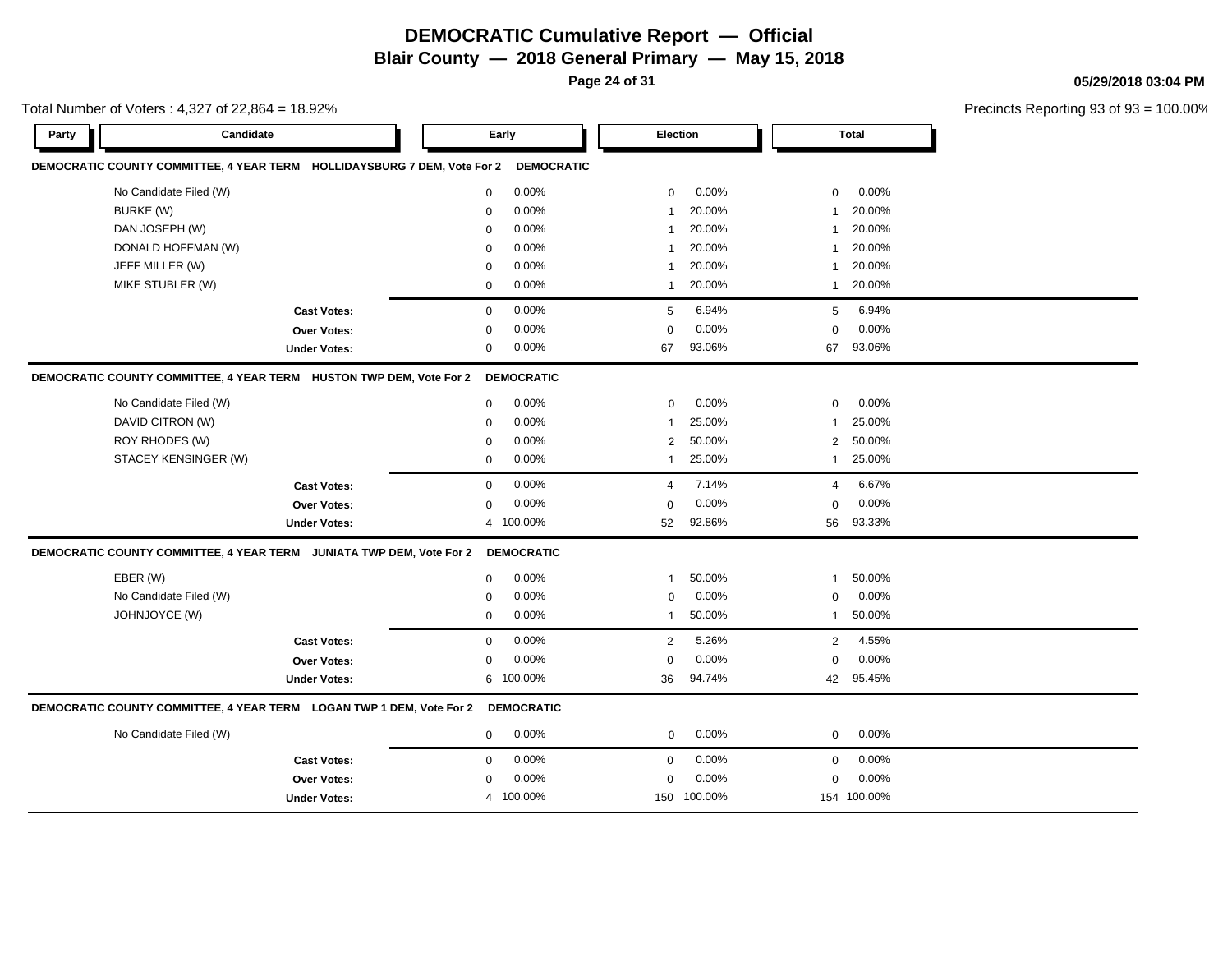**Page 24 of 31**

**05/29/2018 03:04 PM**

|           | Total Number of Voters: 4,327 of 22,864 = 18.92%                         |                |                   |                |             |                |             | Precincts Reporting 93 of |
|-----------|--------------------------------------------------------------------------|----------------|-------------------|----------------|-------------|----------------|-------------|---------------------------|
| Party     | Candidate                                                                | Early          |                   | Election       |             |                | Total       |                           |
|           | DEMOCRATIC COUNTY COMMITTEE, 4 YEAR TERM HOLLIDAYSBURG 7 DEM, Vote For 2 |                | <b>DEMOCRATIC</b> |                |             |                |             |                           |
|           | No Candidate Filed (W)                                                   | $\mathbf 0$    | 0.00%             | $\mathbf 0$    | 0.00%       | $\mathbf 0$    | 0.00%       |                           |
| BURKE (W) |                                                                          | $\mathbf 0$    | 0.00%             | 1              | 20.00%      | 1              | 20.00%      |                           |
|           | DAN JOSEPH (W)                                                           | $\mathbf 0$    | 0.00%             | $\mathbf{1}$   | 20.00%      | $\mathbf{1}$   | 20.00%      |                           |
|           | DONALD HOFFMAN (W)                                                       | $\mathbf 0$    | 0.00%             | $\mathbf{1}$   | 20.00%      | $\overline{1}$ | 20.00%      |                           |
|           | JEFF MILLER (W)                                                          | $\mathbf 0$    | 0.00%             | $\mathbf{1}$   | 20.00%      | $\mathbf{1}$   | 20.00%      |                           |
|           | MIKE STUBLER (W)                                                         | $\mathbf 0$    | 0.00%             | $\mathbf{1}$   | 20.00%      | $\mathbf{1}$   | 20.00%      |                           |
|           | <b>Cast Votes:</b>                                                       | $\mathbf 0$    | 0.00%             | 5              | 6.94%       | 5              | 6.94%       |                           |
|           | Over Votes:                                                              | $\Omega$       | 0.00%             | 0              | 0.00%       | $\mathbf 0$    | 0.00%       |                           |
|           | <b>Under Votes:</b>                                                      | $\mathbf 0$    | 0.00%             | 67             | 93.06%      | 67             | 93.06%      |                           |
|           | DEMOCRATIC COUNTY COMMITTEE, 4 YEAR TERM HUSTON TWP DEM, Vote For 2      |                | <b>DEMOCRATIC</b> |                |             |                |             |                           |
|           | No Candidate Filed (W)                                                   | $\mathbf 0$    | 0.00%             | 0              | 0.00%       | $\mathbf 0$    | 0.00%       |                           |
|           | DAVID CITRON (W)                                                         | $\mathbf 0$    | 0.00%             | $\mathbf{1}$   | 25.00%      | $\mathbf{1}$   | 25.00%      |                           |
|           | ROY RHODES (W)                                                           | $\mathbf 0$    | 0.00%             | $\overline{2}$ | 50.00%      | 2              | 50.00%      |                           |
|           | STACEY KENSINGER (W)                                                     | $\mathbf 0$    | 0.00%             | $\mathbf{1}$   | 25.00%      | $\mathbf{1}$   | 25.00%      |                           |
|           | <b>Cast Votes:</b>                                                       | $\mathbf 0$    | 0.00%             | $\overline{4}$ | 7.14%       | $\overline{4}$ | 6.67%       |                           |
|           | Over Votes:                                                              | $\Omega$       | 0.00%             | 0              | 0.00%       | $\mathbf 0$    | 0.00%       |                           |
|           | <b>Under Votes:</b>                                                      | $\overline{4}$ | 100.00%           | 52             | 92.86%      | 56             | 93.33%      |                           |
|           | DEMOCRATIC COUNTY COMMITTEE, 4 YEAR TERM JUNIATA TWP DEM, Vote For 2     |                | <b>DEMOCRATIC</b> |                |             |                |             |                           |
| EBER (W)  |                                                                          | $\mathbf 0$    | 0.00%             | $\mathbf{1}$   | 50.00%      | $\mathbf{1}$   | 50.00%      |                           |
|           | No Candidate Filed (W)                                                   | $\mathbf 0$    | 0.00%             | $\mathbf 0$    | 0.00%       | $\mathbf 0$    | 0.00%       |                           |
|           | JOHNJOYCE (W)                                                            | $\mathbf 0$    | 0.00%             | $\mathbf{1}$   | 50.00%      | $\mathbf{1}$   | 50.00%      |                           |
|           | <b>Cast Votes:</b>                                                       | $\mathbf 0$    | 0.00%             | $\overline{c}$ | 5.26%       | $\overline{2}$ | 4.55%       |                           |
|           | Over Votes:                                                              | $\Omega$       | 0.00%             | $\mathbf 0$    | 0.00%       | $\mathbf 0$    | 0.00%       |                           |
|           | <b>Under Votes:</b>                                                      |                | 6 100.00%         | 36             | 94.74%      |                | 42 95.45%   |                           |
|           | DEMOCRATIC COUNTY COMMITTEE, 4 YEAR TERM LOGAN TWP 1 DEM, Vote For 2     |                | <b>DEMOCRATIC</b> |                |             |                |             |                           |
|           | No Candidate Filed (W)                                                   | $\mathbf 0$    | 0.00%             | $\mathbf 0$    | 0.00%       | 0              | 0.00%       |                           |
|           | <b>Cast Votes:</b>                                                       | $\mathbf 0$    | 0.00%             | $\mathbf 0$    | 0.00%       | $\mathbf 0$    | 0.00%       |                           |
|           | Over Votes:                                                              | $\Omega$       | 0.00%             | 0              | 0.00%       | $\mathbf 0$    | 0.00%       |                           |
|           | <b>Under Votes:</b>                                                      | $\overline{4}$ | 100.00%           |                | 150 100.00% |                | 154 100.00% |                           |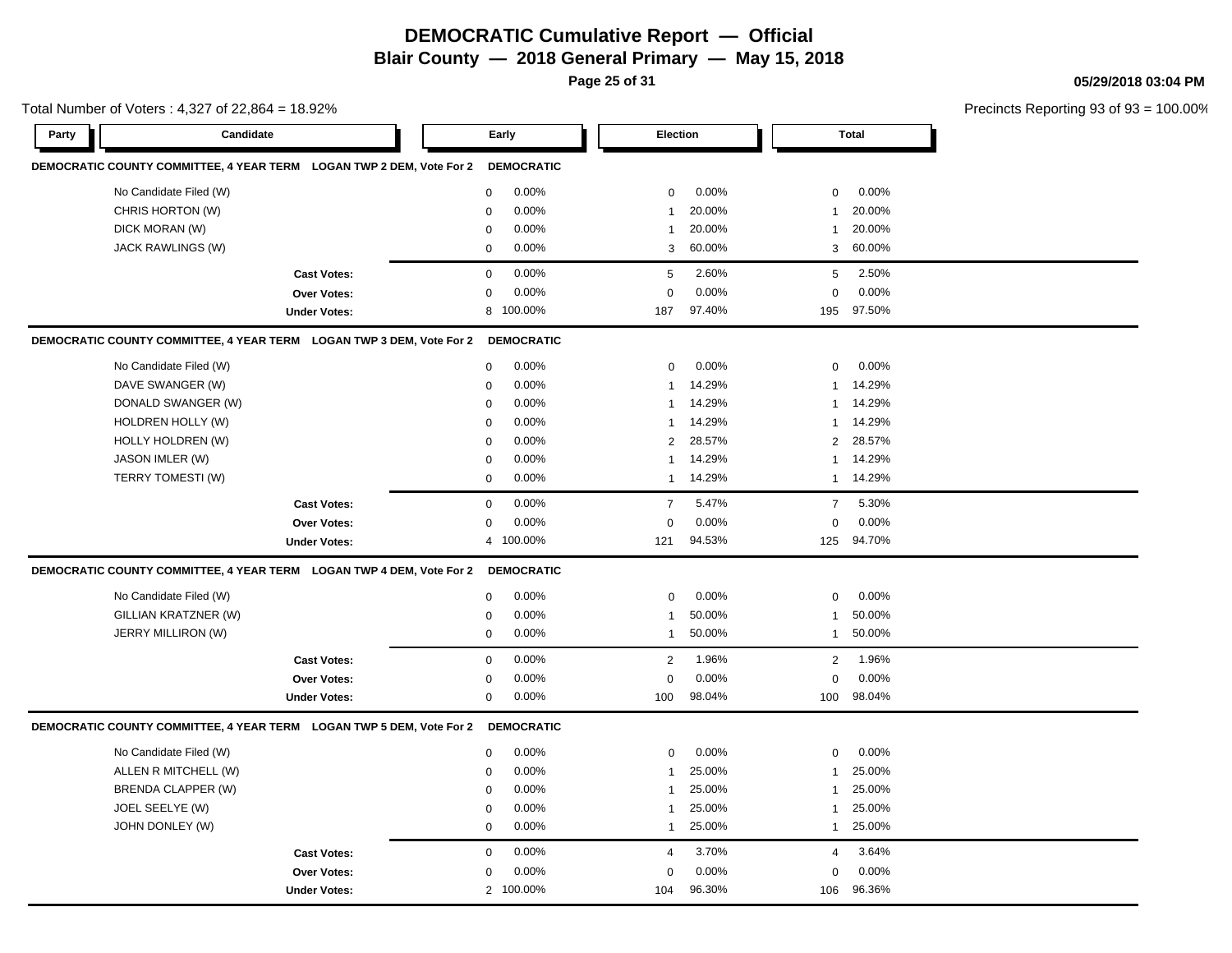**Page 25 of 31**

**05/29/2018 03:04 PM**

|       | Total Number of Voters: 4,327 of 22,864 = 18.92%                     |                     |             |                   |                 |        |                | Precincts Reporting 93 of 93 |  |
|-------|----------------------------------------------------------------------|---------------------|-------------|-------------------|-----------------|--------|----------------|------------------------------|--|
| Party | Candidate                                                            |                     | Early       |                   | <b>Election</b> |        |                | <b>Total</b>                 |  |
|       | DEMOCRATIC COUNTY COMMITTEE, 4 YEAR TERM LOGAN TWP 2 DEM, Vote For 2 |                     |             | <b>DEMOCRATIC</b> |                 |        |                |                              |  |
|       | No Candidate Filed (W)                                               |                     | $\mathbf 0$ | 0.00%             | 0               | 0.00%  | 0              | 0.00%                        |  |
|       | CHRIS HORTON (W)                                                     |                     | $\mathbf 0$ | 0.00%             | $\mathbf{1}$    | 20.00% | $\mathbf{1}$   | 20.00%                       |  |
|       | DICK MORAN (W)                                                       |                     | 0           | 0.00%             | $\mathbf{1}$    | 20.00% | $\mathbf{1}$   | 20.00%                       |  |
|       | JACK RAWLINGS (W)                                                    |                     | $\mathbf 0$ | 0.00%             | 3               | 60.00% | 3              | 60.00%                       |  |
|       |                                                                      | <b>Cast Votes:</b>  | 0           | 0.00%             | 5               | 2.60%  | 5              | 2.50%                        |  |
|       |                                                                      | <b>Over Votes:</b>  | $\mathbf 0$ | 0.00%             | $\mathbf 0$     | 0.00%  | $\mathbf 0$    | 0.00%                        |  |
|       |                                                                      | <b>Under Votes:</b> | 8           | 100.00%           | 187             | 97.40% | 195            | 97.50%                       |  |
|       | DEMOCRATIC COUNTY COMMITTEE, 4 YEAR TERM LOGAN TWP 3 DEM, Vote For 2 |                     |             | <b>DEMOCRATIC</b> |                 |        |                |                              |  |
|       | No Candidate Filed (W)                                               |                     | $\mathbf 0$ | 0.00%             | $\mathbf 0$     | 0.00%  | $\mathbf 0$    | 0.00%                        |  |
|       | DAVE SWANGER (W)                                                     |                     | 0           | 0.00%             | $\mathbf{1}$    | 14.29% | -1             | 14.29%                       |  |
|       | DONALD SWANGER (W)                                                   |                     | $\mathbf 0$ | 0.00%             | 1               | 14.29% | $\mathbf{1}$   | 14.29%                       |  |
|       | HOLDREN HOLLY (W)                                                    |                     | 0           | 0.00%             | $\mathbf{1}$    | 14.29% | -1             | 14.29%                       |  |
|       | HOLLY HOLDREN (W)                                                    |                     | $\mathbf 0$ | 0.00%             | $\overline{2}$  | 28.57% | $\overline{2}$ | 28.57%                       |  |
|       | JASON IMLER (W)                                                      |                     | $\mathbf 0$ | 0.00%             | $\mathbf{1}$    | 14.29% | $\mathbf{1}$   | 14.29%                       |  |
|       | TERRY TOMESTI (W)                                                    |                     | $\mathbf 0$ | 0.00%             | $\mathbf{1}$    | 14.29% | $\mathbf{1}$   | 14.29%                       |  |
|       |                                                                      | <b>Cast Votes:</b>  | 0           | 0.00%             | $\overline{7}$  | 5.47%  | $\overline{7}$ | 5.30%                        |  |
|       |                                                                      | Over Votes:         | $\mathbf 0$ | 0.00%             | $\mathbf 0$     | 0.00%  | $\mathbf 0$    | 0.00%                        |  |
|       |                                                                      | <b>Under Votes:</b> |             | 4 100.00%         | 121             | 94.53% | 125            | 94.70%                       |  |
|       | DEMOCRATIC COUNTY COMMITTEE, 4 YEAR TERM LOGAN TWP 4 DEM, Vote For 2 |                     |             | <b>DEMOCRATIC</b> |                 |        |                |                              |  |
|       | No Candidate Filed (W)                                               |                     | 0           | 0.00%             | 0               | 0.00%  | 0              | 0.00%                        |  |
|       | GILLIAN KRATZNER (W)                                                 |                     | 0           | 0.00%             | $\mathbf{1}$    | 50.00% | $\mathbf{1}$   | 50.00%                       |  |
|       | JERRY MILLIRON (W)                                                   |                     | $\mathbf 0$ | 0.00%             | 1               | 50.00% | $\mathbf{1}$   | 50.00%                       |  |
|       |                                                                      | <b>Cast Votes:</b>  | $\mathbf 0$ | 0.00%             | 2               | 1.96%  | $\overline{2}$ | 1.96%                        |  |
|       |                                                                      | Over Votes:         | 0           | 0.00%             | $\mathbf 0$     | 0.00%  | $\mathbf 0$    | 0.00%                        |  |
|       |                                                                      | <b>Under Votes:</b> | 0           | 0.00%             | 100             | 98.04% | 100            | 98.04%                       |  |
|       | DEMOCRATIC COUNTY COMMITTEE, 4 YEAR TERM LOGAN TWP 5 DEM, Vote For 2 |                     |             | <b>DEMOCRATIC</b> |                 |        |                |                              |  |
|       | No Candidate Filed (W)                                               |                     | $\mathbf 0$ | 0.00%             | $\mathbf 0$     | 0.00%  | $\mathbf 0$    | 0.00%                        |  |
|       | ALLEN R MITCHELL (W)                                                 |                     | $\mathbf 0$ | 0.00%             | $\mathbf{1}$    | 25.00% | -1             | 25.00%                       |  |
|       | <b>BRENDA CLAPPER (W)</b>                                            |                     | $\mathbf 0$ | 0.00%             | $\mathbf{1}$    | 25.00% | -1             | 25.00%                       |  |
|       | JOEL SEELYE (W)                                                      |                     | 0           | 0.00%             | $\mathbf{1}$    | 25.00% | $\mathbf{1}$   | 25.00%                       |  |
|       | JOHN DONLEY (W)                                                      |                     | $\mathbf 0$ | 0.00%             | 1               | 25.00% | $\mathbf{1}$   | 25.00%                       |  |
|       |                                                                      | <b>Cast Votes:</b>  | 0           | 0.00%             | $\overline{4}$  | 3.70%  | $\overline{4}$ | 3.64%                        |  |
|       |                                                                      | <b>Over Votes:</b>  | 0           | 0.00%             | 0               | 0.00%  | 0              | 0.00%                        |  |
|       |                                                                      | <b>Under Votes:</b> |             | 2 100.00%         | 104             | 96.30% | 106            | 96.36%                       |  |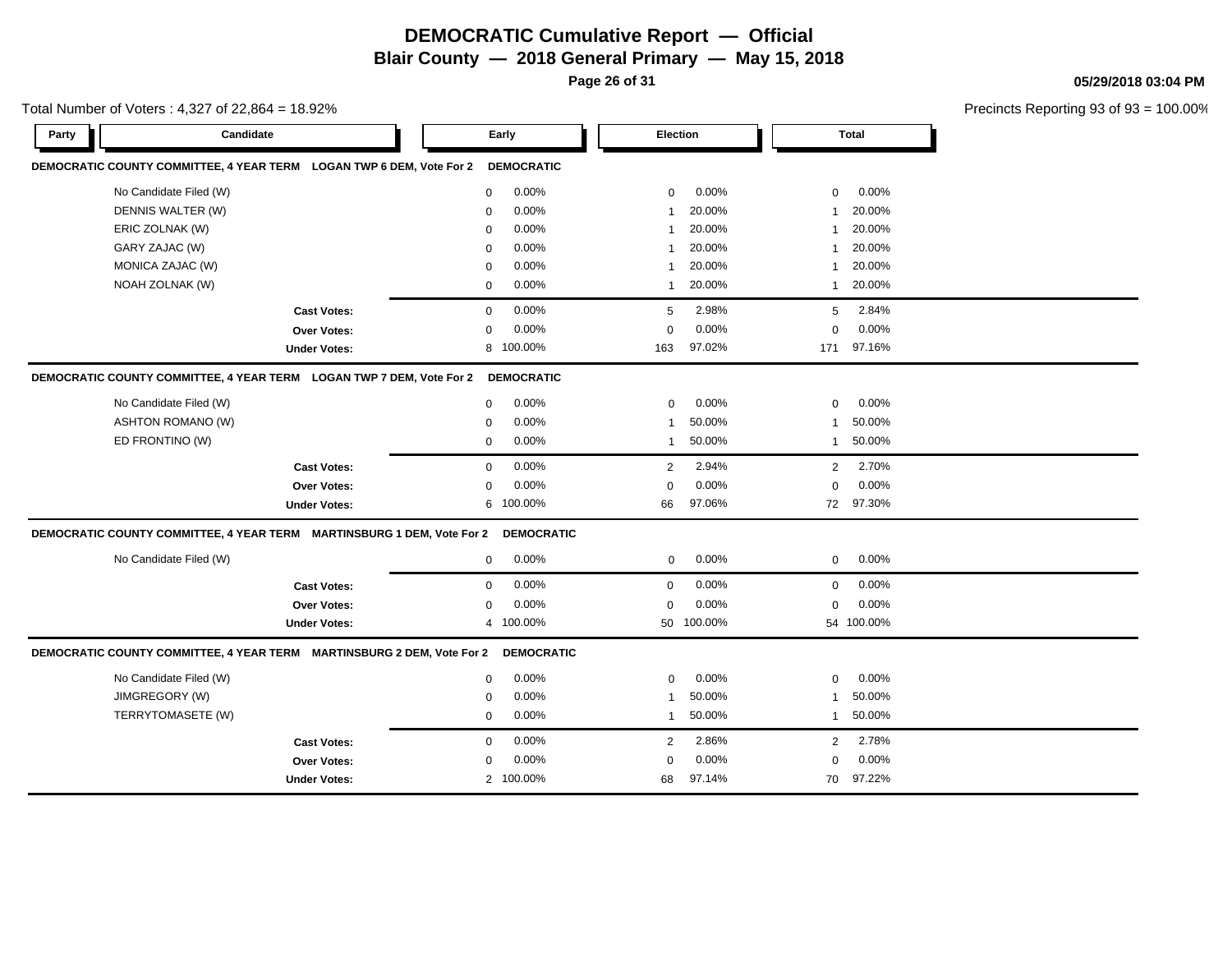**Page 26 of 31**

**05/29/2018 03:04 PM**

|       | Total Number of Voters: 4,327 of 22,864 = 18.92% |                                                                        |              |                   |                         |                 |                |            | Precincts Reporting 93 of 9: |
|-------|--------------------------------------------------|------------------------------------------------------------------------|--------------|-------------------|-------------------------|-----------------|----------------|------------|------------------------------|
| Party | Candidate                                        |                                                                        |              | Early             |                         | <b>Election</b> |                | Total      |                              |
|       |                                                  | DEMOCRATIC COUNTY COMMITTEE, 4 YEAR TERM LOGAN TWP 6 DEM, Vote For 2   |              | <b>DEMOCRATIC</b> |                         |                 |                |            |                              |
|       | No Candidate Filed (W)                           |                                                                        | 0            | 0.00%             | 0                       | $0.00\%$        | 0              | 0.00%      |                              |
|       | DENNIS WALTER (W)                                |                                                                        | $\mathbf 0$  | 0.00%             | $\overline{\mathbf{1}}$ | 20.00%          | $\overline{1}$ | 20.00%     |                              |
|       | ERIC ZOLNAK (W)                                  |                                                                        | $\mathbf 0$  | 0.00%             | $\overline{\mathbf{1}}$ | 20.00%          | -1             | 20.00%     |                              |
|       | GARY ZAJAC (W)                                   |                                                                        | $\mathbf 0$  | 0.00%             | -1                      | 20.00%          | -1             | 20.00%     |                              |
|       | MONICA ZAJAC (W)                                 |                                                                        | $\mathbf 0$  | 0.00%             | $\overline{\mathbf{1}}$ | 20.00%          | $\mathbf{1}$   | 20.00%     |                              |
|       | NOAH ZOLNAK (W)                                  |                                                                        | $\mathbf 0$  | 0.00%             | $\mathbf{1}$            | 20.00%          | $\mathbf{1}$   | 20.00%     |                              |
|       |                                                  | <b>Cast Votes:</b>                                                     | $\mathbf 0$  | 0.00%             | 5                       | 2.98%           | 5              | 2.84%      |                              |
|       |                                                  | Over Votes:                                                            | $\Omega$     | 0.00%             | $\Omega$                | 0.00%           | $\mathbf 0$    | 0.00%      |                              |
|       |                                                  | <b>Under Votes:</b>                                                    | 8            | 100.00%           | 163                     | 97.02%          | 171            | 97.16%     |                              |
|       |                                                  | DEMOCRATIC COUNTY COMMITTEE, 4 YEAR TERM LOGAN TWP 7 DEM, Vote For 2   |              | <b>DEMOCRATIC</b> |                         |                 |                |            |                              |
|       | No Candidate Filed (W)                           |                                                                        | $\mathbf{0}$ | 0.00%             | $\mathbf 0$             | 0.00%           | $\mathbf 0$    | 0.00%      |                              |
|       | <b>ASHTON ROMANO (W)</b>                         |                                                                        | $\mathbf 0$  | 0.00%             | $\overline{1}$          | 50.00%          | $\mathbf{1}$   | 50.00%     |                              |
|       | ED FRONTINO (W)                                  |                                                                        | 0            | 0.00%             | $\mathbf{1}$            | 50.00%          | $\mathbf{1}$   | 50.00%     |                              |
|       |                                                  | <b>Cast Votes:</b>                                                     | $\mathbf 0$  | 0.00%             | $\overline{2}$          | 2.94%           | 2              | 2.70%      |                              |
|       |                                                  | <b>Over Votes:</b>                                                     | $\mathbf 0$  | 0.00%             | $\mathbf 0$             | 0.00%           | $\mathbf 0$    | 0.00%      |                              |
|       |                                                  | <b>Under Votes:</b>                                                    |              | 6 100.00%         | 66                      | 97.06%          |                | 72 97.30%  |                              |
|       |                                                  | DEMOCRATIC COUNTY COMMITTEE, 4 YEAR TERM MARTINSBURG 1 DEM, Vote For 2 |              | <b>DEMOCRATIC</b> |                         |                 |                |            |                              |
|       | No Candidate Filed (W)                           |                                                                        | $\mathbf 0$  | 0.00%             | $\mathbf 0$             | 0.00%           | $\mathbf 0$    | 0.00%      |                              |
|       |                                                  | <b>Cast Votes:</b>                                                     | $\mathbf 0$  | 0.00%             | $\mathbf 0$             | 0.00%           | $\mathbf 0$    | 0.00%      |                              |
|       |                                                  | <b>Over Votes:</b>                                                     | $\mathbf 0$  | 0.00%             | $\Omega$                | 0.00%           | $\mathbf 0$    | 0.00%      |                              |
|       |                                                  | <b>Under Votes:</b>                                                    | 4            | 100.00%           | 50                      | 100.00%         |                | 54 100.00% |                              |
|       |                                                  | DEMOCRATIC COUNTY COMMITTEE, 4 YEAR TERM MARTINSBURG 2 DEM, Vote For 2 |              | <b>DEMOCRATIC</b> |                         |                 |                |            |                              |
|       | No Candidate Filed (W)                           |                                                                        | 0            | 0.00%             | $\mathbf 0$             | 0.00%           | 0              | 0.00%      |                              |
|       | JIMGREGORY (W)                                   |                                                                        | $\mathbf 0$  | 0.00%             | $\overline{\mathbf{1}}$ | 50.00%          | $\overline{1}$ | 50.00%     |                              |
|       | TERRYTOMASETE (W)                                |                                                                        | $\mathbf{0}$ | 0.00%             | $\overline{1}$          | 50.00%          | $\overline{1}$ | 50.00%     |                              |
|       |                                                  | <b>Cast Votes:</b>                                                     | $\mathbf{0}$ | 0.00%             | $\overline{2}$          | 2.86%           | 2              | 2.78%      |                              |
|       |                                                  | <b>Over Votes:</b>                                                     | $\mathbf 0$  | 0.00%             | $\Omega$                | 0.00%           | $\mathbf 0$    | 0.00%      |                              |
|       |                                                  | <b>Under Votes:</b>                                                    |              | 2 100.00%         | 68                      | 97.14%          | 70             | 97.22%     |                              |
|       |                                                  |                                                                        |              |                   |                         |                 |                |            |                              |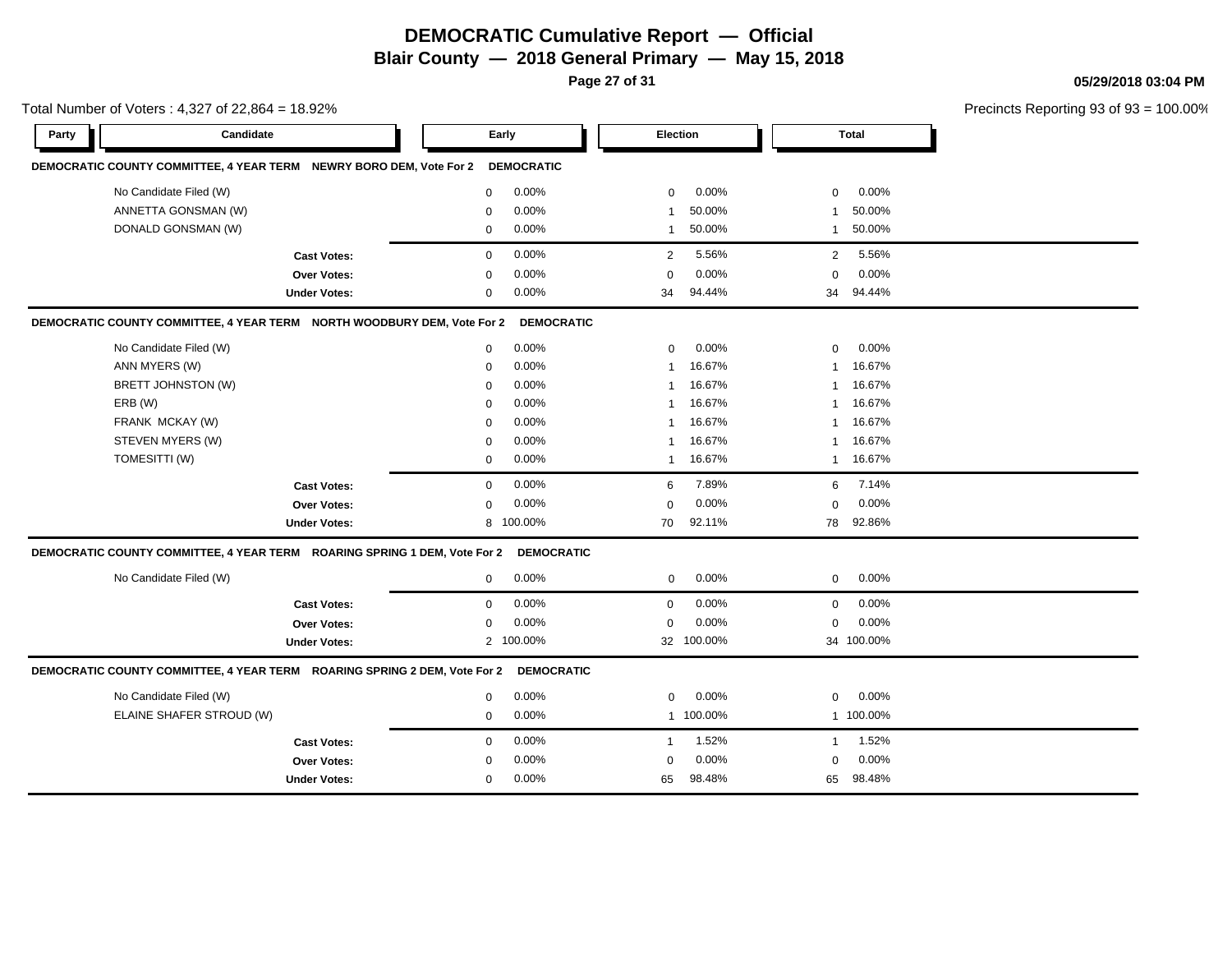**Page 27 of 31**

**05/29/2018 03:04 PM**

|       | Total Number of Voters: $4,327$ of 22,864 = 18.92%                        |                     |              |                   |              |            |              |              | Precincts Reporting 93 of 93 = 100.00% |
|-------|---------------------------------------------------------------------------|---------------------|--------------|-------------------|--------------|------------|--------------|--------------|----------------------------------------|
| Party | Candidate                                                                 |                     |              | Early             | Election     |            |              | <b>Total</b> |                                        |
|       | DEMOCRATIC COUNTY COMMITTEE, 4 YEAR TERM NEWRY BORO DEM, Vote For 2       |                     |              | <b>DEMOCRATIC</b> |              |            |              |              |                                        |
|       | No Candidate Filed (W)                                                    |                     | $\mathbf 0$  | 0.00%             | $\mathbf 0$  | 0.00%      | $\mathbf 0$  | 0.00%        |                                        |
|       | ANNETTA GONSMAN (W)                                                       |                     | 0            | 0.00%             |              | 50.00%     | $\mathbf{1}$ | 50.00%       |                                        |
|       | DONALD GONSMAN (W)                                                        |                     | $\mathbf 0$  | 0.00%             | -1           | 50.00%     | $\mathbf{1}$ | 50.00%       |                                        |
|       |                                                                           | <b>Cast Votes:</b>  | $\mathbf 0$  | 0.00%             | 2            | 5.56%      | 2            | 5.56%        |                                        |
|       |                                                                           | <b>Over Votes:</b>  | $\mathbf 0$  | 0.00%             | $\Omega$     | 0.00%      | $\mathbf 0$  | 0.00%        |                                        |
|       |                                                                           | <b>Under Votes:</b> | $\mathbf 0$  | 0.00%             | 34           | 94.44%     | 34           | 94.44%       |                                        |
|       | DEMOCRATIC COUNTY COMMITTEE, 4 YEAR TERM NORTH WOODBURY DEM, Vote For 2   |                     |              | <b>DEMOCRATIC</b> |              |            |              |              |                                        |
|       | No Candidate Filed (W)                                                    |                     | $\mathbf 0$  | 0.00%             | $\Omega$     | 0.00%      | $\mathbf 0$  | 0.00%        |                                        |
|       | ANN MYERS (W)                                                             |                     | $\mathbf 0$  | 0.00%             | $\mathbf 1$  | 16.67%     | $\mathbf{1}$ | 16.67%       |                                        |
|       | BRETT JOHNSTON (W)                                                        |                     | $\mathbf 0$  | 0.00%             | $\mathbf 1$  | 16.67%     | $\mathbf{1}$ | 16.67%       |                                        |
|       | ERB (W)                                                                   |                     | $\Omega$     | 0.00%             |              | 16.67%     | $\mathbf{1}$ | 16.67%       |                                        |
|       | FRANK MCKAY (W)                                                           |                     | $\Omega$     | 0.00%             |              | 16.67%     | -1           | 16.67%       |                                        |
|       | STEVEN MYERS (W)                                                          |                     | $\mathbf 0$  | 0.00%             |              | 16.67%     | $\mathbf{1}$ | 16.67%       |                                        |
|       | TOMESITTI (W)                                                             |                     | $\mathbf 0$  | 0.00%             | -1           | 16.67%     | $\mathbf{1}$ | 16.67%       |                                        |
|       |                                                                           | <b>Cast Votes:</b>  | $\mathbf 0$  | 0.00%             | 6            | 7.89%      | 6            | 7.14%        |                                        |
|       |                                                                           | <b>Over Votes:</b>  | $\mathbf 0$  | 0.00%             | $\Omega$     | 0.00%      | $\mathbf 0$  | 0.00%        |                                        |
|       |                                                                           | <b>Under Votes:</b> | 8            | 100.00%           | 70           | 92.11%     | 78           | 92.86%       |                                        |
|       | DEMOCRATIC COUNTY COMMITTEE, 4 YEAR TERM ROARING SPRING 1 DEM, Vote For 2 |                     |              | <b>DEMOCRATIC</b> |              |            |              |              |                                        |
|       | No Candidate Filed (W)                                                    |                     | $\mathbf 0$  | 0.00%             | $\mathbf{0}$ | 0.00%      | $\mathbf 0$  | 0.00%        |                                        |
|       |                                                                           | <b>Cast Votes:</b>  | $\mathbf 0$  | 0.00%             | $\mathbf 0$  | 0.00%      | $\mathbf 0$  | 0.00%        |                                        |
|       |                                                                           | <b>Over Votes:</b>  | 0            | 0.00%             | $\mathbf 0$  | 0.00%      | $\mathbf 0$  | 0.00%        |                                        |
|       |                                                                           | <b>Under Votes:</b> |              | 2 100.00%         |              | 32 100.00% |              | 34 100.00%   |                                        |
|       | DEMOCRATIC COUNTY COMMITTEE, 4 YEAR TERM ROARING SPRING 2 DEM, Vote For 2 |                     |              | <b>DEMOCRATIC</b> |              |            |              |              |                                        |
|       | No Candidate Filed (W)                                                    |                     | $\mathbf 0$  | 0.00%             | $\mathbf 0$  | 0.00%      | $\mathsf 0$  | 0.00%        |                                        |
|       | ELAINE SHAFER STROUD (W)                                                  |                     | $\mathbf 0$  | 0.00%             |              | 1 100.00%  |              | 1 100.00%    |                                        |
|       |                                                                           | <b>Cast Votes:</b>  | $\mathbf 0$  | 0.00%             | -1           | 1.52%      | $\mathbf{1}$ | 1.52%        |                                        |
|       |                                                                           | <b>Over Votes:</b>  | $\mathbf 0$  | 0.00%             | $\Omega$     | 0.00%      | $\mathbf 0$  | 0.00%        |                                        |
|       |                                                                           | <b>Under Votes:</b> | $\mathbf{0}$ | 0.00%             | 65           | 98.48%     | 65           | 98.48%       |                                        |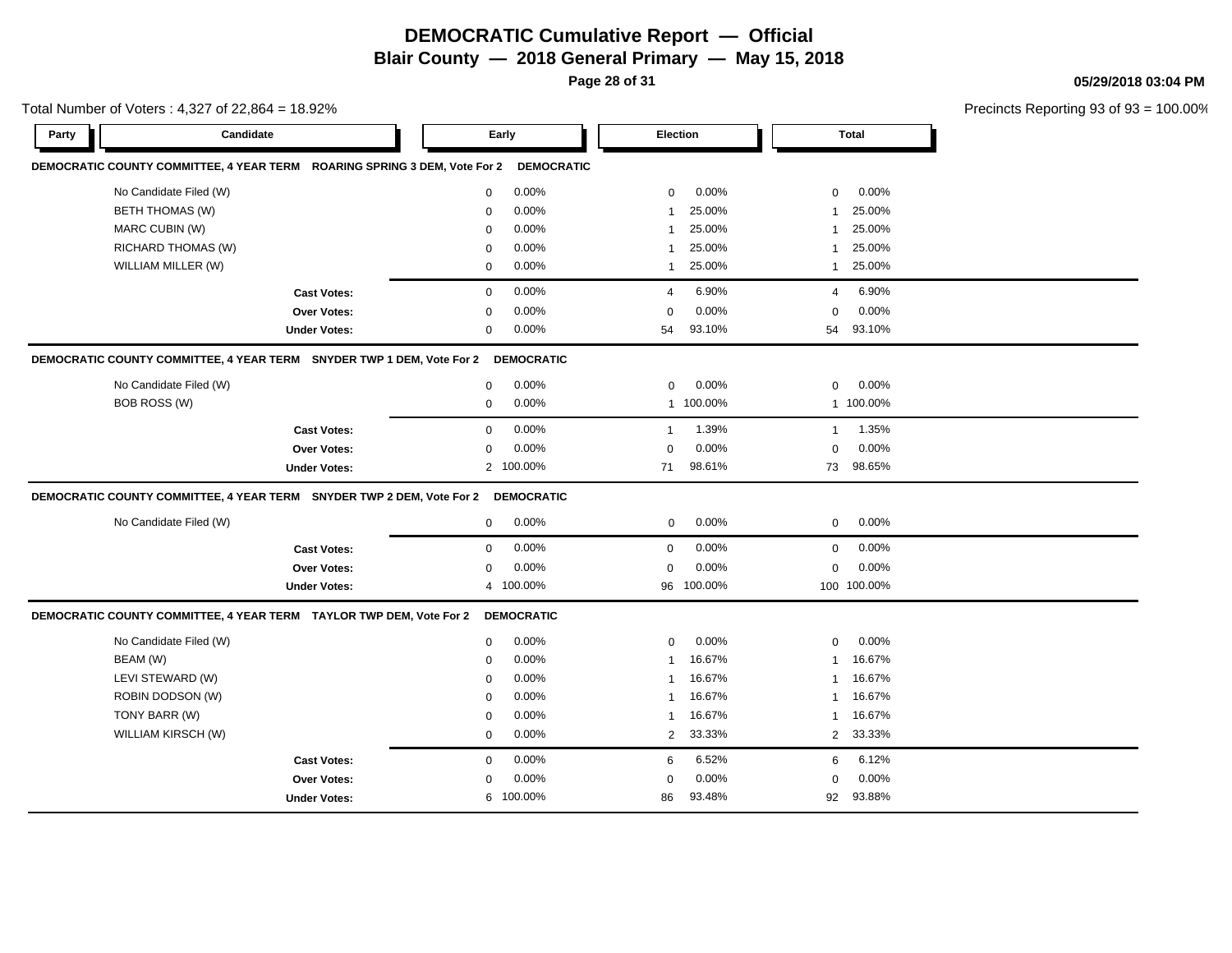**Page 28 of 31**

**05/29/2018 03:04 PM**

|       | Total Number of Voters: $4,327$ of 22,864 = 18.92%                        |             |                   |                |           |                |              | Precincts Reporting 93 of 9 |
|-------|---------------------------------------------------------------------------|-------------|-------------------|----------------|-----------|----------------|--------------|-----------------------------|
| Party | Candidate                                                                 | Early       |                   |                | Election  |                | <b>Total</b> |                             |
|       | DEMOCRATIC COUNTY COMMITTEE, 4 YEAR TERM ROARING SPRING 3 DEM, Vote For 2 |             | <b>DEMOCRATIC</b> |                |           |                |              |                             |
|       | No Candidate Filed (W)                                                    | $\Omega$    | 0.00%             | $\mathbf 0$    | 0.00%     | $\mathbf 0$    | 0.00%        |                             |
|       | <b>BETH THOMAS (W)</b>                                                    | $\mathbf 0$ | 0.00%             | -1             | 25.00%    | -1             | 25.00%       |                             |
|       | MARC CUBIN (W)                                                            | $\mathbf 0$ | 0.00%             | -1             | 25.00%    | -1             | 25.00%       |                             |
|       | RICHARD THOMAS (W)                                                        | $\Omega$    | 0.00%             | -1             | 25.00%    | -1             | 25.00%       |                             |
|       | WILLIAM MILLER (W)                                                        | $\mathbf 0$ | 0.00%             | $\mathbf{1}$   | 25.00%    | $\mathbf{1}$   | 25.00%       |                             |
|       | <b>Cast Votes:</b>                                                        | $\mathbf 0$ | 0.00%             | 4              | 6.90%     | $\overline{4}$ | 6.90%        |                             |
|       | Over Votes:                                                               | $\mathbf 0$ | 0.00%             | $\mathbf 0$    | 0.00%     | $\mathbf 0$    | 0.00%        |                             |
|       | <b>Under Votes:</b>                                                       | 0           | 0.00%             | 54             | 93.10%    | 54             | 93.10%       |                             |
|       | DEMOCRATIC COUNTY COMMITTEE, 4 YEAR TERM SNYDER TWP 1 DEM, Vote For 2     |             | <b>DEMOCRATIC</b> |                |           |                |              |                             |
|       | No Candidate Filed (W)                                                    | $\mathbf 0$ | 0.00%             | $\mathbf 0$    | 0.00%     | $\mathbf 0$    | 0.00%        |                             |
|       | BOB ROSS (W)                                                              | $\mathbf 0$ | 0.00%             |                | 1 100.00% |                | 1 100.00%    |                             |
|       | <b>Cast Votes:</b>                                                        | $\mathbf 0$ | 0.00%             | $\mathbf{1}$   | 1.39%     | $\mathbf{1}$   | 1.35%        |                             |
|       | Over Votes:                                                               | $\mathbf 0$ | 0.00%             | $\mathbf 0$    | 0.00%     | $\mathbf 0$    | 0.00%        |                             |
|       | <b>Under Votes:</b>                                                       |             | 2 100.00%         | 71             | 98.61%    | 73             | 98.65%       |                             |
|       | DEMOCRATIC COUNTY COMMITTEE, 4 YEAR TERM SNYDER TWP 2 DEM, Vote For 2     |             | <b>DEMOCRATIC</b> |                |           |                |              |                             |
|       | No Candidate Filed (W)                                                    | 0           | 0.00%             | $\mathbf 0$    | 0.00%     | $\mathbf 0$    | 0.00%        |                             |
|       | <b>Cast Votes:</b>                                                        | $\mathbf 0$ | 0.00%             | $\mathbf 0$    | 0.00%     | $\mathbf 0$    | 0.00%        |                             |
|       | Over Votes:                                                               | $\Omega$    | 0.00%             | $\mathbf 0$    | 0.00%     | $\mathbf 0$    | 0.00%        |                             |
|       | <b>Under Votes:</b>                                                       | 4           | 100.00%           | 96             | 100.00%   |                | 100 100.00%  |                             |
|       | DEMOCRATIC COUNTY COMMITTEE, 4 YEAR TERM TAYLOR TWP DEM, Vote For 2       |             | <b>DEMOCRATIC</b> |                |           |                |              |                             |
|       | No Candidate Filed (W)                                                    | 0           | 0.00%             | $\mathbf 0$    | 0.00%     | $\mathbf 0$    | 0.00%        |                             |
|       | BEAM (W)                                                                  | $\mathbf 0$ | 0.00%             |                | 16.67%    | -1             | 16.67%       |                             |
|       | LEVI STEWARD (W)                                                          | $\Omega$    | 0.00%             | -1             | 16.67%    | -1             | 16.67%       |                             |
|       | ROBIN DODSON (W)                                                          | $\Omega$    | 0.00%             | -1             | 16.67%    | 1              | 16.67%       |                             |
|       | TONY BARR (W)                                                             | $\mathbf 0$ | 0.00%             | $\mathbf 1$    | 16.67%    | -1             | 16.67%       |                             |
|       | WILLIAM KIRSCH (W)                                                        | $\mathsf 0$ | 0.00%             | $\overline{2}$ | 33.33%    | $\overline{2}$ | 33.33%       |                             |
|       | <b>Cast Votes:</b>                                                        | $\mathbf 0$ | 0.00%             | 6              | 6.52%     | 6              | 6.12%        |                             |
|       | Over Votes:                                                               | $\Omega$    | 0.00%             | $\Omega$       | 0.00%     | $\mathbf 0$    | 0.00%        |                             |
|       | <b>Under Votes:</b>                                                       | 6           | 100.00%           | 86             | 93.48%    | 92             | 93.88%       |                             |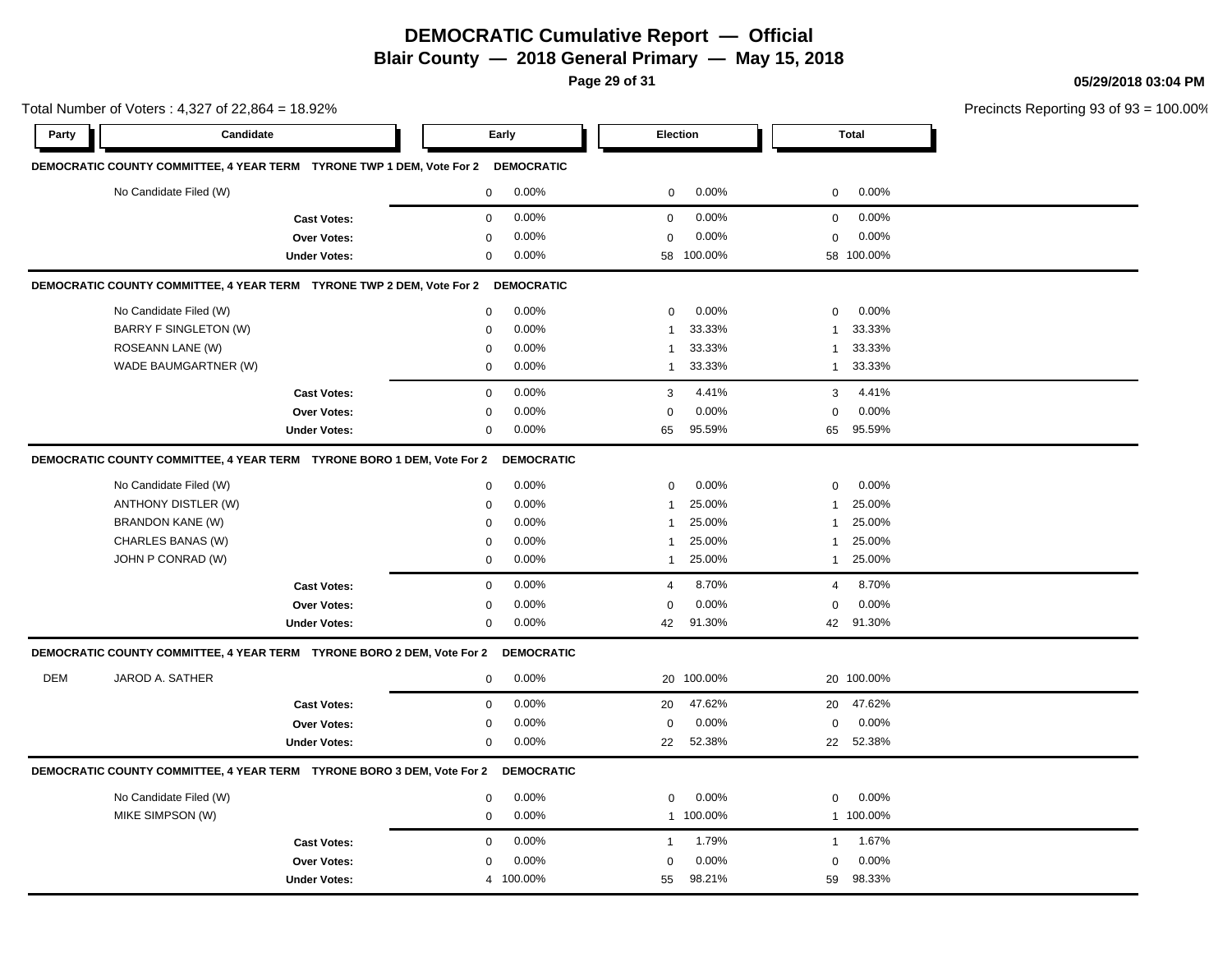**Page 29 of 31**

**05/29/2018 03:04 PM**

Total Number of Voters : 4,327 of 22,864 = 18.92% Precincts Reporting 93 of 93 = 100.00% **Party Candidate Early Election Total DEMOCRATIC COUNTY COMMITTEE, 4 YEAR TERM TYRONE TWP 1 DEM, Vote For 2 DEMOCRATIC** No Candidate Filed (W)  $0.00\%$  0.00% 0 0.00% 0 0.00% 0 0.00% **Cast Votes:** 0 0.00% 0 0.00% 0 0.00% **Over Votes:** 0 **Under Votes:** 0 0.00% 0 0.00% 58 58 0.00% 0 100.00% 100.00% 0.00% **DEMOCRATIC COUNTY COMMITTEE, 4 YEAR TERM TYRONE TWP 2 DEM, Vote For 2 DEMOCRATIC** No Candidate Filed (W)  $0.00\%$  0.00% 0 0.00% 0 0.00% 0 0.00% BARRY F SINGLETON (W) 0 0.00% 1 33.33% 1 33.33% ROSEANN LANE (W) 0 0.00% 1 33.33% 1 33.33% WADE BAUMGARTNER (W)  $0.00\%$  1 33.33% 1 33.33% 1 33.33% **Cast Votes:** 0 0.00% 3 4.41% 3 4.41% **Over Votes:** 0 0.00% **Under Votes:** 0 0.00% 0 0.00% 65 65 0.00% 0 0.00% 95.59% 95.59% **DEMOCRATIC COUNTY COMMITTEE, 4 YEAR TERM TYRONE BORO 1 DEM, Vote For 2 DEMOCRATIC** No Candidate Filed (W) 0 0.00% 0 0.00% 0 0.00% ANTHONY DISTLER (W)  $0.00\%$  0.00% 1 25.00% 1 25.00% 1 25.00% BRANDON KANE (W) 0 0.00% 1 25.00% 1 25.00% CHARLES BANAS (W) 0 0.00% 1 25.00% 1 25.00% JOHN P CONRAD (W) 0 0.00% 1 25.00% 1 25.00% **Cast Votes:** 0 0.00% 4 8.70% 4 8.70% **Over Votes:** 0 0.00% **Under Votes:** 0 0.00% 0 42 91.30% 42 42 91.30% 91.30% 0.00% 0 0.00% **DEMOCRATIC COUNTY COMMITTEE, 4 YEAR TERM TYRONE BORO 2 DEM, Vote For 2 DEMOCRATIC** DEM JAROD A. SATHER 0 0.00% 20 100.00% 20 100.00% **Cast Votes:** 0 0.00% 20 47.62% 20 47.62% **Over Votes:** 0 0.00% **Under Votes:** 0 0.00% 0 22 52.38% 22 22 52.38% 52.38% 0.00% 0 0.00% **DEMOCRATIC COUNTY COMMITTEE, 4 YEAR TERM TYRONE BORO 3 DEM, Vote For 2 DEMOCRATIC** No Candidate Filed (W) 0 0.00% 0 0.00% 0 0.00% MIKE SIMPSON (W) 0 0.00% 1 100.00% 1 100.00% **Cast Votes:** 0 0.00% 1 1.79% 1 1.67% **Over Votes:** 0 0.00% 0.00% 0 0.00% 0 0.00%

55 59

98.21% 98.33%

**Under Votes:** 4 100.00%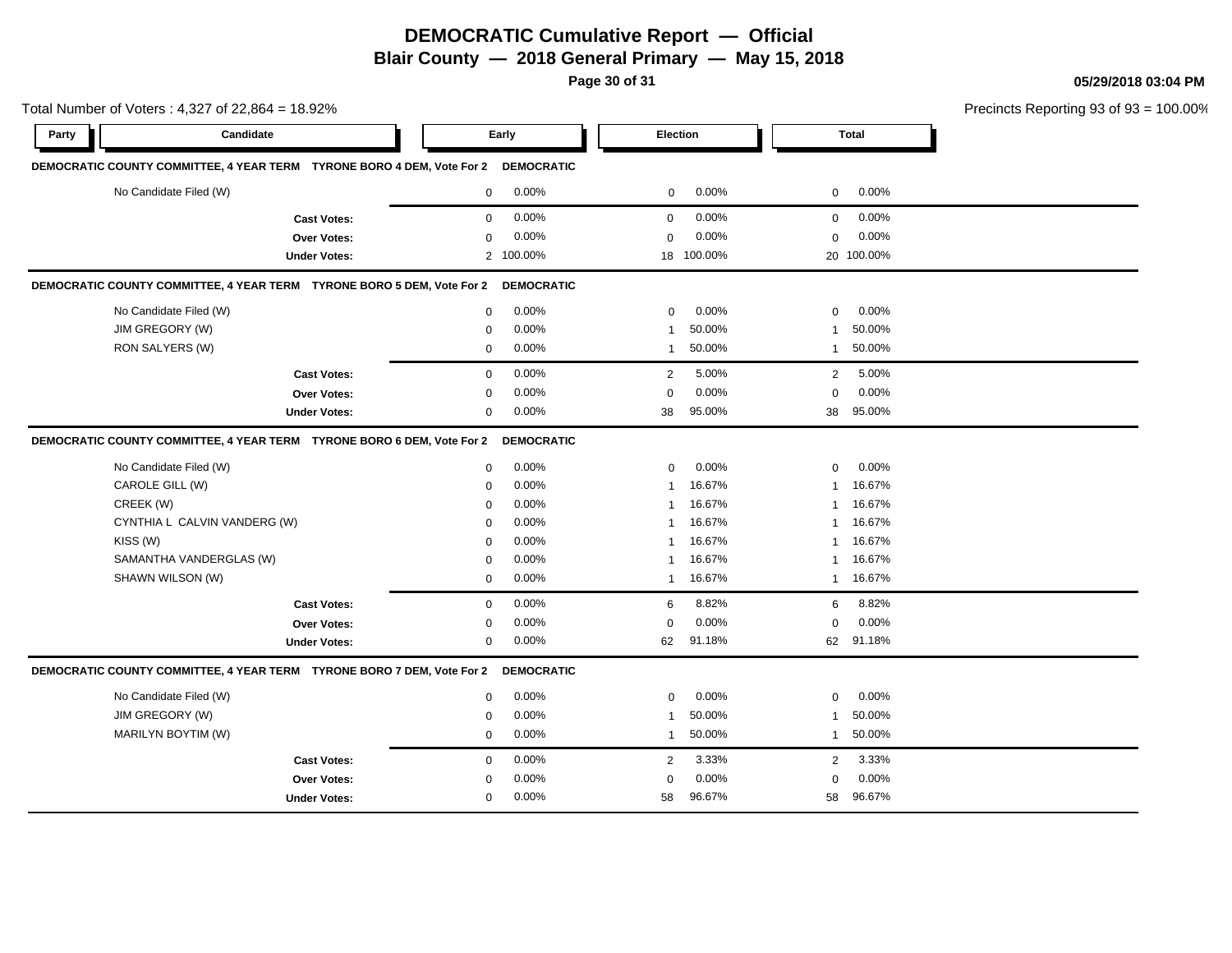**Page 30 of 31**

**05/29/2018 03:04 PM**

|       | Total Number of Voters: 4,327 of 22,864 = 18.92%                       |                     |             |                   |                 |            |                | Precincts Reporting 93 of 93 |  |
|-------|------------------------------------------------------------------------|---------------------|-------------|-------------------|-----------------|------------|----------------|------------------------------|--|
| Party | Candidate                                                              |                     |             | Early             | <b>Election</b> |            |                | <b>Total</b>                 |  |
|       | DEMOCRATIC COUNTY COMMITTEE, 4 YEAR TERM TYRONE BORO 4 DEM, Vote For 2 |                     |             | <b>DEMOCRATIC</b> |                 |            |                |                              |  |
|       | No Candidate Filed (W)                                                 |                     | $\mathbf 0$ | 0.00%             | 0               | 0.00%      | 0              | 0.00%                        |  |
|       |                                                                        | <b>Cast Votes:</b>  | $\mathbf 0$ | 0.00%             | $\mathbf 0$     | 0.00%      | 0              | 0.00%                        |  |
|       |                                                                        | Over Votes:         | $\mathbf 0$ | 0.00%             | $\mathbf 0$     | 0.00%      | 0              | 0.00%                        |  |
|       |                                                                        | <b>Under Votes:</b> |             | 2 100.00%         |                 | 18 100.00% |                | 20 100.00%                   |  |
|       | DEMOCRATIC COUNTY COMMITTEE, 4 YEAR TERM TYRONE BORO 5 DEM, Vote For 2 |                     |             | <b>DEMOCRATIC</b> |                 |            |                |                              |  |
|       | No Candidate Filed (W)                                                 |                     | 0           | 0.00%             | $\mathbf 0$     | 0.00%      | 0              | 0.00%                        |  |
|       | JIM GREGORY (W)                                                        |                     | 0           | 0.00%             | $\mathbf 1$     | 50.00%     | -1             | 50.00%                       |  |
|       | RON SALYERS (W)                                                        |                     | $\mathbf 0$ | 0.00%             | $\mathbf{1}$    | 50.00%     | $\mathbf{1}$   | 50.00%                       |  |
|       |                                                                        | <b>Cast Votes:</b>  | $\mathbf 0$ | 0.00%             | 2               | 5.00%      | $\overline{2}$ | 5.00%                        |  |
|       |                                                                        | <b>Over Votes:</b>  | $\mathbf 0$ | 0.00%             | $\mathbf 0$     | 0.00%      | 0              | 0.00%                        |  |
|       |                                                                        | <b>Under Votes:</b> | $\mathbf 0$ | 0.00%             | 38              | 95.00%     | 38             | 95.00%                       |  |
|       | DEMOCRATIC COUNTY COMMITTEE, 4 YEAR TERM TYRONE BORO 6 DEM, Vote For 2 |                     |             | <b>DEMOCRATIC</b> |                 |            |                |                              |  |
|       | No Candidate Filed (W)                                                 |                     | $\mathbf 0$ | 0.00%             | $\mathbf 0$     | 0.00%      | 0              | 0.00%                        |  |
|       | CAROLE GILL (W)                                                        |                     | $\mathbf 0$ | 0.00%             | $\mathbf{1}$    | 16.67%     | 1              | 16.67%                       |  |
|       | CREEK (W)                                                              |                     | $\mathbf 0$ | 0.00%             | 1               | 16.67%     | 1              | 16.67%                       |  |
|       | CYNTHIA L CALVIN VANDERG (W)                                           |                     | 0           | 0.00%             | 1               | 16.67%     | 1              | 16.67%                       |  |
|       | KISS (W)                                                               |                     | $\mathbf 0$ | 0.00%             | $\mathbf{1}$    | 16.67%     | 1              | 16.67%                       |  |
|       | SAMANTHA VANDERGLAS (W)                                                |                     | $\mathbf 0$ | 0.00%             | 1               | 16.67%     | 1              | 16.67%                       |  |
|       | SHAWN WILSON (W)                                                       |                     | 0           | 0.00%             | $\mathbf{1}$    | 16.67%     | $\mathbf 1$    | 16.67%                       |  |
|       |                                                                        | <b>Cast Votes:</b>  | $\mathbf 0$ | 0.00%             | 6               | 8.82%      | 6              | 8.82%                        |  |
|       |                                                                        | Over Votes:         | $\mathbf 0$ | 0.00%             | $\mathbf 0$     | 0.00%      | 0              | 0.00%                        |  |
|       |                                                                        | <b>Under Votes:</b> | $\mathbf 0$ | 0.00%             | 62              | 91.18%     | 62             | 91.18%                       |  |
|       | DEMOCRATIC COUNTY COMMITTEE, 4 YEAR TERM TYRONE BORO 7 DEM, Vote For 2 |                     |             | <b>DEMOCRATIC</b> |                 |            |                |                              |  |
|       | No Candidate Filed (W)                                                 |                     | $\mathbf 0$ | 0.00%             | $\mathbf 0$     | 0.00%      | 0              | 0.00%                        |  |
|       | JIM GREGORY (W)                                                        |                     | $\mathbf 0$ | 0.00%             | 1               | 50.00%     | -1             | 50.00%                       |  |
|       | MARILYN BOYTIM (W)                                                     |                     | $\mathbf 0$ | 0.00%             | $\mathbf{1}$    | 50.00%     | $\overline{1}$ | 50.00%                       |  |
|       |                                                                        | <b>Cast Votes:</b>  | $\mathbf 0$ | 0.00%             | 2               | 3.33%      | $\overline{2}$ | 3.33%                        |  |
|       |                                                                        | Over Votes:         | $\mathbf 0$ | 0.00%             | $\mathbf 0$     | 0.00%      | 0              | 0.00%                        |  |
|       |                                                                        | <b>Under Votes:</b> | $\mathbf 0$ | 0.00%             | 58              | 96.67%     | 58             | 96.67%                       |  |